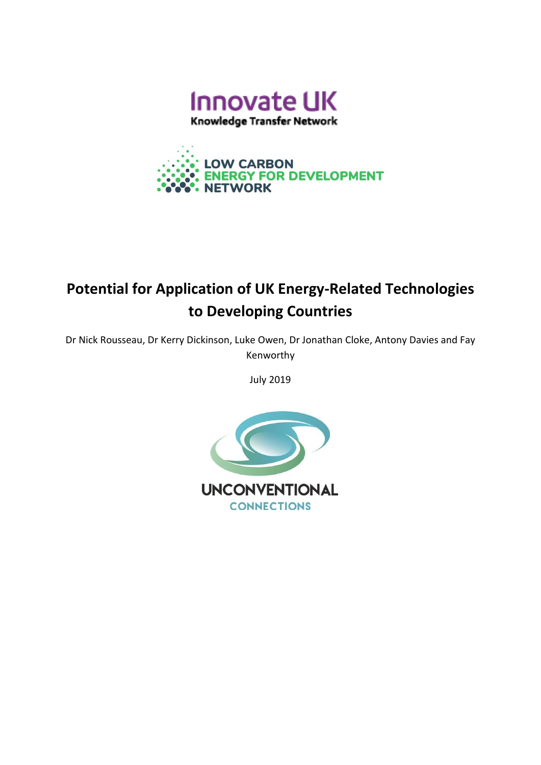

**LOW CARBON** 



# **Potential for Application of UK Energy-Related Technologies to Developing Countries**

Dr Nick Rousseau, Dr Kerry Dickinson, Luke Owen, Dr Jonathan Cloke, Antony Davies and Fay Kenworthy

July 2019

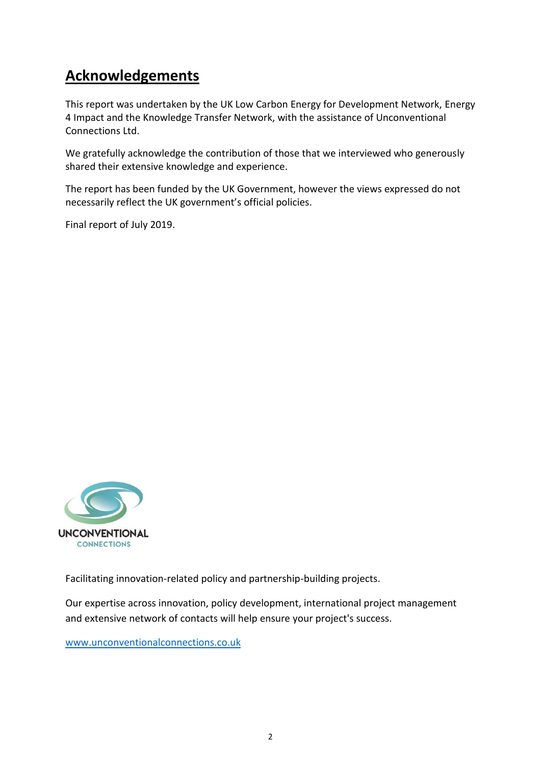## **Acknowledgements**

This report was undertaken by the UK Low Carbon Energy for Development Network, Energy 4 Impact and the Knowledge Transfer Network, with the assistance of Unconventional Connections Ltd.

We gratefully acknowledge the contribution of those that we interviewed who generously shared their extensive knowledge and experience.

The report has been funded by the UK Government, however the views expressed do not necessarily reflect the UK government's official policies.

Final report of July 2019.



Facilitating innovation-related policy and partnership-building projects.

Our expertise across innovation, policy development, international project management and extensive network of contacts will help ensure your project's success.

[www.unconventionalconnections.co.uk](http://www.unconventionalconnections.co.uk/)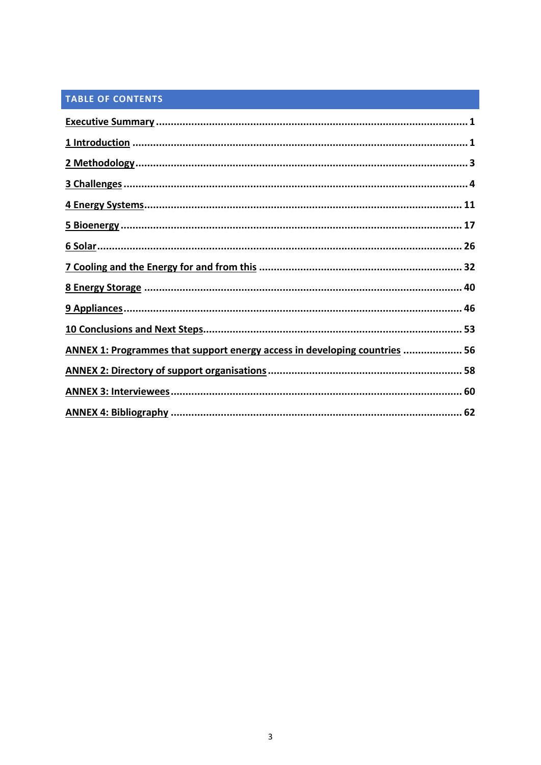### TABLE OF CONTENTS

| ANNEX 1: Programmes that support energy access in developing countries  56 |  |
|----------------------------------------------------------------------------|--|
|                                                                            |  |
|                                                                            |  |
|                                                                            |  |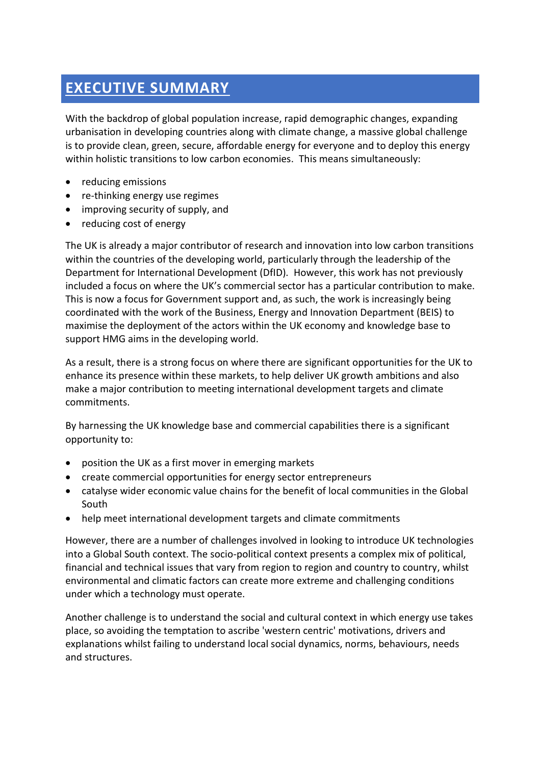### **EXECUTIVE SUMMARY**

With the backdrop of global population increase, rapid demographic changes, expanding urbanisation in developing countries along with climate change, a massive global challenge is to provide clean, green, secure, affordable energy for everyone and to deploy this energy within holistic transitions to low carbon economies. This means simultaneously:

- reducing emissions
- re-thinking energy use regimes
- improving security of supply, and
- reducing cost of energy

The UK is already a major contributor of research and innovation into low carbon transitions within the countries of the developing world, particularly through the leadership of the Department for International Development (DfID). However, this work has not previously included a focus on where the UK's commercial sector has a particular contribution to make. This is now a focus for Government support and, as such, the work is increasingly being coordinated with the work of the Business, Energy and Innovation Department (BEIS) to maximise the deployment of the actors within the UK economy and knowledge base to support HMG aims in the developing world.

As a result, there is a strong focus on where there are significant opportunities for the UK to enhance its presence within these markets, to help deliver UK growth ambitions and also make a major contribution to meeting international development targets and climate commitments.

By harnessing the UK knowledge base and commercial capabilities there is a significant opportunity to:

- position the UK as a first mover in emerging markets
- create commercial opportunities for energy sector entrepreneurs
- catalyse wider economic value chains for the benefit of local communities in the Global South
- help meet international development targets and climate commitments

However, there are a number of challenges involved in looking to introduce UK technologies into a Global South context. The socio-political context presents a complex mix of political, financial and technical issues that vary from region to region and country to country, whilst environmental and climatic factors can create more extreme and challenging conditions under which a technology must operate.

Another challenge is to understand the social and cultural context in which energy use takes place, so avoiding the temptation to ascribe 'western centric' motivations, drivers and explanations whilst failing to understand local social dynamics, norms, behaviours, needs and structures.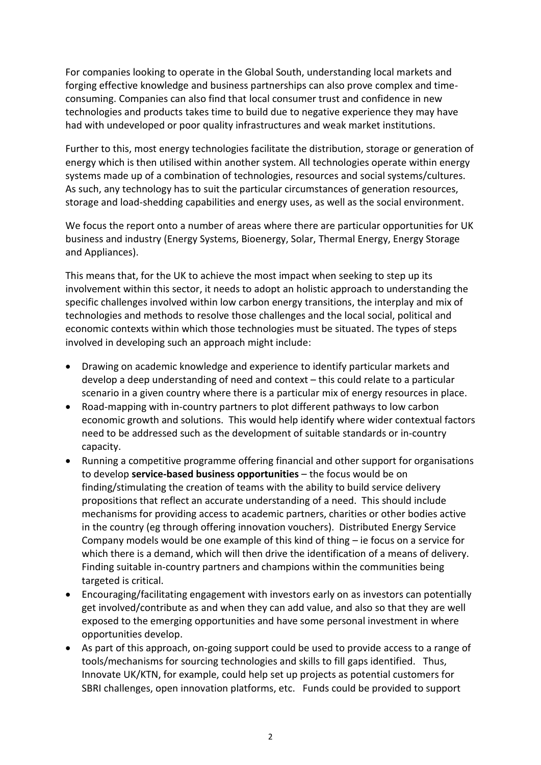For companies looking to operate in the Global South, understanding local markets and forging effective knowledge and business partnerships can also prove complex and timeconsuming. Companies can also find that local consumer trust and confidence in new technologies and products takes time to build due to negative experience they may have had with undeveloped or poor quality infrastructures and weak market institutions.

Further to this, most energy technologies facilitate the distribution, storage or generation of energy which is then utilised within another system. All technologies operate within energy systems made up of a combination of technologies, resources and social systems/cultures. As such, any technology has to suit the particular circumstances of generation resources, storage and load-shedding capabilities and energy uses, as well as the social environment.

We focus the report onto a number of areas where there are particular opportunities for UK business and industry (Energy Systems, Bioenergy, Solar, Thermal Energy, Energy Storage and Appliances).

This means that, for the UK to achieve the most impact when seeking to step up its involvement within this sector, it needs to adopt an holistic approach to understanding the specific challenges involved within low carbon energy transitions, the interplay and mix of technologies and methods to resolve those challenges and the local social, political and economic contexts within which those technologies must be situated. The types of steps involved in developing such an approach might include:

- Drawing on academic knowledge and experience to identify particular markets and develop a deep understanding of need and context – this could relate to a particular scenario in a given country where there is a particular mix of energy resources in place.
- Road-mapping with in-country partners to plot different pathways to low carbon economic growth and solutions. This would help identify where wider contextual factors need to be addressed such as the development of suitable standards or in-country capacity.
- Running a competitive programme offering financial and other support for organisations to develop **service-based business opportunities** – the focus would be on finding/stimulating the creation of teams with the ability to build service delivery propositions that reflect an accurate understanding of a need. This should include mechanisms for providing access to academic partners, charities or other bodies active in the country (eg through offering innovation vouchers). Distributed Energy Service Company models would be one example of this kind of thing – ie focus on a service for which there is a demand, which will then drive the identification of a means of delivery. Finding suitable in-country partners and champions within the communities being targeted is critical.
- Encouraging/facilitating engagement with investors early on as investors can potentially get involved/contribute as and when they can add value, and also so that they are well exposed to the emerging opportunities and have some personal investment in where opportunities develop.
- As part of this approach, on-going support could be used to provide access to a range of tools/mechanisms for sourcing technologies and skills to fill gaps identified. Thus, Innovate UK/KTN, for example, could help set up projects as potential customers for SBRI challenges, open innovation platforms, etc. Funds could be provided to support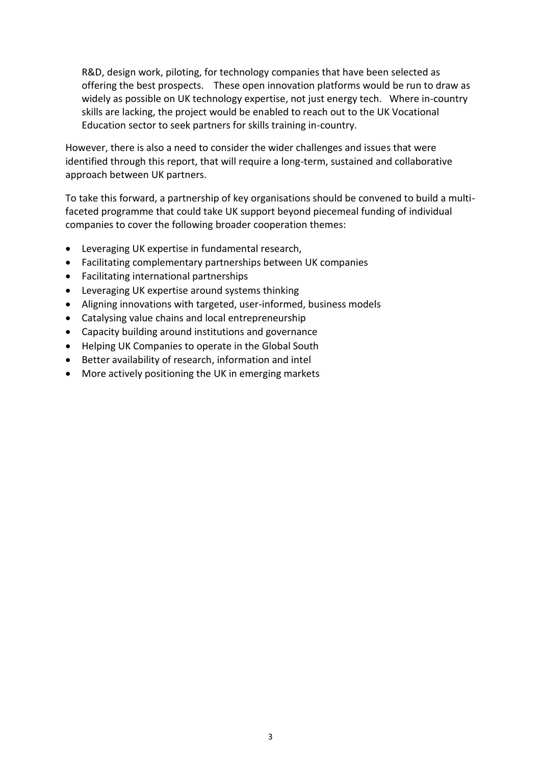R&D, design work, piloting, for technology companies that have been selected as offering the best prospects. These open innovation platforms would be run to draw as widely as possible on UK technology expertise, not just energy tech. Where in-country skills are lacking, the project would be enabled to reach out to the UK Vocational Education sector to seek partners for skills training in-country.

However, there is also a need to consider the wider challenges and issues that were identified through this report, that will require a long-term, sustained and collaborative approach between UK partners.

To take this forward, a partnership of key organisations should be convened to build a multifaceted programme that could take UK support beyond piecemeal funding of individual companies to cover the following broader cooperation themes:

- Leveraging UK expertise in fundamental research,
- Facilitating complementary partnerships between UK companies
- Facilitating international partnerships
- Leveraging UK expertise around systems thinking
- Aligning innovations with targeted, user-informed, business models
- Catalysing value chains and local entrepreneurship
- Capacity building around institutions and governance
- Helping UK Companies to operate in the Global South
- Better availability of research, information and intel
- More actively positioning the UK in emerging markets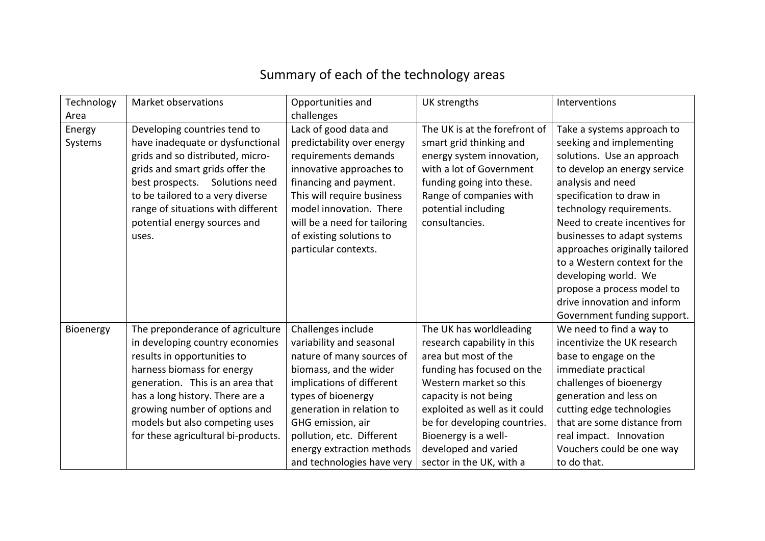## Summary of each of the technology areas

| Technology | Market observations                 | Opportunities and            | UK strengths                  | Interventions                  |
|------------|-------------------------------------|------------------------------|-------------------------------|--------------------------------|
| Area       |                                     | challenges                   |                               |                                |
| Energy     | Developing countries tend to        | Lack of good data and        | The UK is at the forefront of | Take a systems approach to     |
| Systems    | have inadequate or dysfunctional    | predictability over energy   | smart grid thinking and       | seeking and implementing       |
|            | grids and so distributed, micro-    | requirements demands         | energy system innovation,     | solutions. Use an approach     |
|            | grids and smart grids offer the     | innovative approaches to     | with a lot of Government      | to develop an energy service   |
|            | best prospects. Solutions need      | financing and payment.       | funding going into these.     | analysis and need              |
|            | to be tailored to a very diverse    | This will require business   | Range of companies with       | specification to draw in       |
|            | range of situations with different  | model innovation. There      | potential including           | technology requirements.       |
|            | potential energy sources and        | will be a need for tailoring | consultancies.                | Need to create incentives for  |
|            | uses.                               | of existing solutions to     |                               | businesses to adapt systems    |
|            |                                     | particular contexts.         |                               | approaches originally tailored |
|            |                                     |                              |                               | to a Western context for the   |
|            |                                     |                              |                               | developing world. We           |
|            |                                     |                              |                               | propose a process model to     |
|            |                                     |                              |                               | drive innovation and inform    |
|            |                                     |                              |                               | Government funding support.    |
| Bioenergy  | The preponderance of agriculture    | Challenges include           | The UK has worldleading       | We need to find a way to       |
|            | in developing country economies     | variability and seasonal     | research capability in this   | incentivize the UK research    |
|            | results in opportunities to         | nature of many sources of    | area but most of the          | base to engage on the          |
|            | harness biomass for energy          | biomass, and the wider       | funding has focused on the    | immediate practical            |
|            | generation. This is an area that    | implications of different    | Western market so this        | challenges of bioenergy        |
|            | has a long history. There are a     | types of bioenergy           | capacity is not being         | generation and less on         |
|            | growing number of options and       | generation in relation to    | exploited as well as it could | cutting edge technologies      |
|            | models but also competing uses      | GHG emission, air            | be for developing countries.  | that are some distance from    |
|            | for these agricultural bi-products. | pollution, etc. Different    | Bioenergy is a well-          | real impact. Innovation        |
|            |                                     | energy extraction methods    | developed and varied          | Vouchers could be one way      |
|            |                                     | and technologies have very   | sector in the UK, with a      | to do that.                    |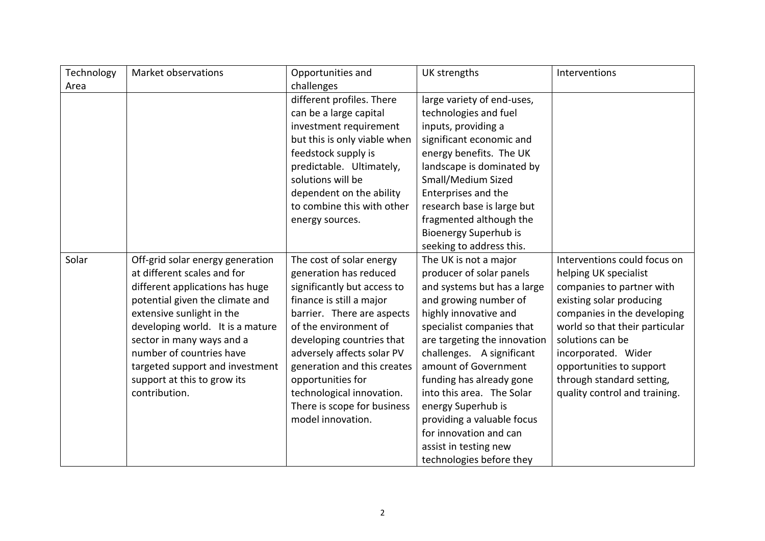| Technology | Market observations              | Opportunities and            | UK strengths                 | Interventions                  |
|------------|----------------------------------|------------------------------|------------------------------|--------------------------------|
| Area       |                                  | challenges                   |                              |                                |
|            |                                  | different profiles. There    | large variety of end-uses,   |                                |
|            |                                  | can be a large capital       | technologies and fuel        |                                |
|            |                                  | investment requirement       | inputs, providing a          |                                |
|            |                                  | but this is only viable when | significant economic and     |                                |
|            |                                  | feedstock supply is          | energy benefits. The UK      |                                |
|            |                                  | predictable. Ultimately,     | landscape is dominated by    |                                |
|            |                                  | solutions will be            | Small/Medium Sized           |                                |
|            |                                  | dependent on the ability     | Enterprises and the          |                                |
|            |                                  | to combine this with other   | research base is large but   |                                |
|            |                                  | energy sources.              | fragmented although the      |                                |
|            |                                  |                              | Bioenergy Superhub is        |                                |
|            |                                  |                              | seeking to address this.     |                                |
| Solar      | Off-grid solar energy generation | The cost of solar energy     | The UK is not a major        | Interventions could focus on   |
|            | at different scales and for      | generation has reduced       | producer of solar panels     | helping UK specialist          |
|            | different applications has huge  | significantly but access to  | and systems but has a large  | companies to partner with      |
|            | potential given the climate and  | finance is still a major     | and growing number of        | existing solar producing       |
|            | extensive sunlight in the        | barrier. There are aspects   | highly innovative and        | companies in the developing    |
|            | developing world. It is a mature | of the environment of        | specialist companies that    | world so that their particular |
|            | sector in many ways and a        | developing countries that    | are targeting the innovation | solutions can be               |
|            | number of countries have         | adversely affects solar PV   | challenges. A significant    | incorporated. Wider            |
|            | targeted support and investment  | generation and this creates  | amount of Government         | opportunities to support       |
|            | support at this to grow its      | opportunities for            | funding has already gone     | through standard setting,      |
|            | contribution.                    | technological innovation.    | into this area. The Solar    | quality control and training.  |
|            |                                  | There is scope for business  | energy Superhub is           |                                |
|            |                                  | model innovation.            | providing a valuable focus   |                                |
|            |                                  |                              | for innovation and can       |                                |
|            |                                  |                              | assist in testing new        |                                |
|            |                                  |                              | technologies before they     |                                |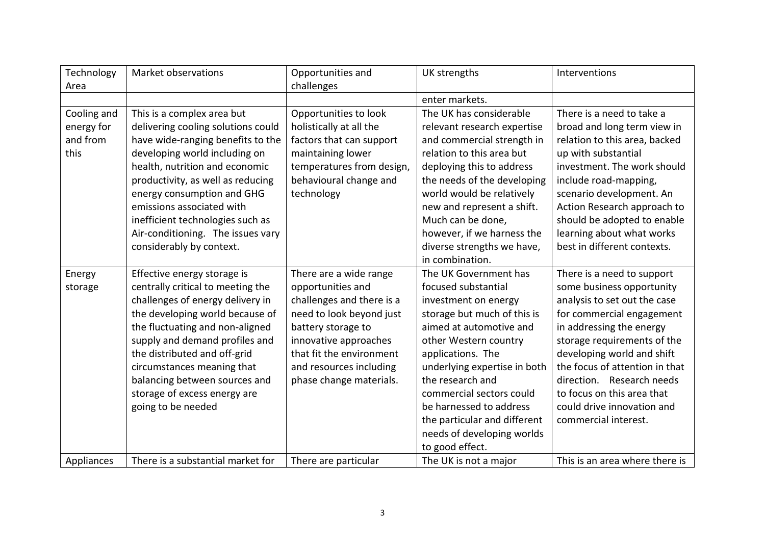| Technology<br>Area                            | Market observations                                                                                                                                                                                                                                                                                                                                                           | Opportunities and<br>challenges                                                                                                                                                                                                       | UK strengths                                                                                                                                                                                                                                                                                                                                                             | Interventions                                                                                                                                                                                                                                                                                                                                                    |
|-----------------------------------------------|-------------------------------------------------------------------------------------------------------------------------------------------------------------------------------------------------------------------------------------------------------------------------------------------------------------------------------------------------------------------------------|---------------------------------------------------------------------------------------------------------------------------------------------------------------------------------------------------------------------------------------|--------------------------------------------------------------------------------------------------------------------------------------------------------------------------------------------------------------------------------------------------------------------------------------------------------------------------------------------------------------------------|------------------------------------------------------------------------------------------------------------------------------------------------------------------------------------------------------------------------------------------------------------------------------------------------------------------------------------------------------------------|
|                                               |                                                                                                                                                                                                                                                                                                                                                                               |                                                                                                                                                                                                                                       | enter markets.                                                                                                                                                                                                                                                                                                                                                           |                                                                                                                                                                                                                                                                                                                                                                  |
| Cooling and<br>energy for<br>and from<br>this | This is a complex area but<br>delivering cooling solutions could<br>have wide-ranging benefits to the<br>developing world including on<br>health, nutrition and economic<br>productivity, as well as reducing<br>energy consumption and GHG<br>emissions associated with<br>inefficient technologies such as<br>Air-conditioning. The issues vary<br>considerably by context. | Opportunities to look<br>holistically at all the<br>factors that can support<br>maintaining lower<br>temperatures from design,<br>behavioural change and<br>technology                                                                | The UK has considerable<br>relevant research expertise<br>and commercial strength in<br>relation to this area but<br>deploying this to address<br>the needs of the developing<br>world would be relatively<br>new and represent a shift.<br>Much can be done,<br>however, if we harness the<br>diverse strengths we have,<br>in combination.                             | There is a need to take a<br>broad and long term view in<br>relation to this area, backed<br>up with substantial<br>investment. The work should<br>include road-mapping,<br>scenario development. An<br>Action Research approach to<br>should be adopted to enable<br>learning about what works<br>best in different contexts.                                   |
| Energy<br>storage                             | Effective energy storage is<br>centrally critical to meeting the<br>challenges of energy delivery in<br>the developing world because of<br>the fluctuating and non-aligned<br>supply and demand profiles and<br>the distributed and off-grid<br>circumstances meaning that<br>balancing between sources and<br>storage of excess energy are<br>going to be needed             | There are a wide range<br>opportunities and<br>challenges and there is a<br>need to look beyond just<br>battery storage to<br>innovative approaches<br>that fit the environment<br>and resources including<br>phase change materials. | The UK Government has<br>focused substantial<br>investment on energy<br>storage but much of this is<br>aimed at automotive and<br>other Western country<br>applications. The<br>underlying expertise in both<br>the research and<br>commercial sectors could<br>be harnessed to address<br>the particular and different<br>needs of developing worlds<br>to good effect. | There is a need to support<br>some business opportunity<br>analysis to set out the case<br>for commercial engagement<br>in addressing the energy<br>storage requirements of the<br>developing world and shift<br>the focus of attention in that<br>direction. Research needs<br>to focus on this area that<br>could drive innovation and<br>commercial interest. |
| Appliances                                    | There is a substantial market for                                                                                                                                                                                                                                                                                                                                             | There are particular                                                                                                                                                                                                                  | The UK is not a major                                                                                                                                                                                                                                                                                                                                                    | This is an area where there is                                                                                                                                                                                                                                                                                                                                   |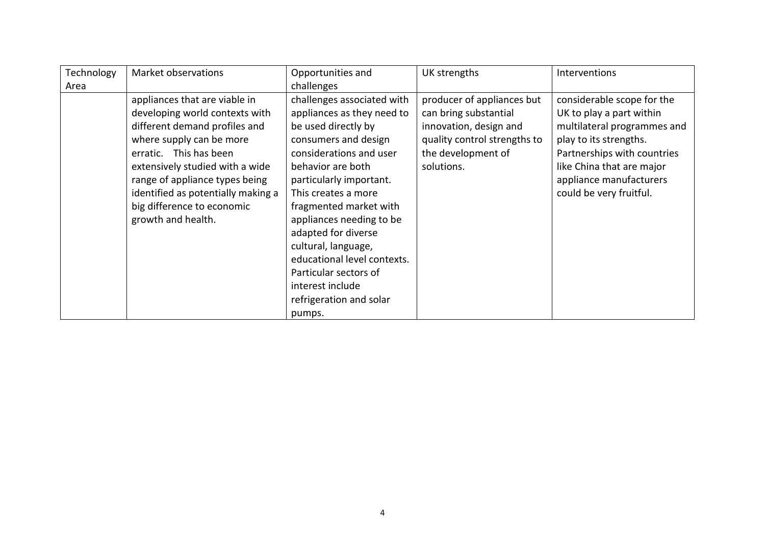| Technology | Market observations                | Opportunities and           | UK strengths                 | Interventions               |
|------------|------------------------------------|-----------------------------|------------------------------|-----------------------------|
| Area       |                                    | challenges                  |                              |                             |
|            | appliances that are viable in      | challenges associated with  | producer of appliances but   | considerable scope for the  |
|            | developing world contexts with     | appliances as they need to  | can bring substantial        | UK to play a part within    |
|            | different demand profiles and      | be used directly by         | innovation, design and       | multilateral programmes and |
|            | where supply can be more           | consumers and design        | quality control strengths to | play to its strengths.      |
|            | erratic. This has been             | considerations and user     | the development of           | Partnerships with countries |
|            | extensively studied with a wide    | behavior are both           | solutions.                   | like China that are major   |
|            | range of appliance types being     | particularly important.     |                              | appliance manufacturers     |
|            | identified as potentially making a | This creates a more         |                              | could be very fruitful.     |
|            | big difference to economic         | fragmented market with      |                              |                             |
|            | growth and health.                 | appliances needing to be    |                              |                             |
|            |                                    | adapted for diverse         |                              |                             |
|            |                                    | cultural, language,         |                              |                             |
|            |                                    | educational level contexts. |                              |                             |
|            |                                    | Particular sectors of       |                              |                             |
|            |                                    | interest include            |                              |                             |
|            |                                    | refrigeration and solar     |                              |                             |
|            |                                    | pumps.                      |                              |                             |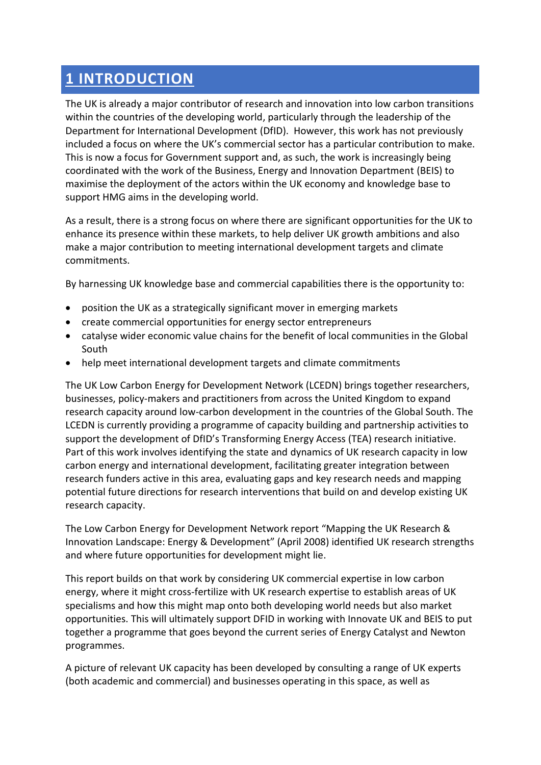### **1 INTRODUCTION**

The UK is already a major contributor of research and innovation into low carbon transitions within the countries of the developing world, particularly through the leadership of the Department for International Development (DfID). However, this work has not previously included a focus on where the UK's commercial sector has a particular contribution to make. This is now a focus for Government support and, as such, the work is increasingly being coordinated with the work of the Business, Energy and Innovation Department (BEIS) to maximise the deployment of the actors within the UK economy and knowledge base to support HMG aims in the developing world.

As a result, there is a strong focus on where there are significant opportunities for the UK to enhance its presence within these markets, to help deliver UK growth ambitions and also make a major contribution to meeting international development targets and climate commitments.

By harnessing UK knowledge base and commercial capabilities there is the opportunity to:

- position the UK as a strategically significant mover in emerging markets
- create commercial opportunities for energy sector entrepreneurs
- catalyse wider economic value chains for the benefit of local communities in the Global South
- help meet international development targets and climate commitments

The UK Low Carbon Energy for Development Network (LCEDN) brings together researchers, businesses, policy-makers and practitioners from across the United Kingdom to expand research capacity around low-carbon development in the countries of the Global South. The LCEDN is currently providing a programme of capacity building and partnership activities to support the development of DfID's Transforming Energy Access (TEA) research initiative. Part of this work involves identifying the state and dynamics of UK research capacity in low carbon energy and international development, facilitating greater integration between research funders active in this area, evaluating gaps and key research needs and mapping potential future directions for research interventions that build on and develop existing UK research capacity.

The Low Carbon Energy for Development Network report "Mapping the UK Research & Innovation Landscape: Energy & Development" (April 2008) identified UK research strengths and where future opportunities for development might lie.

This report builds on that work by considering UK commercial expertise in low carbon energy, where it might cross-fertilize with UK research expertise to establish areas of UK specialisms and how this might map onto both developing world needs but also market opportunities. This will ultimately support DFID in working with Innovate UK and BEIS to put together a programme that goes beyond the current series of Energy Catalyst and Newton programmes.

A picture of relevant UK capacity has been developed by consulting a range of UK experts (both academic and commercial) and businesses operating in this space, as well as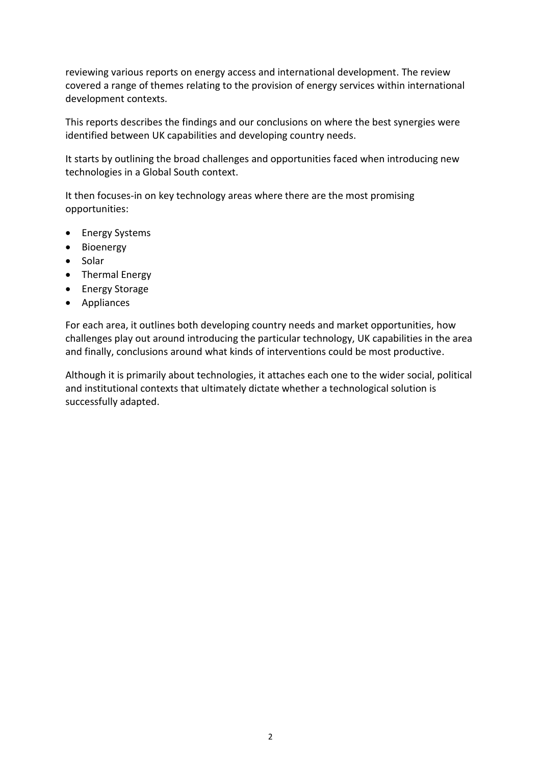reviewing various reports on energy access and international development. The review covered a range of themes relating to the provision of energy services within international development contexts.

This reports describes the findings and our conclusions on where the best synergies were identified between UK capabilities and developing country needs.

It starts by outlining the broad challenges and opportunities faced when introducing new technologies in a Global South context.

It then focuses-in on key technology areas where there are the most promising opportunities:

- Energy Systems
- Bioenergy
- Solar
- Thermal Energy
- Energy Storage
- Appliances

For each area, it outlines both developing country needs and market opportunities, how challenges play out around introducing the particular technology, UK capabilities in the area and finally, conclusions around what kinds of interventions could be most productive.

Although it is primarily about technologies, it attaches each one to the wider social, political and institutional contexts that ultimately dictate whether a technological solution is successfully adapted.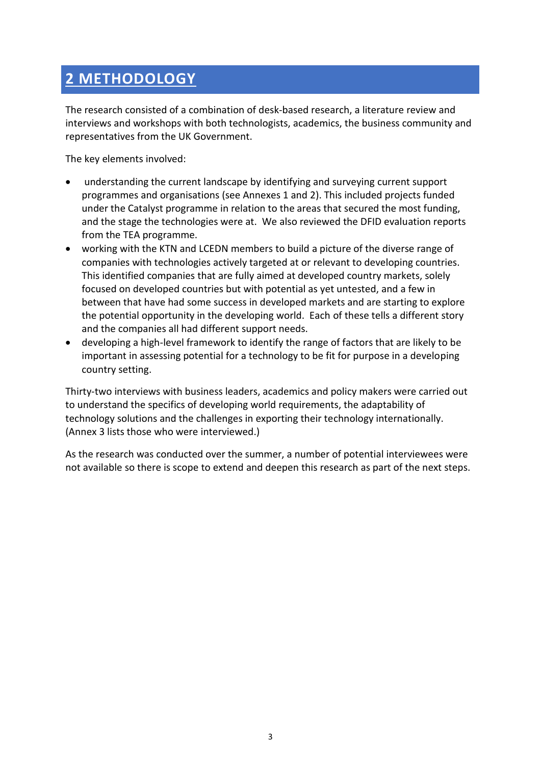## **2 METHODOLOGY**

The research consisted of a combination of desk-based research, a literature review and interviews and workshops with both technologists, academics, the business community and representatives from the UK Government.

The key elements involved:

- understanding the current landscape by identifying and surveying current support programmes and organisations (see Annexes 1 and 2). This included projects funded under the Catalyst programme in relation to the areas that secured the most funding, and the stage the technologies were at. We also reviewed the DFID evaluation reports from the TEA programme.
- working with the KTN and LCEDN members to build a picture of the diverse range of companies with technologies actively targeted at or relevant to developing countries. This identified companies that are fully aimed at developed country markets, solely focused on developed countries but with potential as yet untested, and a few in between that have had some success in developed markets and are starting to explore the potential opportunity in the developing world. Each of these tells a different story and the companies all had different support needs.
- developing a high-level framework to identify the range of factors that are likely to be important in assessing potential for a technology to be fit for purpose in a developing country setting.

Thirty-two interviews with business leaders, academics and policy makers were carried out to understand the specifics of developing world requirements, the adaptability of technology solutions and the challenges in exporting their technology internationally. (Annex 3 lists those who were interviewed.)

As the research was conducted over the summer, a number of potential interviewees were not available so there is scope to extend and deepen this research as part of the next steps.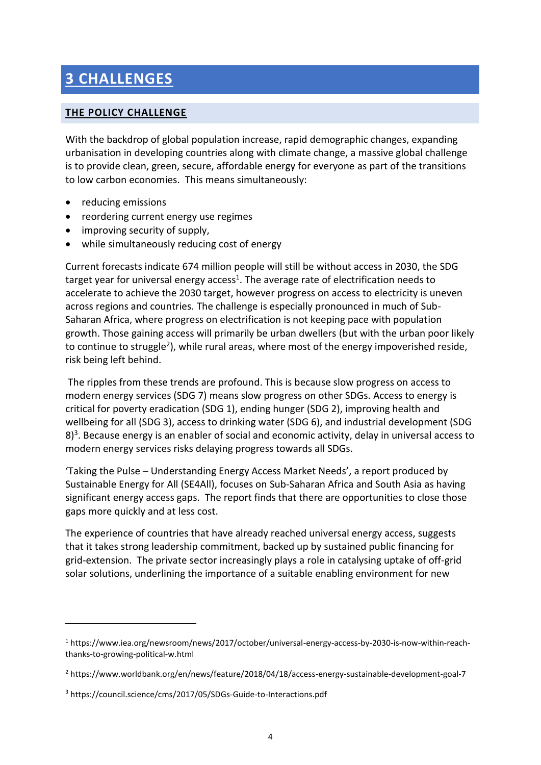## **3 CHALLENGES**

#### **THE POLICY CHALLENGE**

With the backdrop of global population increase, rapid demographic changes, expanding urbanisation in developing countries along with climate change, a massive global challenge is to provide clean, green, secure, affordable energy for everyone as part of the transitions to low carbon economies. This means simultaneously:

• reducing emissions

**.** 

- reordering current energy use regimes
- improving security of supply,
- while simultaneously reducing cost of energy

Current forecasts indicate 674 million people will still be without access in 2030, the SDG target year for universal energy access<sup>1</sup>. The average rate of electrification needs to accelerate to achieve the 2030 target, however progress on access to electricity is uneven across regions and countries. The challenge is especially pronounced in much of Sub-Saharan Africa, where progress on electrification is not keeping pace with population growth. Those gaining access will primarily be urban dwellers (but with the urban poor likely to continue to struggle<sup>2</sup>), while rural areas, where most of the energy impoverished reside, risk being left behind.

The ripples from these trends are profound. This is because slow progress on access to modern energy services (SDG 7) means slow progress on other SDGs. Access to energy is critical for poverty eradication (SDG 1), ending hunger (SDG 2), improving health and wellbeing for all (SDG 3), access to drinking water (SDG 6), and industrial development (SDG  $8$ <sup>3</sup>. Because energy is an enabler of social and economic activity, delay in universal access to modern energy services risks delaying progress towards all SDGs.

'Taking the Pulse – Understanding Energy Access Market Needs', a report produced by Sustainable Energy for All (SE4All), focuses on Sub-Saharan Africa and South Asia as having significant energy access gaps. The report finds that there are opportunities to close those gaps more quickly and at less cost.

The experience of countries that have already reached universal energy access, suggests that it takes strong leadership commitment, backed up by sustained public financing for grid-extension. The private sector increasingly plays a role in catalysing uptake of off-grid solar solutions, underlining the importance of a suitable enabling environment for new

<sup>1</sup> https://www.iea.org/newsroom/news/2017/october/universal-energy-access-by-2030-is-now-within-reachthanks-to-growing-political-w.html

<sup>2</sup> https://www.worldbank.org/en/news/feature/2018/04/18/access-energy-sustainable-development-goal-7

<sup>3</sup> https://council.science/cms/2017/05/SDGs-Guide-to-Interactions.pdf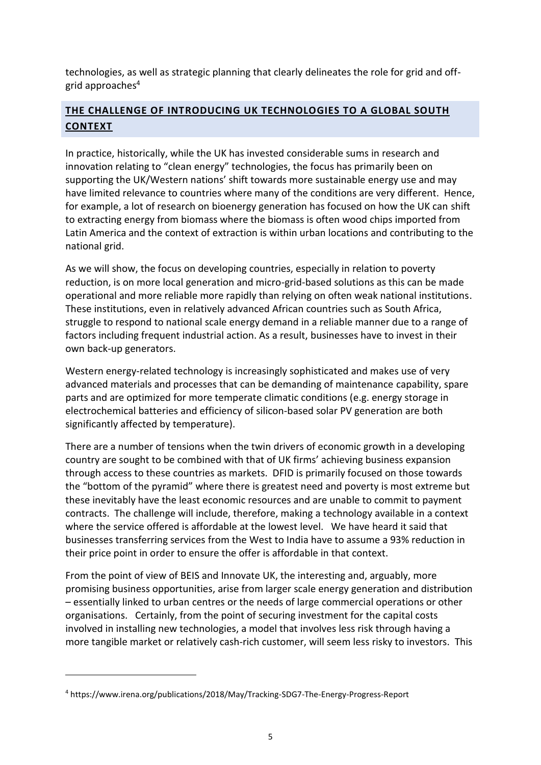technologies, as well as strategic planning that clearly delineates the role for grid and offgrid approaches $4$ 

### **THE CHALLENGE OF INTRODUCING UK TECHNOLOGIES TO A GLOBAL SOUTH CONTEXT**

In practice, historically, while the UK has invested considerable sums in research and innovation relating to "clean energy" technologies, the focus has primarily been on supporting the UK/Western nations' shift towards more sustainable energy use and may have limited relevance to countries where many of the conditions are very different. Hence, for example, a lot of research on bioenergy generation has focused on how the UK can shift to extracting energy from biomass where the biomass is often wood chips imported from Latin America and the context of extraction is within urban locations and contributing to the national grid.

As we will show, the focus on developing countries, especially in relation to poverty reduction, is on more local generation and micro-grid-based solutions as this can be made operational and more reliable more rapidly than relying on often weak national institutions. These institutions, even in relatively advanced African countries such as South Africa, struggle to respond to national scale energy demand in a reliable manner due to a range of factors including frequent industrial action. As a result, businesses have to invest in their own back-up generators.

Western energy-related technology is increasingly sophisticated and makes use of very advanced materials and processes that can be demanding of maintenance capability, spare parts and are optimized for more temperate climatic conditions (e.g. energy storage in electrochemical batteries and efficiency of silicon-based solar PV generation are both significantly affected by temperature).

There are a number of tensions when the twin drivers of economic growth in a developing country are sought to be combined with that of UK firms' achieving business expansion through access to these countries as markets. DFID is primarily focused on those towards the "bottom of the pyramid" where there is greatest need and poverty is most extreme but these inevitably have the least economic resources and are unable to commit to payment contracts. The challenge will include, therefore, making a technology available in a context where the service offered is affordable at the lowest level. We have heard it said that businesses transferring services from the West to India have to assume a 93% reduction in their price point in order to ensure the offer is affordable in that context.

From the point of view of BEIS and Innovate UK, the interesting and, arguably, more promising business opportunities, arise from larger scale energy generation and distribution – essentially linked to urban centres or the needs of large commercial operations or other organisations. Certainly, from the point of securing investment for the capital costs involved in installing new technologies, a model that involves less risk through having a more tangible market or relatively cash-rich customer, will seem less risky to investors. This

1

<sup>4</sup> https://www.irena.org/publications/2018/May/Tracking-SDG7-The-Energy-Progress-Report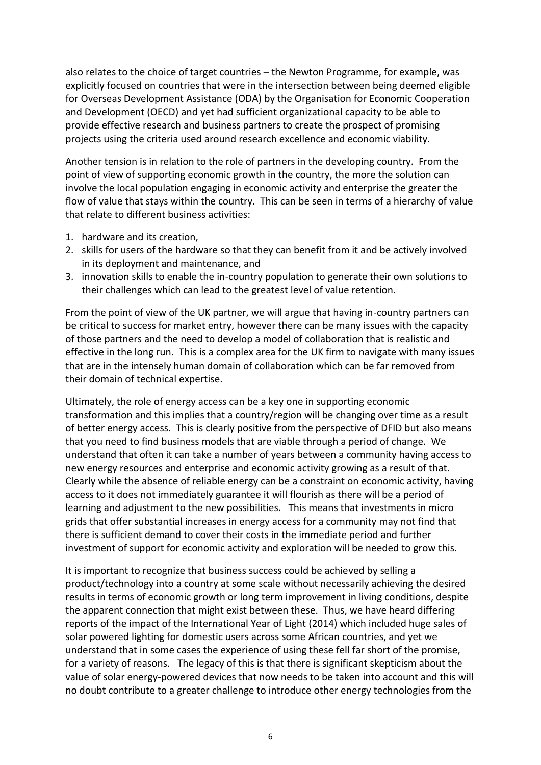also relates to the choice of target countries – the Newton Programme, for example, was explicitly focused on countries that were in the intersection between being deemed eligible for Overseas Development Assistance (ODA) by the Organisation for Economic Cooperation and Development (OECD) and yet had sufficient organizational capacity to be able to provide effective research and business partners to create the prospect of promising projects using the criteria used around research excellence and economic viability.

Another tension is in relation to the role of partners in the developing country. From the point of view of supporting economic growth in the country, the more the solution can involve the local population engaging in economic activity and enterprise the greater the flow of value that stays within the country. This can be seen in terms of a hierarchy of value that relate to different business activities:

- 1. hardware and its creation,
- 2. skills for users of the hardware so that they can benefit from it and be actively involved in its deployment and maintenance, and
- 3. innovation skills to enable the in-country population to generate their own solutions to their challenges which can lead to the greatest level of value retention.

From the point of view of the UK partner, we will argue that having in-country partners can be critical to success for market entry, however there can be many issues with the capacity of those partners and the need to develop a model of collaboration that is realistic and effective in the long run. This is a complex area for the UK firm to navigate with many issues that are in the intensely human domain of collaboration which can be far removed from their domain of technical expertise.

Ultimately, the role of energy access can be a key one in supporting economic transformation and this implies that a country/region will be changing over time as a result of better energy access. This is clearly positive from the perspective of DFID but also means that you need to find business models that are viable through a period of change. We understand that often it can take a number of years between a community having access to new energy resources and enterprise and economic activity growing as a result of that. Clearly while the absence of reliable energy can be a constraint on economic activity, having access to it does not immediately guarantee it will flourish as there will be a period of learning and adjustment to the new possibilities. This means that investments in micro grids that offer substantial increases in energy access for a community may not find that there is sufficient demand to cover their costs in the immediate period and further investment of support for economic activity and exploration will be needed to grow this.

It is important to recognize that business success could be achieved by selling a product/technology into a country at some scale without necessarily achieving the desired results in terms of economic growth or long term improvement in living conditions, despite the apparent connection that might exist between these. Thus, we have heard differing reports of the impact of the International Year of Light (2014) which included huge sales of solar powered lighting for domestic users across some African countries, and yet we understand that in some cases the experience of using these fell far short of the promise, for a variety of reasons. The legacy of this is that there is significant skepticism about the value of solar energy-powered devices that now needs to be taken into account and this will no doubt contribute to a greater challenge to introduce other energy technologies from the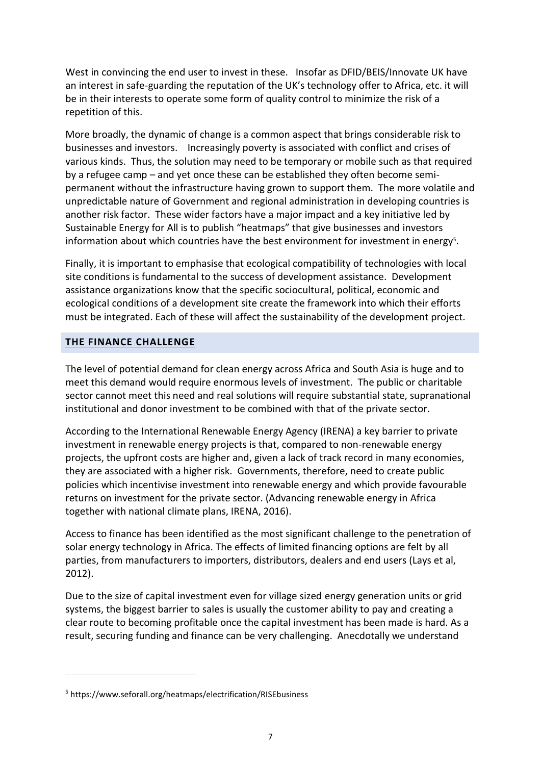West in convincing the end user to invest in these. Insofar as DFID/BEIS/Innovate UK have an interest in safe-guarding the reputation of the UK's technology offer to Africa, etc. it will be in their interests to operate some form of quality control to minimize the risk of a repetition of this.

More broadly, the dynamic of change is a common aspect that brings considerable risk to businesses and investors. Increasingly poverty is associated with conflict and crises of various kinds. Thus, the solution may need to be temporary or mobile such as that required by a refugee camp – and yet once these can be established they often become semipermanent without the infrastructure having grown to support them. The more volatile and unpredictable nature of Government and regional administration in developing countries is another risk factor. These wider factors have a major impact and a key initiative led by Sustainable Energy for All is to publish "heatmaps" that give businesses and investors information about which countries have the best environment for investment in energy<sup>5</sup>.

Finally, it is important to emphasise that ecological compatibility of technologies with local site conditions is fundamental to the success of development assistance. Development assistance organizations know that the specific sociocultural, political, economic and ecological conditions of a development site create the framework into which their efforts must be integrated. Each of these will affect the sustainability of the development project.

#### **THE FINANCE CHALLENGE**

The level of potential demand for clean energy across Africa and South Asia is huge and to meet this demand would require enormous levels of investment. The public or charitable sector cannot meet this need and real solutions will require substantial state, supranational institutional and donor investment to be combined with that of the private sector.

According to the International Renewable Energy Agency (IRENA) a key barrier to private investment in renewable energy projects is that, compared to non-renewable energy projects, the upfront costs are higher and, given a lack of track record in many economies, they are associated with a higher risk. Governments, therefore, need to create public policies which incentivise investment into renewable energy and which provide favourable returns on investment for the private sector. (Advancing renewable energy in Africa together with national climate plans, IRENA, 2016).

Access to finance has been identified as the most significant challenge to the penetration of solar energy technology in Africa. The effects of limited financing options are felt by all parties, from manufacturers to importers, distributors, dealers and end users (Lays et al, 2012).

Due to the size of capital investment even for village sized energy generation units or grid systems, the biggest barrier to sales is usually the customer ability to pay and creating a clear route to becoming profitable once the capital investment has been made is hard. As a result, securing funding and finance can be very challenging. Anecdotally we understand

1

<sup>5</sup> https://www.seforall.org/heatmaps/electrification/RISEbusiness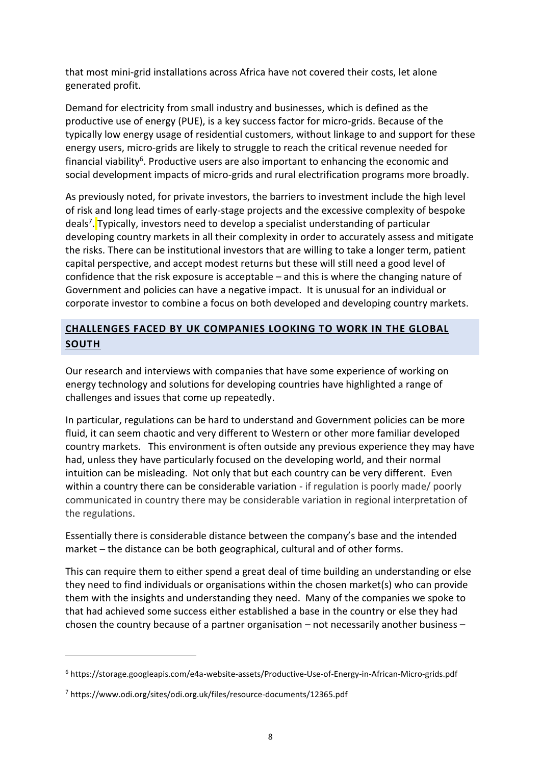that most mini-grid installations across Africa have not covered their costs, let alone generated profit.

Demand for electricity from small industry and businesses, which is defined as the productive use of energy (PUE), is a key success factor for micro-grids. Because of the typically low energy usage of residential customers, without linkage to and support for these energy users, micro-grids are likely to struggle to reach the critical revenue needed for financial viability<sup>6</sup>. Productive users are also important to enhancing the economic and social development impacts of micro-grids and rural electrification programs more broadly.

As previously noted, for private investors, the barriers to investment include the high level of risk and long lead times of early-stage projects and the excessive complexity of bespoke deals<sup>7</sup>. Typically, investors need to develop a specialist understanding of particular developing country markets in all their complexity in order to accurately assess and mitigate the risks. There can be institutional investors that are willing to take a longer term, patient capital perspective, and accept modest returns but these will still need a good level of confidence that the risk exposure is acceptable – and this is where the changing nature of Government and policies can have a negative impact. It is unusual for an individual or corporate investor to combine a focus on both developed and developing country markets.

### **CHALLENGES FACED BY UK COMPANIES LOOKING TO WORK IN THE GLOBAL SOUTH**

Our research and interviews with companies that have some experience of working on energy technology and solutions for developing countries have highlighted a range of challenges and issues that come up repeatedly.

In particular, regulations can be hard to understand and Government policies can be more fluid, it can seem chaotic and very different to Western or other more familiar developed country markets. This environment is often outside any previous experience they may have had, unless they have particularly focused on the developing world, and their normal intuition can be misleading. Not only that but each country can be very different. Even within a country there can be considerable variation - if regulation is poorly made/ poorly communicated in country there may be considerable variation in regional interpretation of the regulations.

Essentially there is considerable distance between the company's base and the intended market – the distance can be both geographical, cultural and of other forms.

This can require them to either spend a great deal of time building an understanding or else they need to find individuals or organisations within the chosen market(s) who can provide them with the insights and understanding they need. Many of the companies we spoke to that had achieved some success either established a base in the country or else they had chosen the country because of a partner organisation – not necessarily another business –

**.** 

<sup>6</sup> https://storage.googleapis.com/e4a-website-assets/Productive-Use-of-Energy-in-African-Micro-grids.pdf

<sup>7</sup> https://www.odi.org/sites/odi.org.uk/files/resource-documents/12365.pdf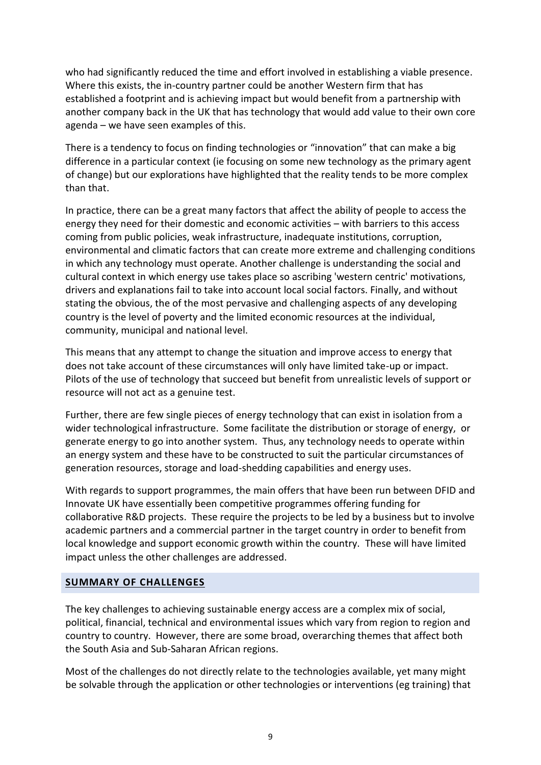who had significantly reduced the time and effort involved in establishing a viable presence. Where this exists, the in-country partner could be another Western firm that has established a footprint and is achieving impact but would benefit from a partnership with another company back in the UK that has technology that would add value to their own core agenda – we have seen examples of this.

There is a tendency to focus on finding technologies or "innovation" that can make a big difference in a particular context (ie focusing on some new technology as the primary agent of change) but our explorations have highlighted that the reality tends to be more complex than that.

In practice, there can be a great many factors that affect the ability of people to access the energy they need for their domestic and economic activities – with barriers to this access coming from public policies, weak infrastructure, inadequate institutions, corruption, environmental and climatic factors that can create more extreme and challenging conditions in which any technology must operate. Another challenge is understanding the social and cultural context in which energy use takes place so ascribing 'western centric' motivations, drivers and explanations fail to take into account local social factors. Finally, and without stating the obvious, the of the most pervasive and challenging aspects of any developing country is the level of poverty and the limited economic resources at the individual, community, municipal and national level.

This means that any attempt to change the situation and improve access to energy that does not take account of these circumstances will only have limited take-up or impact. Pilots of the use of technology that succeed but benefit from unrealistic levels of support or resource will not act as a genuine test.

Further, there are few single pieces of energy technology that can exist in isolation from a wider technological infrastructure. Some facilitate the distribution or storage of energy, or generate energy to go into another system. Thus, any technology needs to operate within an energy system and these have to be constructed to suit the particular circumstances of generation resources, storage and load-shedding capabilities and energy uses.

With regards to support programmes, the main offers that have been run between DFID and Innovate UK have essentially been competitive programmes offering funding for collaborative R&D projects. These require the projects to be led by a business but to involve academic partners and a commercial partner in the target country in order to benefit from local knowledge and support economic growth within the country. These will have limited impact unless the other challenges are addressed.

#### **SUMMARY OF CHALLENGES**

The key challenges to achieving sustainable energy access are a complex mix of social, political, financial, technical and environmental issues which vary from region to region and country to country. However, there are some broad, overarching themes that affect both the South Asia and Sub-Saharan African regions.

Most of the challenges do not directly relate to the technologies available, yet many might be solvable through the application or other technologies or interventions (eg training) that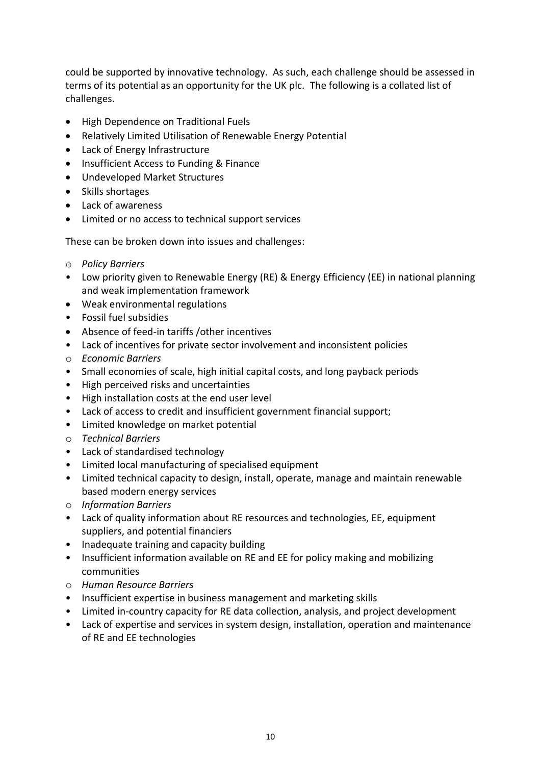could be supported by innovative technology. As such, each challenge should be assessed in terms of its potential as an opportunity for the UK plc. The following is a collated list of challenges.

- High Dependence on Traditional Fuels
- Relatively Limited Utilisation of Renewable Energy Potential
- Lack of Energy Infrastructure
- Insufficient Access to Funding & Finance
- Undeveloped Market Structures
- Skills shortages
- Lack of awareness
- Limited or no access to technical support services

These can be broken down into issues and challenges:

- o *Policy Barriers*
- Low priority given to Renewable Energy (RE) & Energy Efficiency (EE) in national planning and weak implementation framework
- Weak environmental regulations
- Fossil fuel subsidies
- Absence of feed-in tariffs /other incentives
- Lack of incentives for private sector involvement and inconsistent policies
- o *Economic Barriers*
- Small economies of scale, high initial capital costs, and long payback periods
- High perceived risks and uncertainties
- High installation costs at the end user level
- Lack of access to credit and insufficient government financial support;
- Limited knowledge on market potential
- o *Technical Barriers*
- Lack of standardised technology
- Limited local manufacturing of specialised equipment
- Limited technical capacity to design, install, operate, manage and maintain renewable based modern energy services
- o *Information Barriers*
- Lack of quality information about RE resources and technologies, EE, equipment suppliers, and potential financiers
- Inadequate training and capacity building
- Insufficient information available on RE and EE for policy making and mobilizing communities
- o *Human Resource Barriers*
- Insufficient expertise in business management and marketing skills
- Limited in-country capacity for RE data collection, analysis, and project development
- Lack of expertise and services in system design, installation, operation and maintenance of RE and EE technologies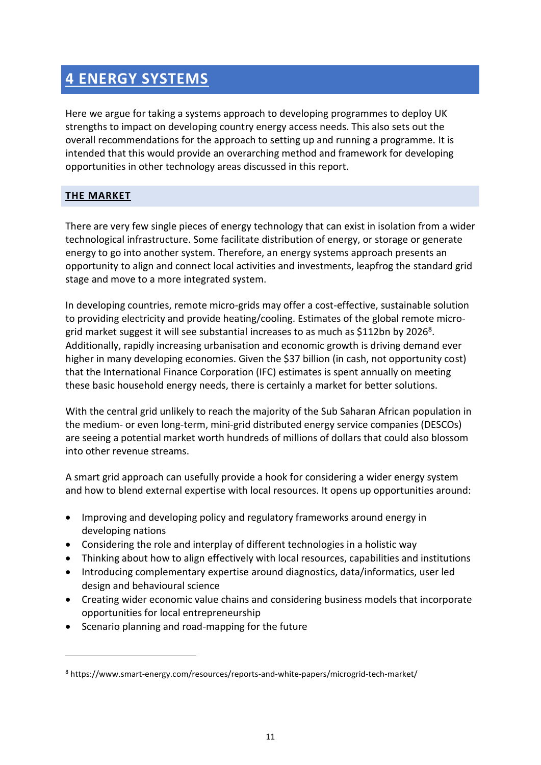### **4 ENERGY SYSTEMS**

Here we argue for taking a systems approach to developing programmes to deploy UK strengths to impact on developing country energy access needs. This also sets out the overall recommendations for the approach to setting up and running a programme. It is intended that this would provide an overarching method and framework for developing opportunities in other technology areas discussed in this report.

### **THE MARKET**

**.** 

There are very few single pieces of energy technology that can exist in isolation from a wider technological infrastructure. Some facilitate distribution of energy, or storage or generate energy to go into another system. Therefore, an energy systems approach presents an opportunity to align and connect local activities and investments, leapfrog the standard grid stage and move to a more integrated system.

In developing countries, remote micro-grids may offer a cost-effective, sustainable solution to providing electricity and provide heating/cooling. Estimates of the global remote microgrid market suggest it will see substantial increases to as much as \$112bn by 2026<sup>8</sup>. Additionally, rapidly increasing urbanisation and economic growth is driving demand ever higher in many developing economies. Given the \$37 billion (in cash, not opportunity cost) that the International Finance Corporation (IFC) estimates is spent annually on meeting these basic household energy needs, there is certainly a market for better solutions.

With the central grid unlikely to reach the majority of the Sub Saharan African population in the medium- or even long-term, mini-grid distributed energy service companies (DESCOs) are seeing a potential market worth hundreds of millions of dollars that could also blossom into other revenue streams.

A smart grid approach can usefully provide a hook for considering a wider energy system and how to blend external expertise with local resources. It opens up opportunities around:

- Improving and developing policy and regulatory frameworks around energy in developing nations
- Considering the role and interplay of different technologies in a holistic way
- Thinking about how to align effectively with local resources, capabilities and institutions
- Introducing complementary expertise around diagnostics, data/informatics, user led design and behavioural science
- Creating wider economic value chains and considering business models that incorporate opportunities for local entrepreneurship
- Scenario planning and road-mapping for the future

<sup>8</sup> https://www.smart-energy.com/resources/reports-and-white-papers/microgrid-tech-market/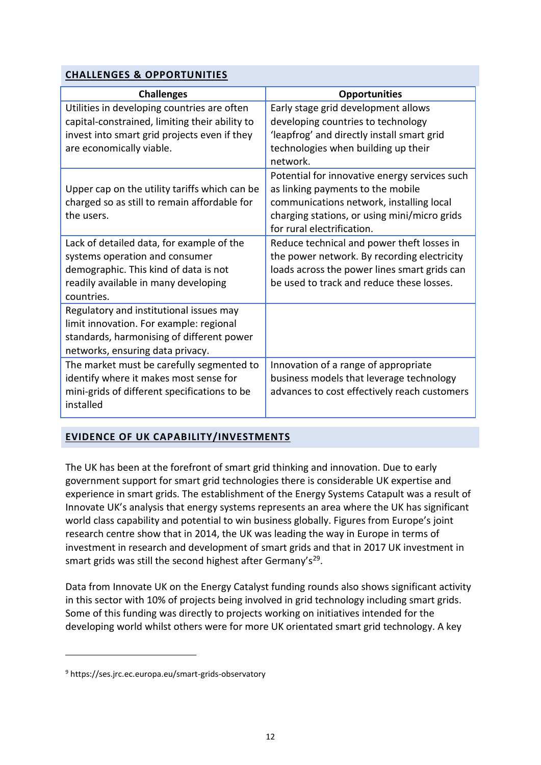#### **CHALLENGES & OPPORTUNITIES**

| <b>Challenges</b>                              | <b>Opportunities</b>                          |
|------------------------------------------------|-----------------------------------------------|
| Utilities in developing countries are often    | Early stage grid development allows           |
| capital-constrained, limiting their ability to | developing countries to technology            |
| invest into smart grid projects even if they   | 'leapfrog' and directly install smart grid    |
| are economically viable.                       | technologies when building up their           |
|                                                | network.                                      |
|                                                | Potential for innovative energy services such |
| Upper cap on the utility tariffs which can be  | as linking payments to the mobile             |
| charged so as still to remain affordable for   | communications network, installing local      |
| the users.                                     | charging stations, or using mini/micro grids  |
|                                                | for rural electrification.                    |
| Lack of detailed data, for example of the      | Reduce technical and power theft losses in    |
| systems operation and consumer                 | the power network. By recording electricity   |
| demographic. This kind of data is not          | loads across the power lines smart grids can  |
| readily available in many developing           | be used to track and reduce these losses.     |
| countries.                                     |                                               |
| Regulatory and institutional issues may        |                                               |
| limit innovation. For example: regional        |                                               |
| standards, harmonising of different power      |                                               |
| networks, ensuring data privacy.               |                                               |
| The market must be carefully segmented to      | Innovation of a range of appropriate          |
| identify where it makes most sense for         | business models that leverage technology      |
| mini-grids of different specifications to be   | advances to cost effectively reach customers  |
| installed                                      |                                               |
|                                                |                                               |

### **EVIDENCE OF UK CAPABILITY/INVESTMENTS**

The UK has been at the forefront of smart grid thinking and innovation. Due to early government support for smart grid technologies there is considerable UK expertise and experience in smart grids. The establishment of the Energy Systems Catapult was a result of Innovate UK's analysis that energy systems represents an area where the UK has significant world class capability and potential to win business globally. Figures from Europe's joint research centre show that in 2014, the UK was leading the way in Europe in terms of investment in research and development of smart grids and that in 2017 UK investment in smart grids was still the second highest after Germany's<sup>29</sup>.

Data from Innovate UK on the Energy Catalyst funding rounds also shows significant activity in this sector with 10% of projects being involved in grid technology including smart grids. Some of this funding was directly to projects working on initiatives intended for the developing world whilst others were for more UK orientated smart grid technology. A key

**.** 

<sup>9</sup> https://ses.jrc.ec.europa.eu/smart-grids-observatory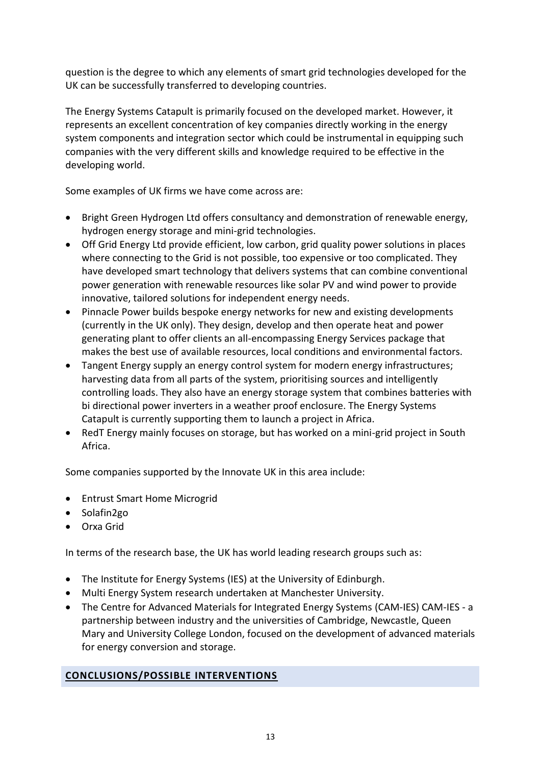question is the degree to which any elements of smart grid technologies developed for the UK can be successfully transferred to developing countries.

The Energy Systems Catapult is primarily focused on the developed market. However, it represents an excellent concentration of key companies directly working in the energy system components and integration sector which could be instrumental in equipping such companies with the very different skills and knowledge required to be effective in the developing world.

Some examples of UK firms we have come across are:

- Bright Green Hydrogen Ltd offers consultancy and demonstration of renewable energy, hydrogen energy storage and mini-grid technologies.
- Off Grid Energy Ltd provide efficient, low carbon, grid quality power solutions in places where connecting to the Grid is not possible, too expensive or too complicated. They have developed smart technology that delivers systems that can combine conventional power generation with renewable resources like solar PV and wind power to provide innovative, tailored solutions for independent energy needs.
- Pinnacle Power builds bespoke energy networks for new and existing developments (currently in the UK only). They design, develop and then operate heat and power generating plant to offer clients an all-encompassing Energy Services package that makes the best use of available resources, local conditions and environmental factors.
- Tangent Energy supply an energy control system for modern energy infrastructures; harvesting data from all parts of the system, prioritising sources and intelligently controlling loads. They also have an energy storage system that combines batteries with bi directional power inverters in a weather proof enclosure. The Energy Systems Catapult is currently supporting them to launch a project in Africa.
- RedT Energy mainly focuses on storage, but has worked on a mini-grid project in South Africa.

Some companies supported by the Innovate UK in this area include:

- Entrust Smart Home Microgrid
- Solafin2go
- Orxa Grid

In terms of the research base, the UK has world leading research groups such as:

- The Institute for Energy Systems (IES) at the University of Edinburgh.
- Multi Energy System research undertaken at Manchester University.
- The Centre for Advanced Materials for Integrated Energy Systems (CAM-IES) CAM-IES a partnership between industry and the universities of Cambridge, Newcastle, Queen Mary and University College London, focused on the development of advanced materials for energy conversion and storage.

#### **CONCLUSIONS/POSSIBLE INTERVENTIONS**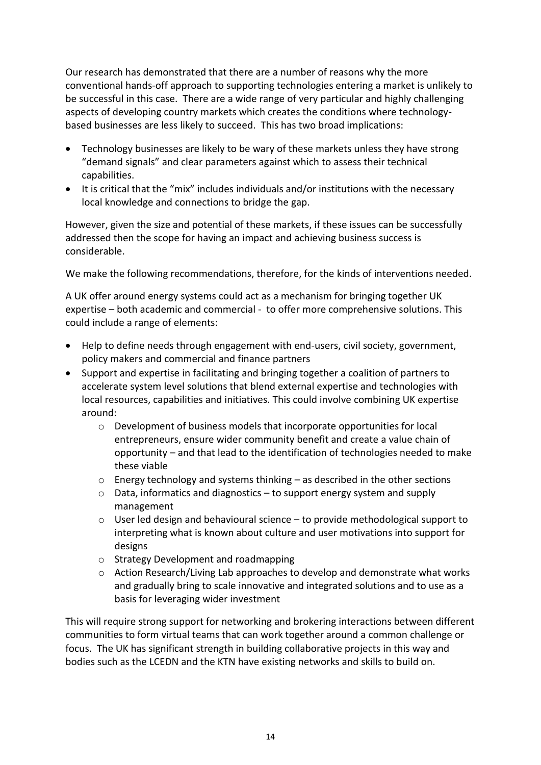Our research has demonstrated that there are a number of reasons why the more conventional hands-off approach to supporting technologies entering a market is unlikely to be successful in this case. There are a wide range of very particular and highly challenging aspects of developing country markets which creates the conditions where technologybased businesses are less likely to succeed. This has two broad implications:

- Technology businesses are likely to be wary of these markets unless they have strong "demand signals" and clear parameters against which to assess their technical capabilities.
- It is critical that the "mix" includes individuals and/or institutions with the necessary local knowledge and connections to bridge the gap.

However, given the size and potential of these markets, if these issues can be successfully addressed then the scope for having an impact and achieving business success is considerable.

We make the following recommendations, therefore, for the kinds of interventions needed.

A UK offer around energy systems could act as a mechanism for bringing together UK expertise – both academic and commercial - to offer more comprehensive solutions. This could include a range of elements:

- Help to define needs through engagement with end-users, civil society, government, policy makers and commercial and finance partners
- Support and expertise in facilitating and bringing together a coalition of partners to accelerate system level solutions that blend external expertise and technologies with local resources, capabilities and initiatives. This could involve combining UK expertise around:
	- o Development of business models that incorporate opportunities for local entrepreneurs, ensure wider community benefit and create a value chain of opportunity – and that lead to the identification of technologies needed to make these viable
	- $\circ$  Energy technology and systems thinking as described in the other sections
	- o Data, informatics and diagnostics to support energy system and supply management
	- $\circ$  User led design and behavioural science to provide methodological support to interpreting what is known about culture and user motivations into support for designs
	- o Strategy Development and roadmapping
	- o Action Research/Living Lab approaches to develop and demonstrate what works and gradually bring to scale innovative and integrated solutions and to use as a basis for leveraging wider investment

This will require strong support for networking and brokering interactions between different communities to form virtual teams that can work together around a common challenge or focus. The UK has significant strength in building collaborative projects in this way and bodies such as the LCEDN and the KTN have existing networks and skills to build on.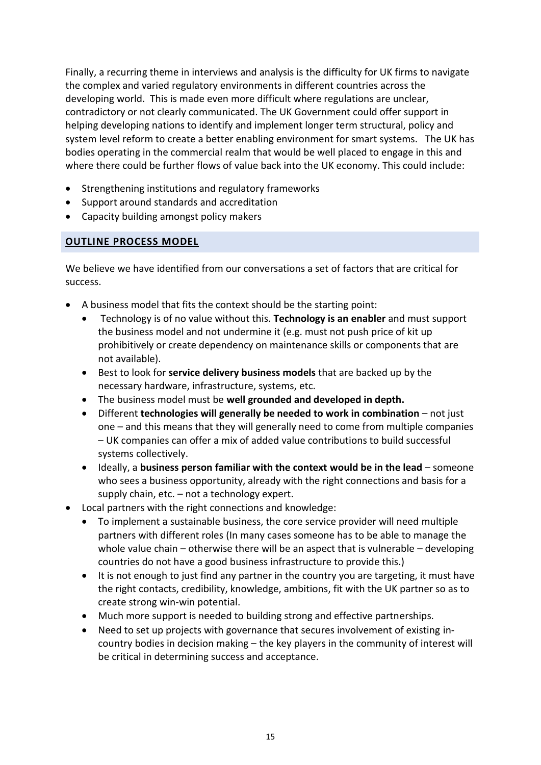Finally, a recurring theme in interviews and analysis is the difficulty for UK firms to navigate the complex and varied regulatory environments in different countries across the developing world. This is made even more difficult where regulations are unclear, contradictory or not clearly communicated. The UK Government could offer support in helping developing nations to identify and implement longer term structural, policy and system level reform to create a better enabling environment for smart systems. The UK has bodies operating in the commercial realm that would be well placed to engage in this and where there could be further flows of value back into the UK economy. This could include:

- Strengthening institutions and regulatory frameworks
- Support around standards and accreditation
- Capacity building amongst policy makers

#### **OUTLINE PROCESS MODEL**

We believe we have identified from our conversations a set of factors that are critical for success.

- A business model that fits the context should be the starting point:
	- Technology is of no value without this. **Technology is an enabler** and must support the business model and not undermine it (e.g. must not push price of kit up prohibitively or create dependency on maintenance skills or components that are not available).
	- Best to look for **service delivery business models** that are backed up by the necessary hardware, infrastructure, systems, etc.
	- The business model must be **well grounded and developed in depth.**
	- Different **technologies will generally be needed to work in combination** not just one – and this means that they will generally need to come from multiple companies – UK companies can offer a mix of added value contributions to build successful systems collectively.
	- Ideally, a **business person familiar with the context would be in the lead** someone who sees a business opportunity, already with the right connections and basis for a supply chain, etc. – not a technology expert.
- Local partners with the right connections and knowledge:
	- To implement a sustainable business, the core service provider will need multiple partners with different roles (In many cases someone has to be able to manage the whole value chain – otherwise there will be an aspect that is vulnerable – developing countries do not have a good business infrastructure to provide this.)
	- It is not enough to just find any partner in the country you are targeting, it must have the right contacts, credibility, knowledge, ambitions, fit with the UK partner so as to create strong win-win potential.
	- Much more support is needed to building strong and effective partnerships.
	- Need to set up projects with governance that secures involvement of existing incountry bodies in decision making – the key players in the community of interest will be critical in determining success and acceptance.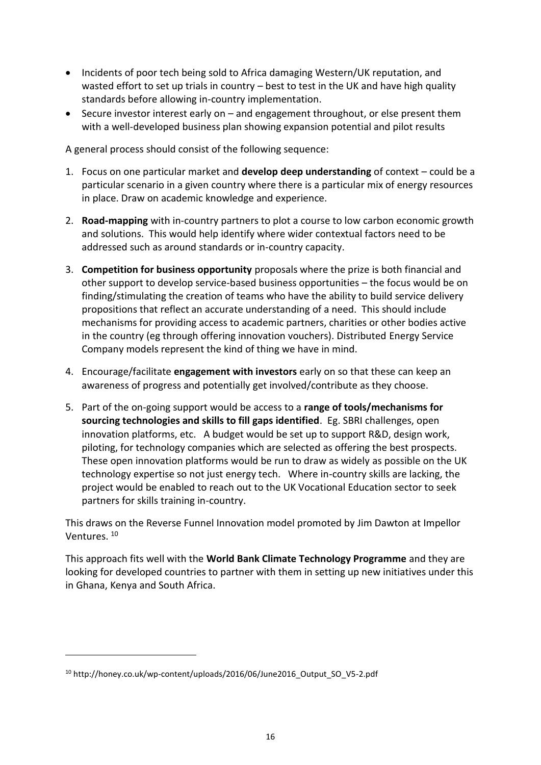- Incidents of poor tech being sold to Africa damaging Western/UK reputation, and wasted effort to set up trials in country – best to test in the UK and have high quality standards before allowing in-country implementation.
- Secure investor interest early on and engagement throughout, or else present them with a well-developed business plan showing expansion potential and pilot results

A general process should consist of the following sequence:

- 1. Focus on one particular market and **develop deep understanding** of context could be a particular scenario in a given country where there is a particular mix of energy resources in place. Draw on academic knowledge and experience.
- 2. **Road-mapping** with in-country partners to plot a course to low carbon economic growth and solutions. This would help identify where wider contextual factors need to be addressed such as around standards or in-country capacity.
- 3. **Competition for business opportunity** proposals where the prize is both financial and other support to develop service-based business opportunities – the focus would be on finding/stimulating the creation of teams who have the ability to build service delivery propositions that reflect an accurate understanding of a need. This should include mechanisms for providing access to academic partners, charities or other bodies active in the country (eg through offering innovation vouchers). Distributed Energy Service Company models represent the kind of thing we have in mind.
- 4. Encourage/facilitate **engagement with investors** early on so that these can keep an awareness of progress and potentially get involved/contribute as they choose.
- 5. Part of the on-going support would be access to a **range of tools/mechanisms for sourcing technologies and skills to fill gaps identified**. Eg. SBRI challenges, open innovation platforms, etc. A budget would be set up to support R&D, design work, piloting, for technology companies which are selected as offering the best prospects. These open innovation platforms would be run to draw as widely as possible on the UK technology expertise so not just energy tech. Where in-country skills are lacking, the project would be enabled to reach out to the UK Vocational Education sector to seek partners for skills training in-country.

This draws on the Reverse Funnel Innovation model promoted by Jim Dawton at Impellor Ventures. <sup>10</sup>

This approach fits well with the **World Bank Climate Technology Programme** and they are looking for developed countries to partner with them in setting up new initiatives under this in Ghana, Kenya and South Africa.

**.** 

<sup>10</sup> http://honey.co.uk/wp-content/uploads/2016/06/June2016\_Output\_SO\_V5-2.pdf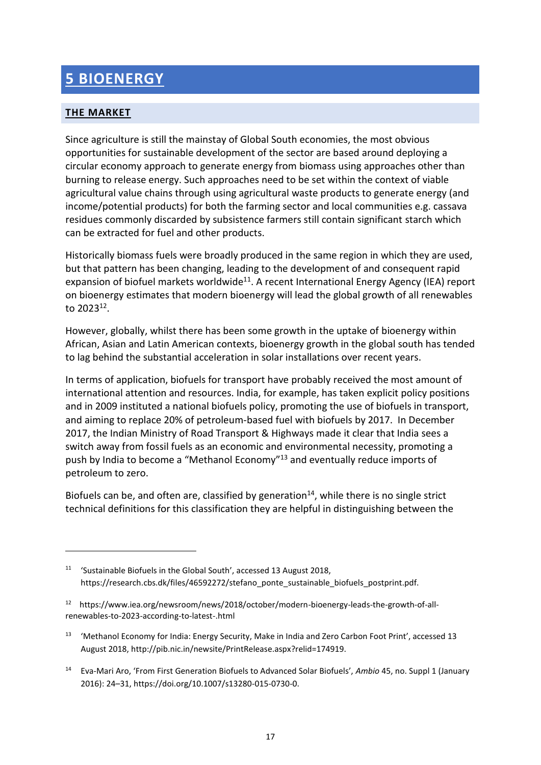# **5 BIOENERGY**

### **THE MARKET**

**.** 

Since agriculture is still the mainstay of Global South economies, the most obvious opportunities for sustainable development of the sector are based around deploying a circular economy approach to generate energy from biomass using approaches other than burning to release energy. Such approaches need to be set within the context of viable agricultural value chains through using agricultural waste products to generate energy (and income/potential products) for both the farming sector and local communities e.g. cassava residues commonly discarded by subsistence farmers still contain significant starch which can be extracted for fuel and other products.

Historically biomass fuels were broadly produced in the same region in which they are used, but that pattern has been changing, leading to the development of and consequent rapid expansion of biofuel markets worldwide<sup>11</sup>. A recent International Energy Agency (IEA) report on bioenergy estimates that modern bioenergy will lead the global growth of all renewables to 2023<sup>12</sup>.

However, globally, whilst there has been some growth in the uptake of bioenergy within African, Asian and Latin American contexts, bioenergy growth in the global south has tended to lag behind the substantial acceleration in solar installations over recent years.

In terms of application, biofuels for transport have probably received the most amount of international attention and resources. India, for example, has taken explicit policy positions and in 2009 instituted a national biofuels policy, promoting the use of biofuels in transport, and aiming to replace 20% of petroleum-based fuel with biofuels by 2017. In December 2017, the Indian Ministry of Road Transport & Highways made it clear that India sees a switch away from fossil fuels as an economic and environmental necessity, promoting a push by India to become a "Methanol Economy"<sup>13</sup> and eventually reduce imports of petroleum to zero.

Biofuels can be, and often are, classified by generation<sup>14</sup>, while there is no single strict technical definitions for this classification they are helpful in distinguishing between the

<sup>11</sup> 'Sustainable Biofuels in the Global South', accessed 13 August 2018, https://research.cbs.dk/files/46592272/stefano\_ponte\_sustainable\_biofuels\_postprint.pdf.

<sup>&</sup>lt;sup>12</sup> https://www.iea.org/newsroom/news/2018/october/modern-bioenergy-leads-the-growth-of-allrenewables-to-2023-according-to-latest-.html

<sup>&</sup>lt;sup>13</sup> 'Methanol Economy for India: Energy Security, Make in India and Zero Carbon Foot Print', accessed 13 August 2018, http://pib.nic.in/newsite/PrintRelease.aspx?relid=174919.

<sup>14</sup> Eva-Mari Aro, 'From First Generation Biofuels to Advanced Solar Biofuels', *Ambio* 45, no. Suppl 1 (January 2016): 24–31, https://doi.org/10.1007/s13280-015-0730-0.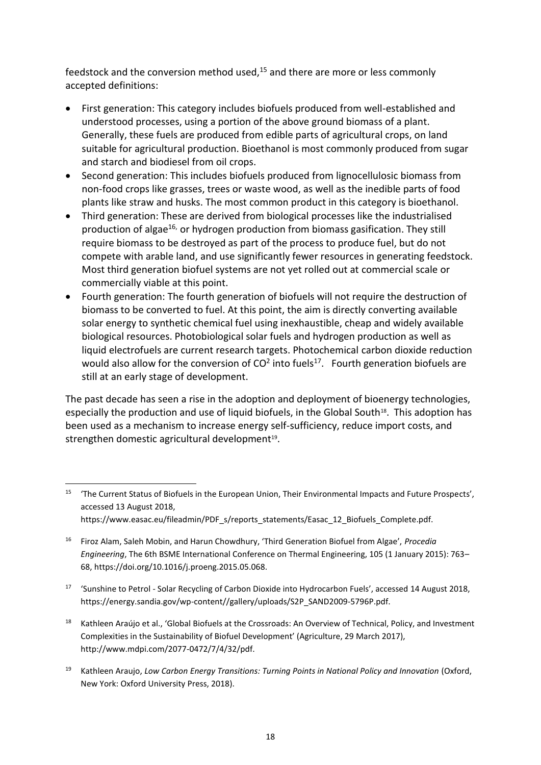feedstock and the conversion method used, $15$  and there are more or less commonly accepted definitions:

- First generation: This category includes biofuels produced from well-established and understood processes, using a portion of the above ground biomass of a plant. Generally, these fuels are produced from edible parts of agricultural crops, on land suitable for agricultural production. Bioethanol is most commonly produced from sugar and starch and biodiesel from oil crops.
- Second generation: This includes biofuels produced from lignocellulosic biomass from non-food crops like grasses, trees or waste wood, as well as the inedible parts of food plants like straw and husks. The most common product in this category is bioethanol.
- Third generation: These are derived from biological processes like the industrialised production of algae<sup>16,</sup> or hydrogen production from biomass gasification. They still require biomass to be destroyed as part of the process to produce fuel, but do not compete with arable land, and use significantly fewer resources in generating feedstock. Most third generation biofuel systems are not yet rolled out at commercial scale or commercially viable at this point.
- Fourth generation: The fourth generation of biofuels will not require the destruction of biomass to be converted to fuel. At this point, the aim is directly converting available solar energy to synthetic chemical fuel using inexhaustible, cheap and widely available biological resources. Photobiological solar fuels and hydrogen production as well as liquid electrofuels are current research targets. Photochemical carbon dioxide reduction would also allow for the conversion of  $CO<sup>2</sup>$  into fuels<sup>17</sup>. Fourth generation biofuels are still at an early stage of development.

The past decade has seen a rise in the adoption and deployment of bioenergy technologies, especially the production and use of liquid biofuels, in the Global South<sup>18</sup>. This adoption has been used as a mechanism to increase energy self-sufficiency, reduce import costs, and strengthen domestic agricultural development<sup>19</sup>.

**.** 

- <sup>17</sup> 'Sunshine to Petrol Solar Recycling of Carbon Dioxide into Hydrocarbon Fuels', accessed 14 August 2018, https://energy.sandia.gov/wp-content//gallery/uploads/S2P\_SAND2009-5796P.pdf.
- <sup>18</sup> Kathleen Araújo et al., 'Global Biofuels at the Crossroads: An Overview of Technical, Policy, and Investment Complexities in the Sustainability of Biofuel Development' (Agriculture, 29 March 2017), http://www.mdpi.com/2077-0472/7/4/32/pdf.
- <sup>19</sup> Kathleen Araujo, Low Carbon Energy Transitions: Turning Points in National Policy and Innovation (Oxford, New York: Oxford University Press, 2018).

<sup>15</sup> 'The Current Status of Biofuels in the European Union, Their Environmental Impacts and Future Prospects', accessed 13 August 2018, https://www.easac.eu/fileadmin/PDF s/reports statements/Easac\_12\_Biofuels\_Complete.pdf.

<sup>16</sup> Firoz Alam, Saleh Mobin, and Harun Chowdhury, 'Third Generation Biofuel from Algae', *Procedia Engineering*, The 6th BSME International Conference on Thermal Engineering, 105 (1 January 2015): 763– 68, https://doi.org/10.1016/j.proeng.2015.05.068.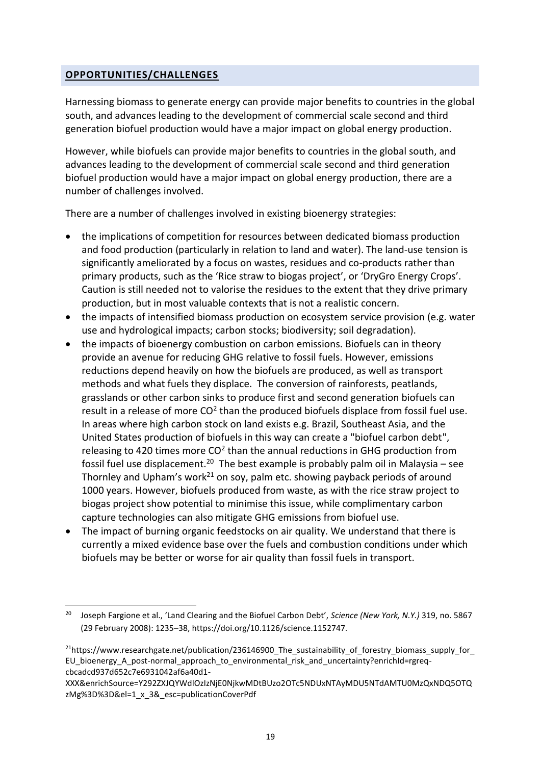#### **OPPORTUNITIES/CHALLENGES**

**.** 

Harnessing biomass to generate energy can provide major benefits to countries in the global south, and advances leading to the development of commercial scale second and third generation biofuel production would have a major impact on global energy production.

However, while biofuels can provide major benefits to countries in the global south, and advances leading to the development of commercial scale second and third generation biofuel production would have a major impact on global energy production, there are a number of challenges involved.

There are a number of challenges involved in existing bioenergy strategies:

- the implications of competition for resources between dedicated biomass production and food production (particularly in relation to land and water). The land-use tension is significantly ameliorated by a focus on wastes, residues and co-products rather than primary products, such as the 'Rice straw to biogas project', or 'DryGro Energy Crops'. Caution is still needed not to valorise the residues to the extent that they drive primary production, but in most valuable contexts that is not a realistic concern.
- the impacts of intensified biomass production on ecosystem service provision (e.g. water use and hydrological impacts; carbon stocks; biodiversity; soil degradation).
- the impacts of bioenergy combustion on carbon emissions. Biofuels can in theory provide an avenue for reducing GHG relative to fossil fuels. However, emissions reductions depend heavily on how the biofuels are produced, as well as transport methods and what fuels they displace. The conversion of rainforests, peatlands, grasslands or other carbon sinks to produce first and second generation biofuels can result in a release of more  $CO<sup>2</sup>$  than the produced biofuels displace from fossil fuel use. In areas where high carbon stock on land exists e.g. Brazil, Southeast Asia, and the United States production of biofuels in this way can create a "biofuel carbon debt", releasing to 420 times more  $CO<sup>2</sup>$  than the annual reductions in GHG production from fossil fuel use displacement.<sup>20</sup> The best example is probably palm oil in Malaysia – see Thornley and Upham's work<sup>21</sup> on soy, palm etc. showing payback periods of around 1000 years. However, biofuels produced from waste, as with the rice straw project to biogas project show potential to minimise this issue, while complimentary carbon capture technologies can also mitigate GHG emissions from biofuel use.
- The impact of burning organic feedstocks on air quality. We understand that there is currently a mixed evidence base over the fuels and combustion conditions under which biofuels may be better or worse for air quality than fossil fuels in transport.

<sup>20</sup> Joseph Fargione et al., 'Land Clearing and the Biofuel Carbon Debt', *Science (New York, N.Y.)* 319, no. 5867 (29 February 2008): 1235–38, https://doi.org/10.1126/science.1152747.

<sup>&</sup>lt;sup>21</sup>https://www.researchgate.net/publication/236146900\_The\_sustainability\_of\_forestry\_biomass\_supply\_for EU bioenergy A post-normal approach to environmental risk and uncertainty?enrichId=rgreqcbcadcd937d652c7e6931042af6a40d1-

XXX&enrichSource=Y292ZXJQYWdlOzIzNjE0NjkwMDtBUzo2OTc5NDUxNTAyMDU5NTdAMTU0MzQxNDQ5OTQ zMg%3D%3D&el=1\_x\_3&\_esc=publicationCoverPdf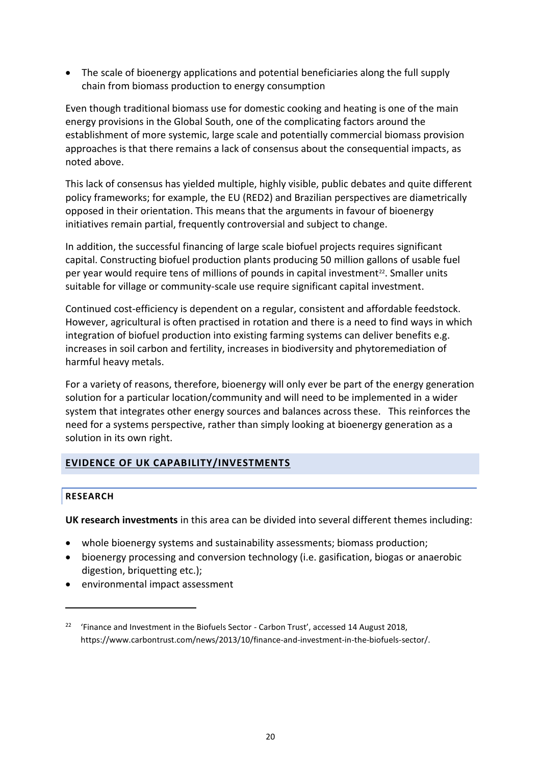• The scale of bioenergy applications and potential beneficiaries along the full supply chain from biomass production to energy consumption

Even though traditional biomass use for domestic cooking and heating is one of the main energy provisions in the Global South, one of the complicating factors around the establishment of more systemic, large scale and potentially commercial biomass provision approaches is that there remains a lack of consensus about the consequential impacts, as noted above.

This lack of consensus has yielded multiple, highly visible, public debates and quite different policy frameworks; for example, the EU (RED2) and Brazilian perspectives are diametrically opposed in their orientation. This means that the arguments in favour of bioenergy initiatives remain partial, frequently controversial and subject to change.

In addition, the successful financing of large scale biofuel projects requires significant capital. Constructing biofuel production plants producing 50 million gallons of usable fuel per year would require tens of millions of pounds in capital investment<sup>22</sup>. Smaller units suitable for village or community-scale use require significant capital investment.

Continued cost-efficiency is dependent on a regular, consistent and affordable feedstock. However, agricultural is often practised in rotation and there is a need to find ways in which integration of biofuel production into existing farming systems can deliver benefits e.g. increases in soil carbon and fertility, increases in biodiversity and phytoremediation of harmful heavy metals.

For a variety of reasons, therefore, bioenergy will only ever be part of the energy generation solution for a particular location/community and will need to be implemented in a wider system that integrates other energy sources and balances across these. This reinforces the need for a systems perspective, rather than simply looking at bioenergy generation as a solution in its own right.

#### **EVIDENCE OF UK CAPABILITY/INVESTMENTS**

#### **RESEARCH**

**.** 

**UK research investments** in this area can be divided into several different themes including:

- whole bioenergy systems and sustainability assessments; biomass production;
- bioenergy processing and conversion technology (i.e. gasification, biogas or anaerobic digestion, briquetting etc.);
- environmental impact assessment

<sup>&</sup>lt;sup>22</sup> 'Finance and Investment in the Biofuels Sector - Carbon Trust', accessed 14 August 2018, https://www.carbontrust.com/news/2013/10/finance-and-investment-in-the-biofuels-sector/.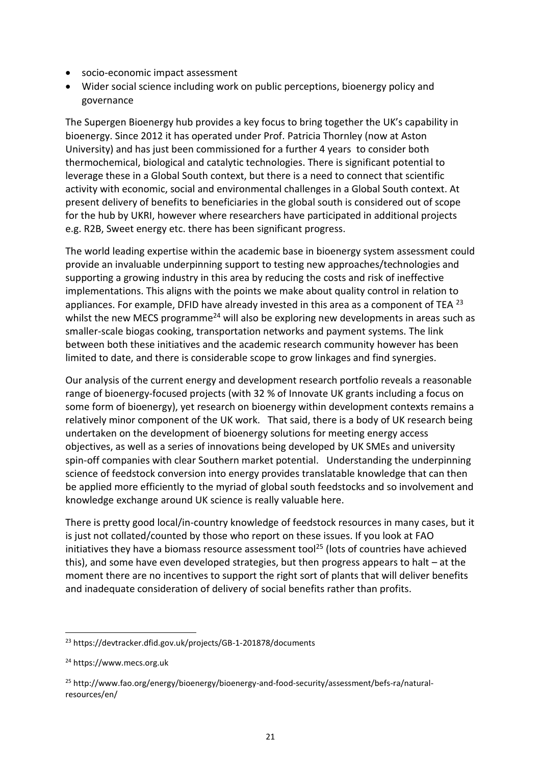- socio-economic impact assessment
- Wider social science including work on public perceptions, bioenergy policy and governance

The Supergen Bioenergy hub provides a key focus to bring together the UK's capability in bioenergy. Since 2012 it has operated under Prof. Patricia Thornley (now at Aston University) and has just been commissioned for a further 4 years to consider both thermochemical, biological and catalytic technologies. There is significant potential to leverage these in a Global South context, but there is a need to connect that scientific activity with economic, social and environmental challenges in a Global South context. At present delivery of benefits to beneficiaries in the global south is considered out of scope for the hub by UKRI, however where researchers have participated in additional projects e.g. R2B, Sweet energy etc. there has been significant progress.

The world leading expertise within the academic base in bioenergy system assessment could provide an invaluable underpinning support to testing new approaches/technologies and supporting a growing industry in this area by reducing the costs and risk of ineffective implementations. This aligns with the points we make about quality control in relation to appliances. For example, DFID have already invested in this area as a component of TEA <sup>23</sup> whilst the new MECS programme<sup>24</sup> will also be exploring new developments in areas such as smaller-scale biogas cooking, transportation networks and payment systems. The link between both these initiatives and the academic research community however has been limited to date, and there is considerable scope to grow linkages and find synergies.

Our analysis of the current energy and development research portfolio reveals a reasonable range of bioenergy-focused projects (with 32 % of Innovate UK grants including a focus on some form of bioenergy), yet research on bioenergy within development contexts remains a relatively minor component of the UK work. That said, there is a body of UK research being undertaken on the development of bioenergy solutions for meeting energy access objectives, as well as a series of innovations being developed by UK SMEs and university spin-off companies with clear Southern market potential. Understanding the underpinning science of feedstock conversion into energy provides translatable knowledge that can then be applied more efficiently to the myriad of global south feedstocks and so involvement and knowledge exchange around UK science is really valuable here.

There is pretty good local/in-country knowledge of feedstock resources in many cases, but it is just not collated/counted by those who report on these issues. If you look at FAO initiatives they have a biomass resource assessment tool<sup>25</sup> (lots of countries have achieved this), and some have even developed strategies, but then progress appears to halt – at the moment there are no incentives to support the right sort of plants that will deliver benefits and inadequate consideration of delivery of social benefits rather than profits.

**-**

<sup>23</sup> https://devtracker.dfid.gov.uk/projects/GB-1-201878/documents

<sup>24</sup> https://www.mecs.org.uk

<sup>25</sup> http://www.fao.org/energy/bioenergy/bioenergy-and-food-security/assessment/befs-ra/naturalresources/en/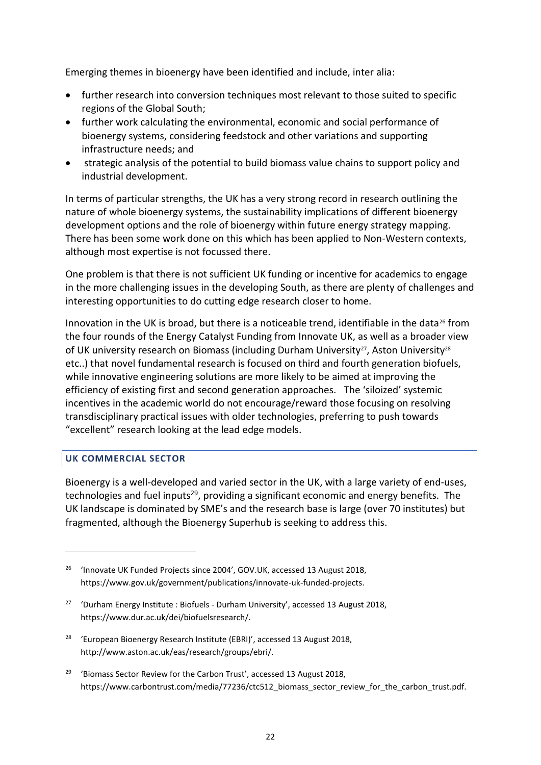Emerging themes in bioenergy have been identified and include, inter alia:

- further research into conversion techniques most relevant to those suited to specific regions of the Global South;
- further work calculating the environmental, economic and social performance of bioenergy systems, considering feedstock and other variations and supporting infrastructure needs; and
- strategic analysis of the potential to build biomass value chains to support policy and industrial development.

In terms of particular strengths, the UK has a very strong record in research outlining the nature of whole bioenergy systems, the sustainability implications of different bioenergy development options and the role of bioenergy within future energy strategy mapping. There has been some work done on this which has been applied to Non-Western contexts, although most expertise is not focussed there.

One problem is that there is not sufficient UK funding or incentive for academics to engage in the more challenging issues in the developing South, as there are plenty of challenges and interesting opportunities to do cutting edge research closer to home.

Innovation in the UK is broad, but there is a noticeable trend, identifiable in the data<sup>26</sup> from the four rounds of the Energy Catalyst Funding from Innovate UK, as well as a broader view of UK university research on Biomass (including Durham University<sup>27</sup>, Aston University<sup>28</sup> etc..) that novel fundamental research is focused on third and fourth generation biofuels, while innovative engineering solutions are more likely to be aimed at improving the efficiency of existing first and second generation approaches. The 'siloized' systemic incentives in the academic world do not encourage/reward those focusing on resolving transdisciplinary practical issues with older technologies, preferring to push towards "excellent" research looking at the lead edge models.

#### **UK COMMERCIAL SECTOR**

**.** 

Bioenergy is a well-developed and varied sector in the UK, with a large variety of end-uses, technologies and fuel inputs<sup>29</sup>, providing a significant economic and energy benefits. The UK landscape is dominated by SME's and the research base is large (over 70 institutes) but fragmented, although the Bioenergy Superhub is seeking to address this.

- <sup>28</sup> 'European Bioenergy Research Institute (EBRI)', accessed 13 August 2018, http://www.aston.ac.uk/eas/research/groups/ebri/.
- <sup>29</sup> 'Biomass Sector Review for the Carbon Trust', accessed 13 August 2018, https://www.carbontrust.com/media/77236/ctc512\_biomass\_sector\_review\_for\_the\_carbon\_trust.pdf.

<sup>&</sup>lt;sup>26</sup> 'Innovate UK Funded Projects since 2004', GOV.UK, accessed 13 August 2018, https://www.gov.uk/government/publications/innovate-uk-funded-projects.

<sup>&</sup>lt;sup>27</sup> 'Durham Energy Institute : Biofuels - Durham University', accessed 13 August 2018, https://www.dur.ac.uk/dei/biofuelsresearch/.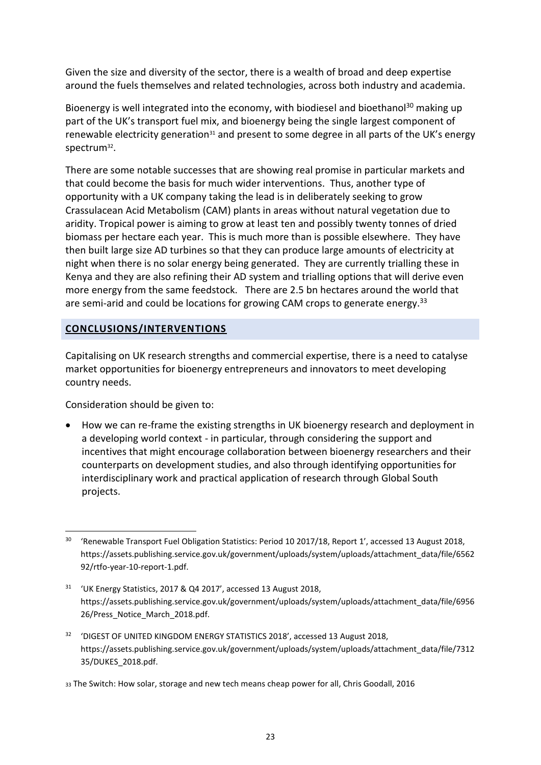Given the size and diversity of the sector, there is a wealth of broad and deep expertise around the fuels themselves and related technologies, across both industry and academia.

Bioenergy is well integrated into the economy, with biodiesel and bioethanol<sup>30</sup> making up part of the UK's transport fuel mix, and bioenergy being the single largest component of renewable electricity generation<sup>31</sup> and present to some degree in all parts of the UK's energy spectrum<sup>32</sup>.

There are some notable successes that are showing real promise in particular markets and that could become the basis for much wider interventions. Thus, another type of opportunity with a UK company taking the lead is in deliberately seeking to grow Crassulacean Acid Metabolism (CAM) plants in areas without natural vegetation due to aridity. Tropical power is aiming to grow at least ten and possibly twenty tonnes of dried biomass per hectare each year. This is much more than is possible elsewhere. They have then built large size AD turbines so that they can produce large amounts of electricity at night when there is no solar energy being generated. They are currently trialling these in Kenya and they are also refining their AD system and trialling options that will derive even more energy from the same feedstock. There are 2.5 bn hectares around the world that are semi-arid and could be locations for growing CAM crops to generate energy.<sup>33</sup>

#### **CONCLUSIONS/INTERVENTIONS**

Capitalising on UK research strengths and commercial expertise, there is a need to catalyse market opportunities for bioenergy entrepreneurs and innovators to meet developing country needs.

Consideration should be given to:

• How we can re-frame the existing strengths in UK bioenergy research and deployment in a developing world context - in particular, through considering the support and incentives that might encourage collaboration between bioenergy researchers and their counterparts on development studies, and also through identifying opportunities for interdisciplinary work and practical application of research through Global South projects.

<sup>1</sup> <sup>30</sup> 'Renewable Transport Fuel Obligation Statistics: Period 10 2017/18, Report 1', accessed 13 August 2018, https://assets.publishing.service.gov.uk/government/uploads/system/uploads/attachment\_data/file/6562 92/rtfo-year-10-report-1.pdf.

<sup>31</sup> 'UK Energy Statistics, 2017 & Q4 2017', accessed 13 August 2018, https://assets.publishing.service.gov.uk/government/uploads/system/uploads/attachment\_data/file/6956 26/Press\_Notice\_March\_2018.pdf.

<sup>&</sup>lt;sup>32</sup> 'DIGEST OF UNITED KINGDOM ENERGY STATISTICS 2018', accessed 13 August 2018, https://assets.publishing.service.gov.uk/government/uploads/system/uploads/attachment\_data/file/7312 35/DUKES\_2018.pdf.

<sup>33</sup> The Switch: How solar, storage and new tech means cheap power for all, Chris Goodall, 2016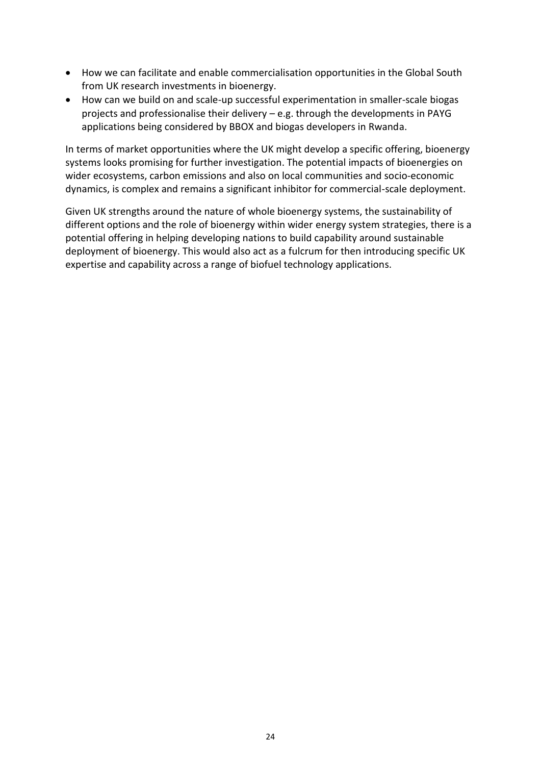- How we can facilitate and enable commercialisation opportunities in the Global South from UK research investments in bioenergy.
- How can we build on and scale-up successful experimentation in smaller-scale biogas projects and professionalise their delivery – e.g. through the developments in PAYG applications being considered by BBOX and biogas developers in Rwanda.

In terms of market opportunities where the UK might develop a specific offering, bioenergy systems looks promising for further investigation. The potential impacts of bioenergies on wider ecosystems, carbon emissions and also on local communities and socio-economic dynamics, is complex and remains a significant inhibitor for commercial-scale deployment.

Given UK strengths around the nature of whole bioenergy systems, the sustainability of different options and the role of bioenergy within wider energy system strategies, there is a potential offering in helping developing nations to build capability around sustainable deployment of bioenergy. This would also act as a fulcrum for then introducing specific UK expertise and capability across a range of biofuel technology applications.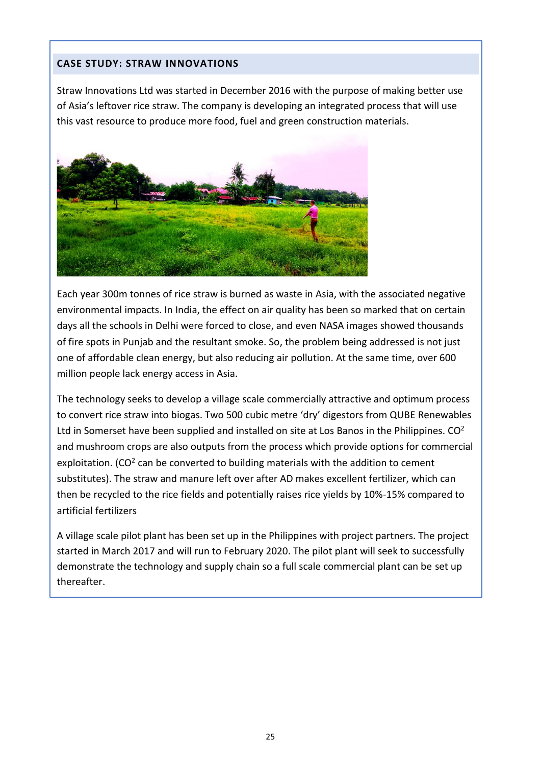#### **CASE STUDY: STRAW INNOVATIONS**

Straw Innovations Ltd was started in December 2016 with the purpose of making better use of Asia's leftover rice straw. The company is developing an integrated process that will use this vast resource to produce more food, fuel and green construction materials.



Each year 300m tonnes of rice straw is burned as waste in Asia, with the associated negative environmental impacts. In India, the effect on air quality has been so marked that on certain days all the schools in Delhi were forced to close, and even NASA images showed thousands of fire spots in Punjab and the resultant smoke. So, the problem being addressed is not just one of affordable clean energy, but also reducing air pollution. At the same time, over 600 million people lack energy access in Asia.

The technology seeks to develop a village scale commercially attractive and optimum process to convert rice straw into biogas. Two 500 cubic metre 'dry' digestors from QUBE Renewables Ltd in Somerset have been supplied and installed on site at Los Banos in the Philippines.  $CO<sup>2</sup>$ and mushroom crops are also outputs from the process which provide options for commercial exploitation. (CO<sup>2</sup> can be converted to building materials with the addition to cement substitutes). The straw and manure left over after AD makes excellent fertilizer, which can then be recycled to the rice fields and potentially raises rice yields by 10%-15% compared to artificial fertilizers

A village scale pilot plant has been set up in the Philippines with project partners. The project started in March 2017 and will run to February 2020. The pilot plant will seek to successfully demonstrate the technology and supply chain so a full scale commercial plant can be set up thereafter.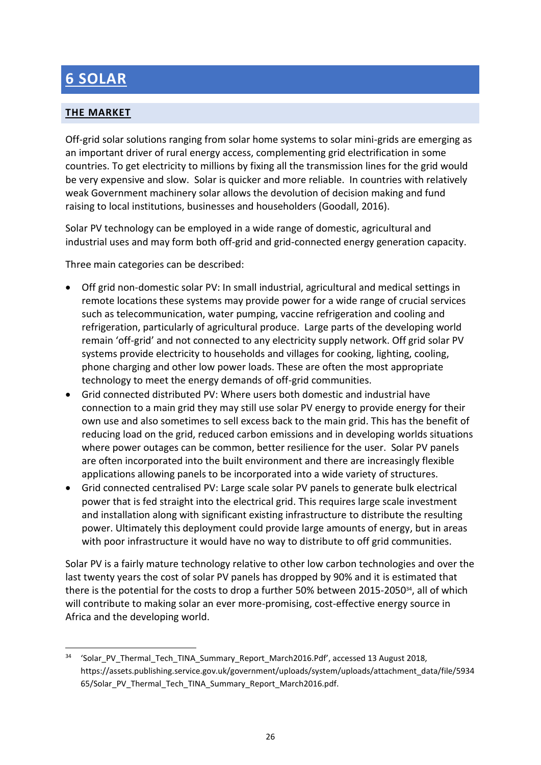## **6 SOLAR**

### **THE MARKET**

Off-grid solar solutions ranging from solar home systems to solar mini-grids are emerging as an important driver of rural energy access, complementing grid electrification in some countries. To get electricity to millions by fixing all the transmission lines for the grid would be very expensive and slow. Solar is quicker and more reliable. In countries with relatively weak Government machinery solar allows the devolution of decision making and fund raising to local institutions, businesses and householders (Goodall, 2016).

Solar PV technology can be employed in a wide range of domestic, agricultural and industrial uses and may form both off-grid and grid-connected energy generation capacity.

Three main categories can be described:

- Off grid non-domestic solar PV: In small industrial, agricultural and medical settings in remote locations these systems may provide power for a wide range of crucial services such as telecommunication, water pumping, vaccine refrigeration and cooling and refrigeration, particularly of agricultural produce. Large parts of the developing world remain 'off-grid' and not connected to any electricity supply network. Off grid solar PV systems provide electricity to households and villages for cooking, lighting, cooling, phone charging and other low power loads. These are often the most appropriate technology to meet the energy demands of off-grid communities.
- Grid connected distributed PV: Where users both domestic and industrial have connection to a main grid they may still use solar PV energy to provide energy for their own use and also sometimes to sell excess back to the main grid. This has the benefit of reducing load on the grid, reduced carbon emissions and in developing worlds situations where power outages can be common, better resilience for the user. Solar PV panels are often incorporated into the built environment and there are increasingly flexible applications allowing panels to be incorporated into a wide variety of structures.
- Grid connected centralised PV: Large scale solar PV panels to generate bulk electrical power that is fed straight into the electrical grid. This requires large scale investment and installation along with significant existing infrastructure to distribute the resulting power. Ultimately this deployment could provide large amounts of energy, but in areas with poor infrastructure it would have no way to distribute to off grid communities.

Solar PV is a fairly mature technology relative to other low carbon technologies and over the last twenty years the cost of solar PV panels has dropped by 90% and it is estimated that there is the potential for the costs to drop a further 50% between 2015-2050<sup>34</sup>, all of which will contribute to making solar an ever more-promising, cost-effective energy source in Africa and the developing world.

<sup>1</sup> <sup>34</sup> 'Solar\_PV\_Thermal\_Tech\_TINA\_Summary\_Report\_March2016.Pdf', accessed 13 August 2018, https://assets.publishing.service.gov.uk/government/uploads/system/uploads/attachment\_data/file/5934 65/Solar\_PV\_Thermal\_Tech\_TINA\_Summary\_Report\_March2016.pdf.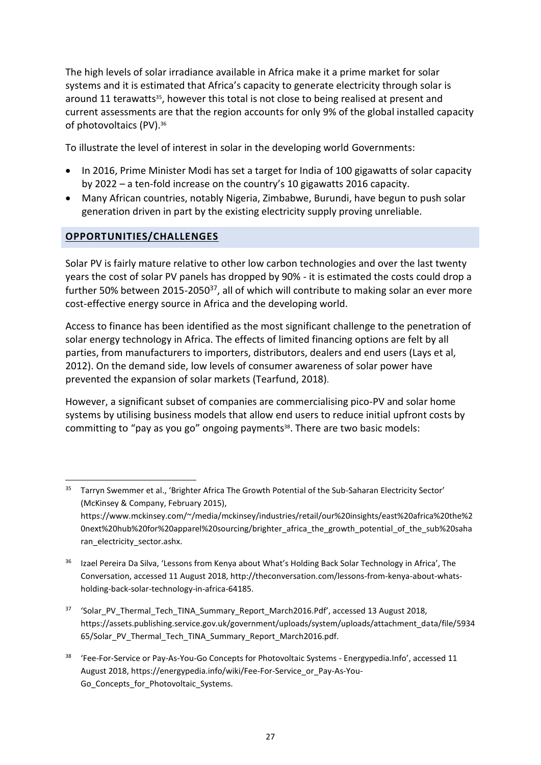The high levels of solar irradiance available in Africa make it a prime market for solar systems and it is estimated that Africa's capacity to generate electricity through solar is around 11 terawatts<sup>35</sup>, however this total is not close to being realised at present and current assessments are that the region accounts for only 9% of the global installed capacity of photovoltaics (PV).<sup>36</sup>

To illustrate the level of interest in solar in the developing world Governments:

- In 2016, Prime Minister Modi has set a target for India of 100 gigawatts of solar capacity by 2022 – a ten-fold increase on the country's 10 gigawatts 2016 capacity.
- Many African countries, notably Nigeria, Zimbabwe, Burundi, have begun to push solar generation driven in part by the existing electricity supply proving unreliable.

#### **OPPORTUNITIES/CHALLENGES**

1

Solar PV is fairly mature relative to other low carbon technologies and over the last twenty years the cost of solar PV panels has dropped by 90% - it is estimated the costs could drop a further 50% between 2015-2050<sup>37</sup>, all of which will contribute to making solar an ever more cost-effective energy source in Africa and the developing world.

Access to finance has been identified as the most significant challenge to the penetration of solar energy technology in Africa. The effects of limited financing options are felt by all parties, from manufacturers to importers, distributors, dealers and end users (Lays et al, 2012). On the demand side, low levels of consumer awareness of solar power have prevented the expansion of solar markets (Tearfund, 2018).

However, a significant subset of companies are commercialising pico-PV and solar home systems by utilising business models that allow end users to reduce initial upfront costs by committing to "pay as you go" ongoing payments<sup>38</sup>. There are two basic models:

<sup>&</sup>lt;sup>35</sup> Tarryn Swemmer et al., 'Brighter Africa The Growth Potential of the Sub-Saharan Electricity Sector' (McKinsey & Company, February 2015), https://www.mckinsey.com/~/media/mckinsey/industries/retail/our%20insights/east%20africa%20the%2 0next%20hub%20for%20apparel%20sourcing/brighter\_africa\_the\_growth\_potential\_of\_the\_sub%20saha ran\_electricity\_sector.ashx.

<sup>&</sup>lt;sup>36</sup> Izael Pereira Da Silva, 'Lessons from Kenya about What's Holding Back Solar Technology in Africa', The Conversation, accessed 11 August 2018, http://theconversation.com/lessons-from-kenya-about-whatsholding-back-solar-technology-in-africa-64185.

<sup>37</sup> 'Solar\_PV\_Thermal\_Tech\_TINA\_Summary\_Report\_March2016.Pdf', accessed 13 August 2018, https://assets.publishing.service.gov.uk/government/uploads/system/uploads/attachment\_data/file/5934 65/Solar\_PV\_Thermal\_Tech\_TINA\_Summary\_Report\_March2016.pdf.

<sup>&</sup>lt;sup>38</sup> 'Fee-For-Service or Pay-As-You-Go Concepts for Photovoltaic Systems - Energypedia.Info', accessed 11 August 2018, https://energypedia.info/wiki/Fee-For-Service\_or\_Pay-As-You-Go\_Concepts\_for\_Photovoltaic\_Systems.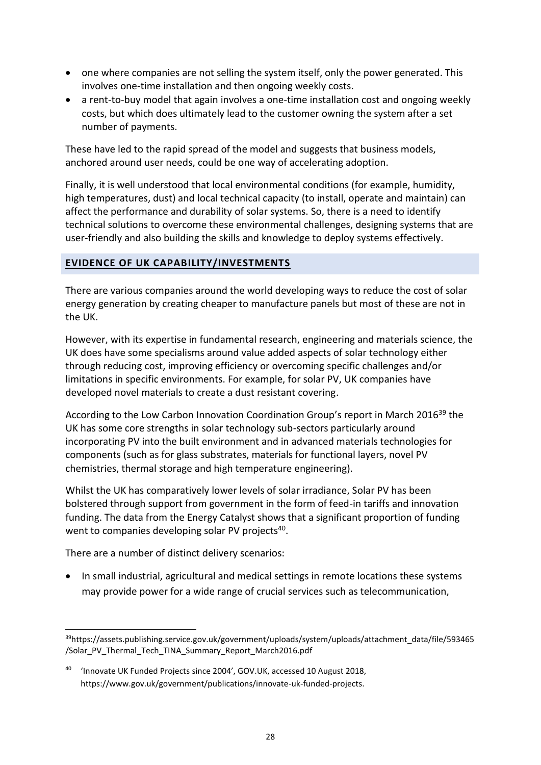- one where companies are not selling the system itself, only the power generated. This involves one-time installation and then ongoing weekly costs.
- a rent-to-buy model that again involves a one-time installation cost and ongoing weekly costs, but which does ultimately lead to the customer owning the system after a set number of payments.

These have led to the rapid spread of the model and suggests that business models, anchored around user needs, could be one way of accelerating adoption.

Finally, it is well understood that local environmental conditions (for example, humidity, high temperatures, dust) and local technical capacity (to install, operate and maintain) can affect the performance and durability of solar systems. So, there is a need to identify technical solutions to overcome these environmental challenges, designing systems that are user-friendly and also building the skills and knowledge to deploy systems effectively.

#### **EVIDENCE OF UK CAPABILITY/INVESTMENTS**

There are various companies around the world developing ways to reduce the cost of solar energy generation by creating cheaper to manufacture panels but most of these are not in the UK.

However, with its expertise in fundamental research, engineering and materials science, the UK does have some specialisms around value added aspects of solar technology either through reducing cost, improving efficiency or overcoming specific challenges and/or limitations in specific environments. For example, for solar PV, UK companies have developed novel materials to create a dust resistant covering.

According to the Low Carbon Innovation Coordination Group's report in March 2016<sup>39</sup> the UK has some core strengths in solar technology sub-sectors particularly around incorporating PV into the built environment and in advanced materials technologies for components (such as for glass substrates, materials for functional layers, novel PV chemistries, thermal storage and high temperature engineering).

Whilst the UK has comparatively lower levels of solar irradiance, Solar PV has been bolstered through support from government in the form of feed-in tariffs and innovation funding. The data from the Energy Catalyst shows that a significant proportion of funding went to companies developing solar PV projects<sup>40</sup>.

There are a number of distinct delivery scenarios:

**.** 

• In small industrial, agricultural and medical settings in remote locations these systems may provide power for a wide range of crucial services such as telecommunication,

<sup>39</sup>https://assets.publishing.service.gov.uk/government/uploads/system/uploads/attachment\_data/file/593465 /Solar\_PV\_Thermal\_Tech\_TINA\_Summary\_Report\_March2016.pdf

<sup>40</sup> 'Innovate UK Funded Projects since 2004', GOV.UK, accessed 10 August 2018, https://www.gov.uk/government/publications/innovate-uk-funded-projects.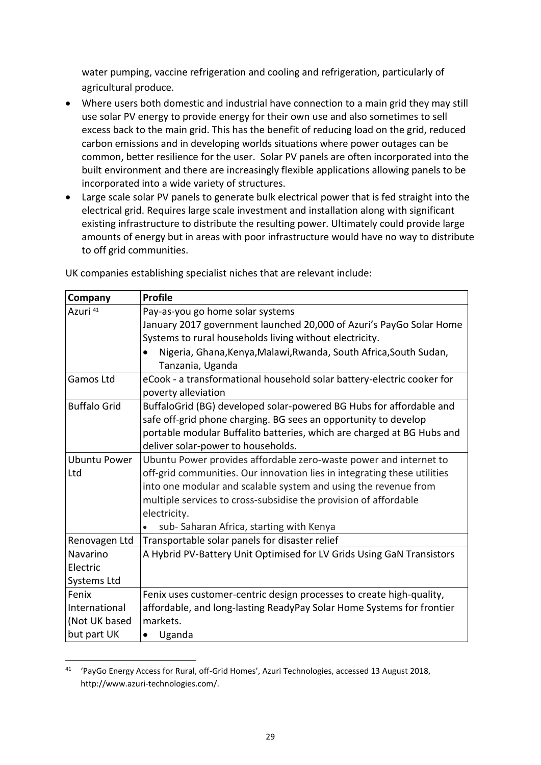water pumping, vaccine refrigeration and cooling and refrigeration, particularly of agricultural produce.

- Where users both domestic and industrial have connection to a main grid they may still use solar PV energy to provide energy for their own use and also sometimes to sell excess back to the main grid. This has the benefit of reducing load on the grid, reduced carbon emissions and in developing worlds situations where power outages can be common, better resilience for the user. Solar PV panels are often incorporated into the built environment and there are increasingly flexible applications allowing panels to be incorporated into a wide variety of structures.
- Large scale solar PV panels to generate bulk electrical power that is fed straight into the electrical grid. Requires large scale investment and installation along with significant existing infrastructure to distribute the resulting power. Ultimately could provide large amounts of energy but in areas with poor infrastructure would have no way to distribute to off grid communities.

| Company             | <b>Profile</b>                                                                        |  |  |
|---------------------|---------------------------------------------------------------------------------------|--|--|
| Azuri 41            | Pay-as-you go home solar systems                                                      |  |  |
|                     | January 2017 government launched 20,000 of Azuri's PayGo Solar Home                   |  |  |
|                     | Systems to rural households living without electricity.                               |  |  |
|                     | Nigeria, Ghana, Kenya, Malawi, Rwanda, South Africa, South Sudan,<br>Tanzania, Uganda |  |  |
| Gamos Ltd           | eCook - a transformational household solar battery-electric cooker for                |  |  |
|                     | poverty alleviation                                                                   |  |  |
| <b>Buffalo Grid</b> | BuffaloGrid (BG) developed solar-powered BG Hubs for affordable and                   |  |  |
|                     | safe off-grid phone charging. BG sees an opportunity to develop                       |  |  |
|                     | portable modular Buffalito batteries, which are charged at BG Hubs and                |  |  |
|                     | deliver solar-power to households.                                                    |  |  |
| <b>Ubuntu Power</b> | Ubuntu Power provides affordable zero-waste power and internet to                     |  |  |
| Ltd                 | off-grid communities. Our innovation lies in integrating these utilities              |  |  |
|                     | into one modular and scalable system and using the revenue from                       |  |  |
|                     | multiple services to cross-subsidise the provision of affordable                      |  |  |
|                     | electricity.                                                                          |  |  |
|                     | sub-Saharan Africa, starting with Kenya                                               |  |  |
| Renovagen Ltd       | Transportable solar panels for disaster relief                                        |  |  |
| Navarino            | A Hybrid PV-Battery Unit Optimised for LV Grids Using GaN Transistors                 |  |  |
| Electric            |                                                                                       |  |  |
| Systems Ltd         |                                                                                       |  |  |
| Fenix               | Fenix uses customer-centric design processes to create high-quality,                  |  |  |
| International       | affordable, and long-lasting ReadyPay Solar Home Systems for frontier                 |  |  |
| (Not UK based       | markets.                                                                              |  |  |
| but part UK         | Uganda                                                                                |  |  |

UK companies establishing specialist niches that are relevant include:

**-**

<sup>41</sup> 'PayGo Energy Access for Rural, off-Grid Homes', Azuri Technologies, accessed 13 August 2018, http://www.azuri-technologies.com/.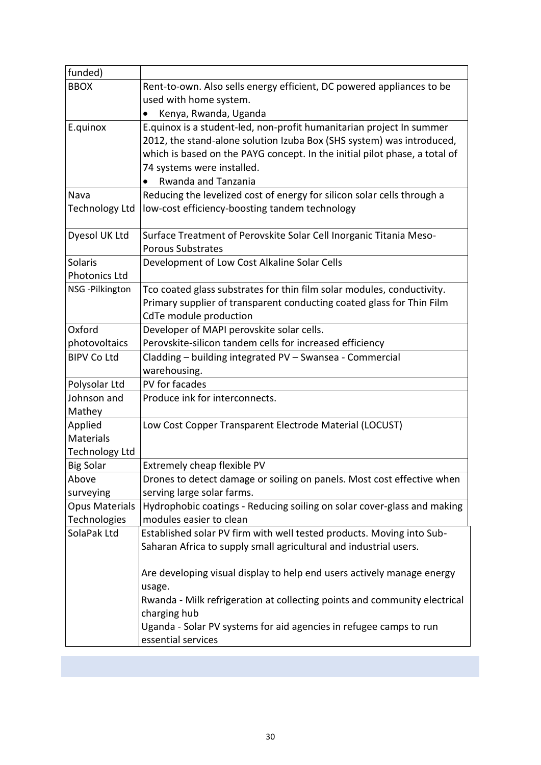| funded)               |                                                                            |  |
|-----------------------|----------------------------------------------------------------------------|--|
| <b>BBOX</b>           | Rent-to-own. Also sells energy efficient, DC powered appliances to be      |  |
|                       | used with home system.                                                     |  |
|                       | Kenya, Rwanda, Uganda                                                      |  |
| E.quinox              | E.quinox is a student-led, non-profit humanitarian project In summer       |  |
|                       | 2012, the stand-alone solution Izuba Box (SHS system) was introduced,      |  |
|                       | which is based on the PAYG concept. In the initial pilot phase, a total of |  |
|                       | 74 systems were installed.                                                 |  |
|                       | Rwanda and Tanzania                                                        |  |
| Nava                  | Reducing the levelized cost of energy for silicon solar cells through a    |  |
| <b>Technology Ltd</b> | low-cost efficiency-boosting tandem technology                             |  |
|                       |                                                                            |  |
| Dyesol UK Ltd         | Surface Treatment of Perovskite Solar Cell Inorganic Titania Meso-         |  |
|                       | <b>Porous Substrates</b>                                                   |  |
| Solaris               | Development of Low Cost Alkaline Solar Cells                               |  |
| Photonics Ltd         |                                                                            |  |
| NSG - Pilkington      | Tco coated glass substrates for thin film solar modules, conductivity.     |  |
|                       | Primary supplier of transparent conducting coated glass for Thin Film      |  |
|                       | CdTe module production                                                     |  |
| Oxford                | Developer of MAPI perovskite solar cells.                                  |  |
| photovoltaics         | Perovskite-silicon tandem cells for increased efficiency                   |  |
| <b>BIPV Co Ltd</b>    | Cladding - building integrated PV - Swansea - Commercial                   |  |
|                       | warehousing.                                                               |  |
| Polysolar Ltd         | PV for facades                                                             |  |
| Johnson and           | Produce ink for interconnects.                                             |  |
| Mathey                |                                                                            |  |
| Applied               | Low Cost Copper Transparent Electrode Material (LOCUST)                    |  |
| Materials             |                                                                            |  |
| <b>Technology Ltd</b> |                                                                            |  |
| <b>Big Solar</b>      | Extremely cheap flexible PV                                                |  |
| Above                 | Drones to detect damage or soiling on panels. Most cost effective when     |  |
| surveying             | serving large solar farms.                                                 |  |
| <b>Opus Materials</b> | Hydrophobic coatings - Reducing soiling on solar cover-glass and making    |  |
| Technologies          | modules easier to clean                                                    |  |
| SolaPak Ltd           | Established solar PV firm with well tested products. Moving into Sub-      |  |
|                       | Saharan Africa to supply small agricultural and industrial users.          |  |
|                       |                                                                            |  |
|                       | Are developing visual display to help end users actively manage energy     |  |
|                       | usage.                                                                     |  |
|                       | Rwanda - Milk refrigeration at collecting points and community electrical  |  |
|                       | charging hub                                                               |  |
|                       | Uganda - Solar PV systems for aid agencies in refugee camps to run         |  |
|                       | essential services                                                         |  |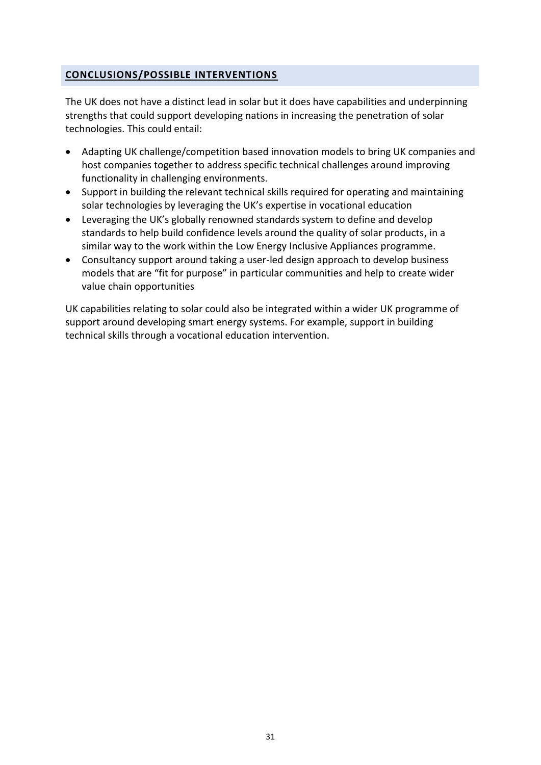#### **CONCLUSIONS/POSSIBLE INTERVENTIONS**

The UK does not have a distinct lead in solar but it does have capabilities and underpinning strengths that could support developing nations in increasing the penetration of solar technologies. This could entail:

- Adapting UK challenge/competition based innovation models to bring UK companies and host companies together to address specific technical challenges around improving functionality in challenging environments.
- Support in building the relevant technical skills required for operating and maintaining solar technologies by leveraging the UK's expertise in vocational education
- Leveraging the UK's globally renowned standards system to define and develop standards to help build confidence levels around the quality of solar products, in a similar way to the work within the Low Energy Inclusive Appliances programme.
- Consultancy support around taking a user-led design approach to develop business models that are "fit for purpose" in particular communities and help to create wider value chain opportunities

UK capabilities relating to solar could also be integrated within a wider UK programme of support around developing smart energy systems. For example, support in building technical skills through a vocational education intervention.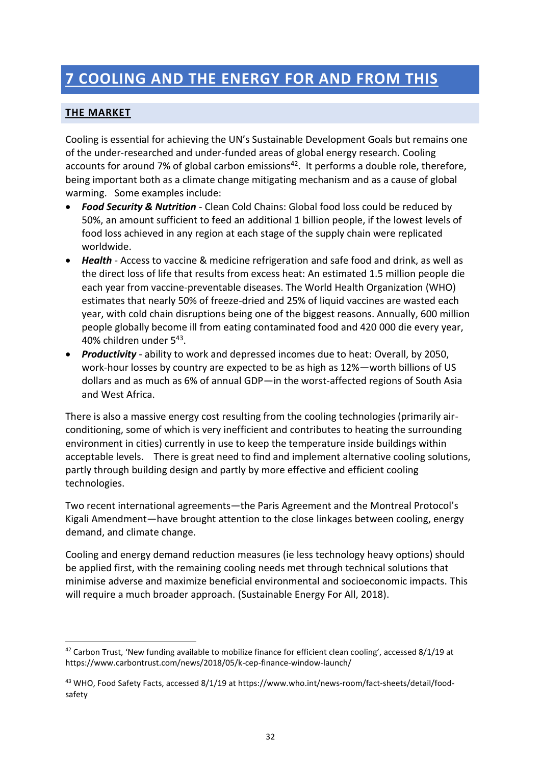# **7 COOLING AND THE ENERGY FOR AND FROM THIS**

#### **THE MARKET**

1

Cooling is essential for achieving the UN's Sustainable Development Goals but remains one of the under-researched and under-funded areas of global energy research. Cooling accounts for around 7% of global carbon emissions<sup>42</sup>. It performs a double role, therefore, being important both as a climate change mitigating mechanism and as a cause of global warming. Some examples include:

- *Food Security & Nutrition* Clean Cold Chains: Global food loss could be reduced by 50%, an amount sufficient to feed an additional 1 billion people, if the lowest levels of food loss achieved in any region at each stage of the supply chain were replicated worldwide.
- *Health* Access to vaccine & medicine refrigeration and safe food and drink, as well as the direct loss of life that results from excess heat: An estimated 1.5 million people die each year from vaccine-preventable diseases. The World Health Organization (WHO) estimates that nearly 50% of freeze-dried and 25% of liquid vaccines are wasted each year, with cold chain disruptions being one of the biggest reasons. Annually, 600 million people globally become ill from eating contaminated food and 420 000 die every year, 40% children under 5<sup>43</sup>.
- *Productivity* ability to work and depressed incomes due to heat: Overall, by 2050, work-hour losses by country are expected to be as high as 12%—worth billions of US dollars and as much as 6% of annual GDP—in the worst-affected regions of South Asia and West Africa.

There is also a massive energy cost resulting from the cooling technologies (primarily airconditioning, some of which is very inefficient and contributes to heating the surrounding environment in cities) currently in use to keep the temperature inside buildings within acceptable levels. There is great need to find and implement alternative cooling solutions, partly through building design and partly by more effective and efficient cooling technologies.

Two recent international agreements—the Paris Agreement and the Montreal Protocol's Kigali Amendment—have brought attention to the close linkages between cooling, energy demand, and climate change.

Cooling and energy demand reduction measures (ie less technology heavy options) should be applied first, with the remaining cooling needs met through technical solutions that minimise adverse and maximize beneficial environmental and socioeconomic impacts. This will require a much broader approach. (Sustainable Energy For All, 2018).

<sup>42</sup> Carbon Trust, 'New funding available to mobilize finance for efficient clean cooling', accessed 8/1/19 at https://www.carbontrust.com/news/2018/05/k-cep-finance-window-launch/

<sup>43</sup> WHO, Food Safety Facts, accessed 8/1/19 at https://www.who.int/news-room/fact-sheets/detail/foodsafety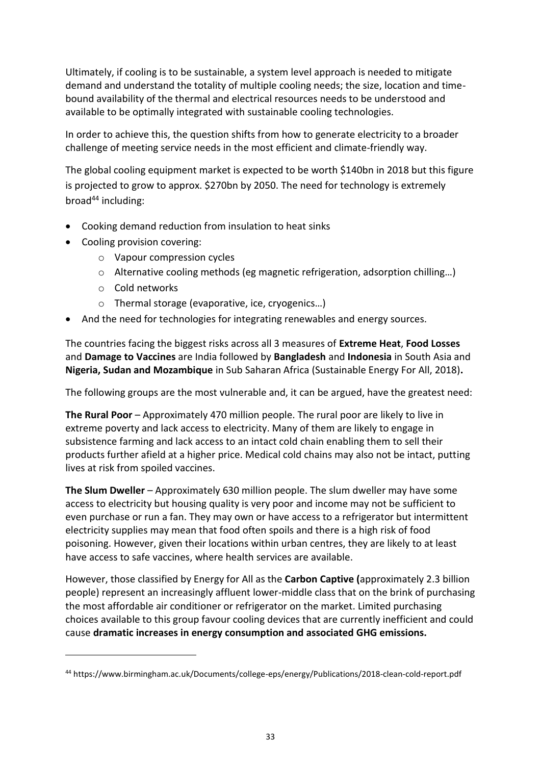Ultimately, if cooling is to be sustainable, a system level approach is needed to mitigate demand and understand the totality of multiple cooling needs; the size, location and timebound availability of the thermal and electrical resources needs to be understood and available to be optimally integrated with sustainable cooling technologies.

In order to achieve this, the question shifts from how to generate electricity to a broader challenge of meeting service needs in the most efficient and climate-friendly way.

The global cooling equipment market is expected to be worth \$140bn in 2018 but this figure is projected to grow to approx. \$270bn by 2050. The need for technology is extremely  $broad<sup>44</sup>$  including:

- Cooking demand reduction from insulation to heat sinks
- Cooling provision covering:
	- o Vapour compression cycles
	- o Alternative cooling methods (eg magnetic refrigeration, adsorption chilling…)
	- o Cold networks

**.** 

- o Thermal storage (evaporative, ice, cryogenics…)
- And the need for technologies for integrating renewables and energy sources.

The countries facing the biggest risks across all 3 measures of **Extreme Heat**, **Food Losses** and **Damage to Vaccines** are India followed by **Bangladesh** and **Indonesia** in South Asia and **Nigeria, Sudan and Mozambique** in Sub Saharan Africa (Sustainable Energy For All, 2018)**.**

The following groups are the most vulnerable and, it can be argued, have the greatest need:

**The Rural Poor** – Approximately 470 million people. The rural poor are likely to live in extreme poverty and lack access to electricity. Many of them are likely to engage in subsistence farming and lack access to an intact cold chain enabling them to sell their products further afield at a higher price. Medical cold chains may also not be intact, putting lives at risk from spoiled vaccines.

**The Slum Dweller** – Approximately 630 million people. The slum dweller may have some access to electricity but housing quality is very poor and income may not be sufficient to even purchase or run a fan. They may own or have access to a refrigerator but intermittent electricity supplies may mean that food often spoils and there is a high risk of food poisoning. However, given their locations within urban centres, they are likely to at least have access to safe vaccines, where health services are available.

However, those classified by Energy for All as the **Carbon Captive (**approximately 2.3 billion people) represent an increasingly affluent lower-middle class that on the brink of purchasing the most affordable air conditioner or refrigerator on the market. Limited purchasing choices available to this group favour cooling devices that are currently inefficient and could cause **dramatic increases in energy consumption and associated GHG emissions.**

<sup>44</sup> https://www.birmingham.ac.uk/Documents/college-eps/energy/Publications/2018-clean-cold-report.pdf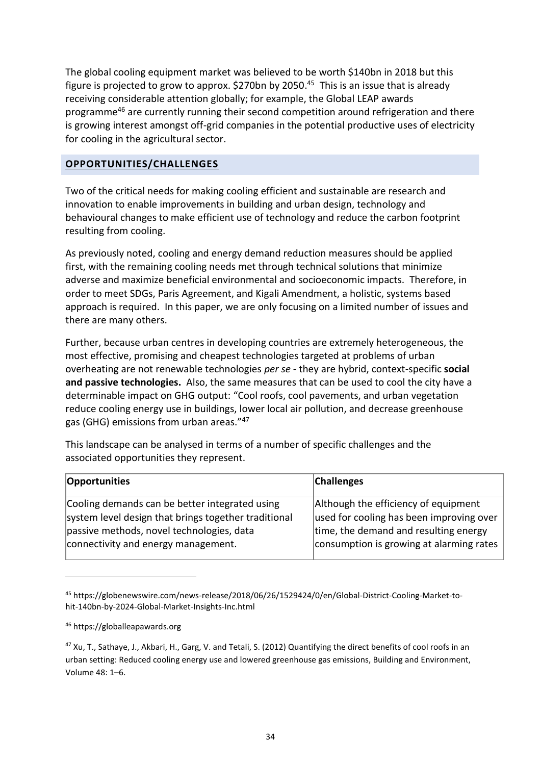The global cooling equipment market was believed to be worth \$140bn in 2018 but this figure is projected to grow to approx. \$270bn by 2050.<sup>45</sup> This is an issue that is already receiving considerable attention globally; for example, the Global LEAP awards programme<sup>46</sup> are currently running their second competition around refrigeration and there is growing interest amongst off-grid companies in the potential productive uses of electricity for cooling in the agricultural sector.

#### **OPPORTUNITIES/CHALLENGES**

Two of the critical needs for making cooling efficient and sustainable are research and innovation to enable improvements in building and urban design, technology and behavioural changes to make efficient use of technology and reduce the carbon footprint resulting from cooling.

As previously noted, cooling and energy demand reduction measures should be applied first, with the remaining cooling needs met through technical solutions that minimize adverse and maximize beneficial environmental and socioeconomic impacts. Therefore, in order to meet SDGs, Paris Agreement, and Kigali Amendment, a holistic, systems based approach is required. In this paper, we are only focusing on a limited number of issues and there are many others.

Further, because urban centres in developing countries are extremely heterogeneous, the most effective, promising and cheapest technologies targeted at problems of urban overheating are not renewable technologies *per se* - they are hybrid, context-specific **social and passive technologies.** Also, the same measures that can be used to cool the city have a determinable impact on GHG output: "Cool roofs, cool pavements, and urban vegetation reduce cooling energy use in buildings, lower local air pollution, and decrease greenhouse gas (GHG) emissions from urban areas."<sup>47</sup>

This landscape can be analysed in terms of a number of specific challenges and the associated opportunities they represent.

| Opportunities                                        | <b>Challenges</b>                        |
|------------------------------------------------------|------------------------------------------|
| Cooling demands can be better integrated using       | Although the efficiency of equipment     |
| system level design that brings together traditional | used for cooling has been improving over |
| passive methods, novel technologies, data            | time, the demand and resulting energy    |
| connectivity and energy management.                  | consumption is growing at alarming rates |

<sup>45</sup> https://globenewswire.com/news-release/2018/06/26/1529424/0/en/Global-District-Cooling-Market-tohit-140bn-by-2024-Global-Market-Insights-Inc.html

**.** 

<sup>46</sup> https://globalleapawards.org

<sup>&</sup>lt;sup>47</sup> Xu, T., Sathaye, J., Akbari, H., Garg, V. and Tetali, S. (2012) Quantifying the direct benefits of cool roofs in an urban setting: Reduced cooling energy use and lowered greenhouse gas emissions, Building and Environment, Volume 48: 1–6.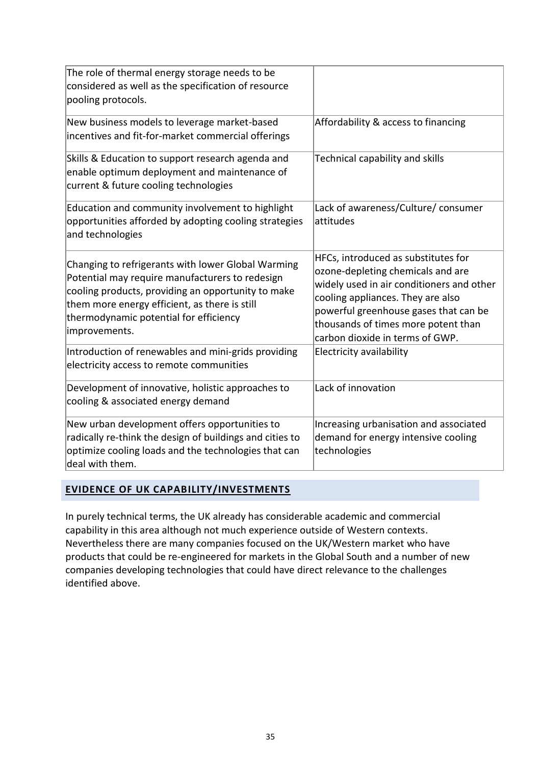| The role of thermal energy storage needs to be<br>considered as well as the specification of resource<br>pooling protocols.                                                                                                                                             |                                                                                                                                                                                                                                                                               |
|-------------------------------------------------------------------------------------------------------------------------------------------------------------------------------------------------------------------------------------------------------------------------|-------------------------------------------------------------------------------------------------------------------------------------------------------------------------------------------------------------------------------------------------------------------------------|
| New business models to leverage market-based<br>incentives and fit-for-market commercial offerings                                                                                                                                                                      | Affordability & access to financing                                                                                                                                                                                                                                           |
| Skills & Education to support research agenda and<br>enable optimum deployment and maintenance of<br>current & future cooling technologies                                                                                                                              | Technical capability and skills                                                                                                                                                                                                                                               |
| Education and community involvement to highlight<br>opportunities afforded by adopting cooling strategies<br>and technologies                                                                                                                                           | Lack of awareness/Culture/ consumer<br>attitudes                                                                                                                                                                                                                              |
| Changing to refrigerants with lower Global Warming<br>Potential may require manufacturers to redesign<br>cooling products, providing an opportunity to make<br>them more energy efficient, as there is still<br>thermodynamic potential for efficiency<br>improvements. | HFCs, introduced as substitutes for<br>ozone-depleting chemicals and are<br>widely used in air conditioners and other<br>cooling appliances. They are also<br>powerful greenhouse gases that can be<br>thousands of times more potent than<br>carbon dioxide in terms of GWP. |
| Introduction of renewables and mini-grids providing<br>electricity access to remote communities                                                                                                                                                                         | Electricity availability                                                                                                                                                                                                                                                      |
| Development of innovative, holistic approaches to<br>cooling & associated energy demand                                                                                                                                                                                 | Lack of innovation                                                                                                                                                                                                                                                            |
| New urban development offers opportunities to<br>radically re-think the design of buildings and cities to<br>optimize cooling loads and the technologies that can<br>deal with them.                                                                                    | Increasing urbanisation and associated<br>demand for energy intensive cooling<br>technologies                                                                                                                                                                                 |

#### **EVIDENCE OF UK CAPABILITY/INVESTMENTS**

In purely technical terms, the UK already has considerable academic and commercial capability in this area although not much experience outside of Western contexts. Nevertheless there are many companies focused on the UK/Western market who have products that could be re-engineered for markets in the Global South and a number of new companies developing technologies that could have direct relevance to the challenges identified above.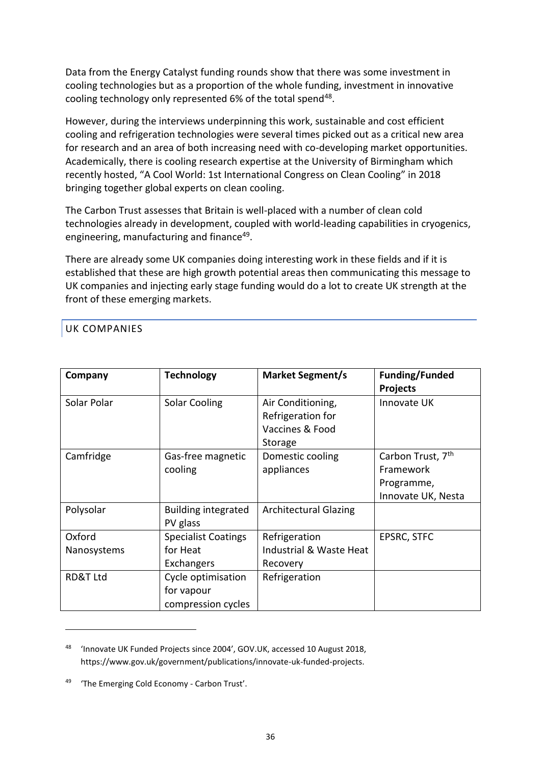Data from the Energy Catalyst funding rounds show that there was some investment in cooling technologies but as a proportion of the whole funding, investment in innovative cooling technology only represented 6% of the total spend<sup>48</sup>.

However, during the interviews underpinning this work, sustainable and cost efficient cooling and refrigeration technologies were several times picked out as a critical new area for research and an area of both increasing need with co-developing market opportunities. Academically, there is cooling research expertise at the University of Birmingham which recently hosted, "A Cool World: 1st International Congress on Clean Cooling" in 2018 bringing together global experts on clean cooling.

The Carbon Trust assesses that Britain is well-placed with a number of clean cold technologies already in development, coupled with world-leading capabilities in cryogenics, engineering, manufacturing and finance<sup>49</sup>.

There are already some UK companies doing interesting work in these fields and if it is established that these are high growth potential areas then communicating this message to UK companies and injecting early stage funding would do a lot to create UK strength at the front of these emerging markets.

#### UK COMPANIES

**.** 

| Company               | <b>Technology</b>                                      | <b>Market Segment/s</b>                                              | <b>Funding/Funded</b><br><b>Projects</b>                                       |
|-----------------------|--------------------------------------------------------|----------------------------------------------------------------------|--------------------------------------------------------------------------------|
| Solar Polar           | <b>Solar Cooling</b>                                   | Air Conditioning,<br>Refrigeration for<br>Vaccines & Food<br>Storage | Innovate UK                                                                    |
| Camfridge             | Gas-free magnetic<br>cooling                           | Domestic cooling<br>appliances                                       | Carbon Trust, 7 <sup>th</sup><br>Framework<br>Programme,<br>Innovate UK, Nesta |
| Polysolar             | <b>Building integrated</b><br>PV glass                 | <b>Architectural Glazing</b>                                         |                                                                                |
| Oxford<br>Nanosystems | <b>Specialist Coatings</b><br>for Heat<br>Exchangers   | Refrigeration<br>Industrial & Waste Heat<br>Recovery                 | EPSRC, STFC                                                                    |
| <b>RD&amp;T Ltd</b>   | Cycle optimisation<br>for vapour<br>compression cycles | Refrigeration                                                        |                                                                                |

<sup>48</sup> 'Innovate UK Funded Projects since 2004', GOV.UK, accessed 10 August 2018, https://www.gov.uk/government/publications/innovate-uk-funded-projects.

<sup>49</sup> 'The Emerging Cold Economy - Carbon Trust'.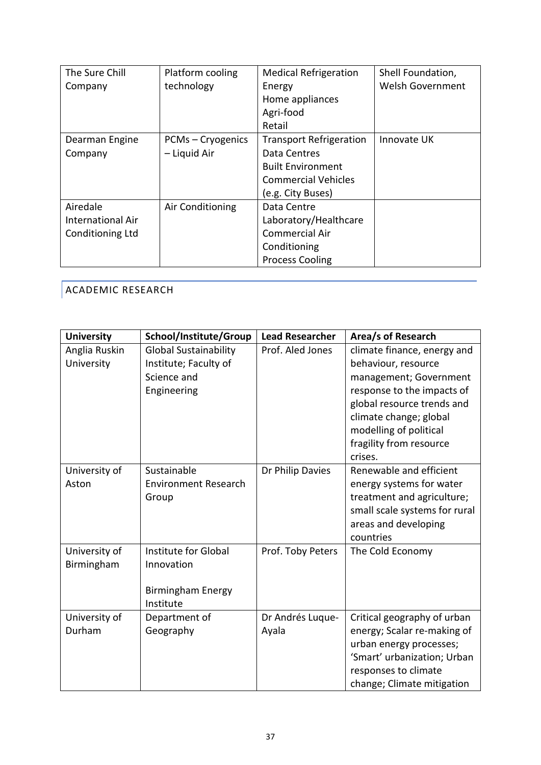| The Sure Chill           | Platform cooling  | <b>Medical Refrigeration</b>   | Shell Foundation,       |
|--------------------------|-------------------|--------------------------------|-------------------------|
| Company                  | technology        | Energy                         | <b>Welsh Government</b> |
|                          |                   | Home appliances                |                         |
|                          |                   | Agri-food                      |                         |
|                          |                   | Retail                         |                         |
| Dearman Engine           | PCMs - Cryogenics | <b>Transport Refrigeration</b> | Innovate UK             |
| Company                  | - Liquid Air      | Data Centres                   |                         |
|                          |                   | <b>Built Environment</b>       |                         |
|                          |                   | <b>Commercial Vehicles</b>     |                         |
|                          |                   | (e.g. City Buses)              |                         |
| Airedale                 | Air Conditioning  | Data Centre                    |                         |
| <b>International Air</b> |                   | Laboratory/Healthcare          |                         |
| Conditioning Ltd         |                   | Commercial Air                 |                         |
|                          |                   | Conditioning                   |                         |
|                          |                   | <b>Process Cooling</b>         |                         |

# ACADEMIC RESEARCH

| <b>University</b> | School/Institute/Group       | <b>Lead Researcher</b> | Area/s of Research            |
|-------------------|------------------------------|------------------------|-------------------------------|
| Anglia Ruskin     | <b>Global Sustainability</b> | Prof. Aled Jones       | climate finance, energy and   |
| University        | Institute; Faculty of        |                        | behaviour, resource           |
|                   | Science and                  |                        | management; Government        |
|                   | Engineering                  |                        | response to the impacts of    |
|                   |                              |                        | global resource trends and    |
|                   |                              |                        | climate change; global        |
|                   |                              |                        | modelling of political        |
|                   |                              |                        | fragility from resource       |
|                   |                              |                        | crises.                       |
| University of     | Sustainable                  | Dr Philip Davies       | Renewable and efficient       |
| Aston             | <b>Environment Research</b>  |                        | energy systems for water      |
|                   | Group                        |                        | treatment and agriculture;    |
|                   |                              |                        | small scale systems for rural |
|                   |                              |                        | areas and developing          |
|                   |                              |                        | countries                     |
| University of     | Institute for Global         | Prof. Toby Peters      | The Cold Economy              |
| Birmingham        | Innovation                   |                        |                               |
|                   |                              |                        |                               |
|                   | <b>Birmingham Energy</b>     |                        |                               |
|                   | Institute                    |                        |                               |
| University of     | Department of                | Dr Andrés Luque-       | Critical geography of urban   |
| Durham            | Geography                    | Ayala                  | energy; Scalar re-making of   |
|                   |                              |                        | urban energy processes;       |
|                   |                              |                        | 'Smart' urbanization; Urban   |
|                   |                              |                        | responses to climate          |
|                   |                              |                        | change; Climate mitigation    |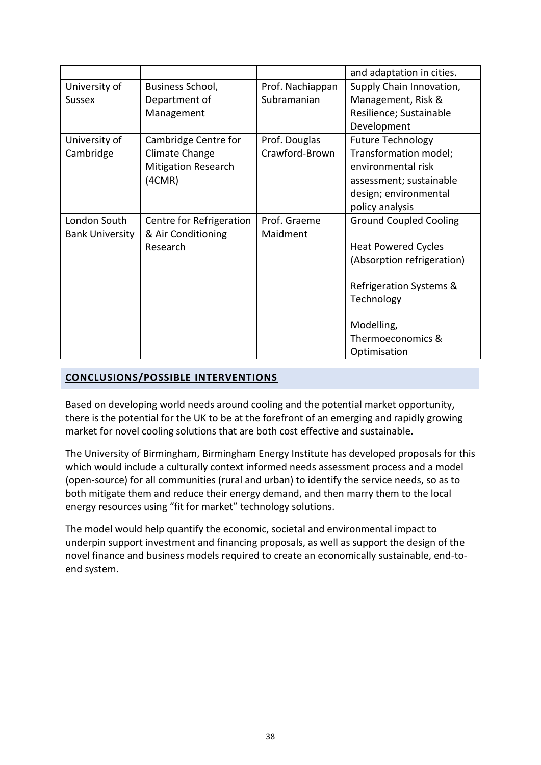|                        |                            |                  | and adaptation in cities.     |
|------------------------|----------------------------|------------------|-------------------------------|
| University of          | Business School,           | Prof. Nachiappan | Supply Chain Innovation,      |
| <b>Sussex</b>          | Department of              | Subramanian      | Management, Risk &            |
|                        | Management                 |                  | Resilience; Sustainable       |
|                        |                            |                  | Development                   |
| University of          | Cambridge Centre for       | Prof. Douglas    | <b>Future Technology</b>      |
| Cambridge              | Climate Change             | Crawford-Brown   | Transformation model;         |
|                        | <b>Mitigation Research</b> |                  | environmental risk            |
|                        | (4CMR)                     |                  | assessment; sustainable       |
|                        |                            |                  | design; environmental         |
|                        |                            |                  | policy analysis               |
| London South           | Centre for Refrigeration   | Prof. Graeme     | <b>Ground Coupled Cooling</b> |
| <b>Bank University</b> | & Air Conditioning         | Maidment         |                               |
|                        | Research                   |                  | <b>Heat Powered Cycles</b>    |
|                        |                            |                  | (Absorption refrigeration)    |
|                        |                            |                  |                               |
|                        |                            |                  | Refrigeration Systems &       |
|                        |                            |                  | Technology                    |
|                        |                            |                  |                               |
|                        |                            |                  | Modelling,                    |
|                        |                            |                  | Thermoeconomics &             |
|                        |                            |                  | Optimisation                  |

## **CONCLUSIONS/POSSIBLE INTERVENTIONS**

Based on developing world needs around cooling and the potential market opportunity, there is the potential for the UK to be at the forefront of an emerging and rapidly growing market for novel cooling solutions that are both cost effective and sustainable.

The University of Birmingham, Birmingham Energy Institute has developed proposals for this which would include a culturally context informed needs assessment process and a model (open-source) for all communities (rural and urban) to identify the service needs, so as to both mitigate them and reduce their energy demand, and then marry them to the local energy resources using "fit for market" technology solutions.

The model would help quantify the economic, societal and environmental impact to underpin support investment and financing proposals, as well as support the design of the novel finance and business models required to create an economically sustainable, end-toend system.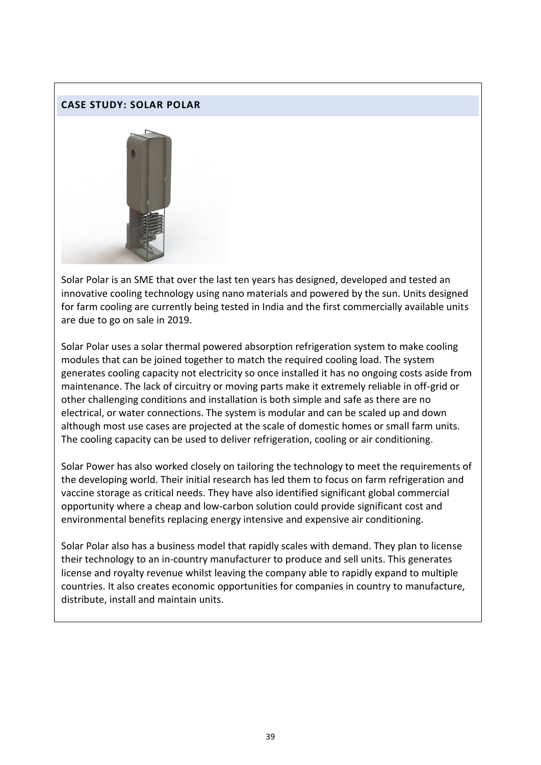#### **CASE STUDY: SOLAR POLAR**



Solar Polar is an SME that over the last ten years has designed, developed and tested an innovative cooling technology using nano materials and powered by the sun. Units designed for farm cooling are currently being tested in India and the first commercially available units are due to go on sale in 2019.

Solar Polar uses a solar thermal powered absorption refrigeration system to make cooling modules that can be joined together to match the required cooling load. The system generates cooling capacity not electricity so once installed it has no ongoing costs aside from maintenance. The lack of circuitry or moving parts make it extremely reliable in off-grid or other challenging conditions and installation is both simple and safe as there are no electrical, or water connections. The system is modular and can be scaled up and down although most use cases are projected at the scale of domestic homes or small farm units. The cooling capacity can be used to deliver refrigeration, cooling or air conditioning.

Solar Power has also worked closely on tailoring the technology to meet the requirements of the developing world. Their initial research has led them to focus on farm refrigeration and vaccine storage as critical needs. They have also identified significant global commercial opportunity where a cheap and low-carbon solution could provide significant cost and environmental benefits replacing energy intensive and expensive air conditioning.

Solar Polar also has a business model that rapidly scales with demand. They plan to license their technology to an in-country manufacturer to produce and sell units. This generates license and royalty revenue whilst leaving the company able to rapidly expand to multiple countries. It also creates economic opportunities for companies in country to manufacture, distribute, install and maintain units.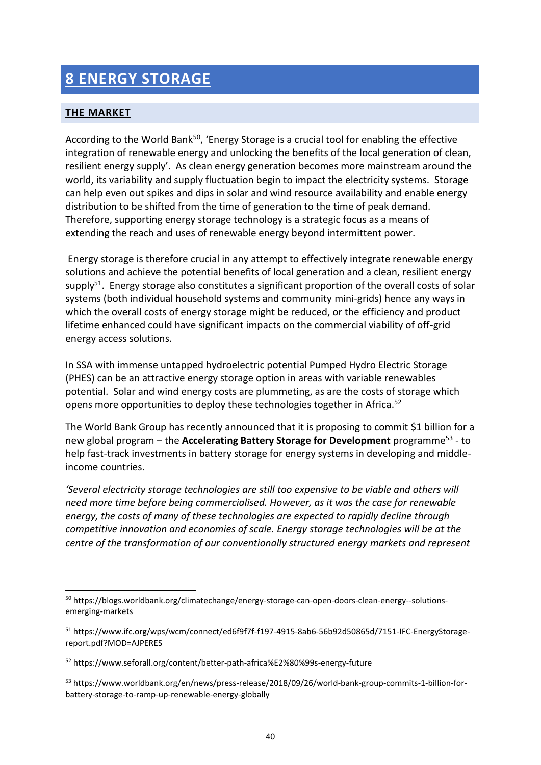# **8 ENERGY STORAGE**

## **THE MARKET**

1

According to the World Bank<sup>50</sup>, 'Energy Storage is a crucial tool for enabling the effective integration of renewable energy and unlocking the benefits of the local generation of clean, resilient energy supply'. As clean energy generation becomes more mainstream around the world, its variability and supply fluctuation begin to impact the electricity systems. Storage can help even out spikes and dips in solar and wind resource availability and enable energy distribution to be shifted from the time of generation to the time of peak demand. Therefore, supporting energy storage technology is a strategic focus as a means of extending the reach and uses of renewable energy beyond intermittent power.

Energy storage is therefore crucial in any attempt to effectively integrate renewable energy solutions and achieve the potential benefits of local generation and a clean, resilient energy supply $51$ . Energy storage also constitutes a significant proportion of the overall costs of solar systems (both individual household systems and community mini-grids) hence any ways in which the overall costs of energy storage might be reduced, or the efficiency and product lifetime enhanced could have significant impacts on the commercial viability of off-grid energy access solutions.

In SSA with immense untapped hydroelectric potential Pumped Hydro Electric Storage (PHES) can be an attractive energy storage option in areas with variable renewables potential. Solar and wind energy costs are plummeting, as are the costs of storage which opens more opportunities to deploy these technologies together in Africa.<sup>52</sup>

The World Bank Group has recently announced that it is proposing to commit \$1 billion for a new global program – the **Accelerating Battery Storage for Development** programme<sup>53</sup> - to help fast-track investments in battery storage for energy systems in developing and middleincome countries.

*'Several electricity storage technologies are still too expensive to be viable and others will need more time before being commercialised. However, as it was the case for renewable energy, the costs of many of these technologies are expected to rapidly decline through competitive innovation and economies of scale. Energy storage technologies will be at the centre of the transformation of our conventionally structured energy markets and represent* 

<sup>&</sup>lt;sup>50</sup> https://blogs.worldbank.org/climatechange/energy-storage-can-open-doors-clean-energy--solutionsemerging-markets

<sup>51</sup> https://www.ifc.org/wps/wcm/connect/ed6f9f7f-f197-4915-8ab6-56b92d50865d/7151-IFC-EnergyStoragereport.pdf?MOD=AJPERES

<sup>52</sup> https://www.seforall.org/content/better-path-africa%E2%80%99s-energy-future

<sup>53</sup> https://www.worldbank.org/en/news/press-release/2018/09/26/world-bank-group-commits-1-billion-forbattery-storage-to-ramp-up-renewable-energy-globally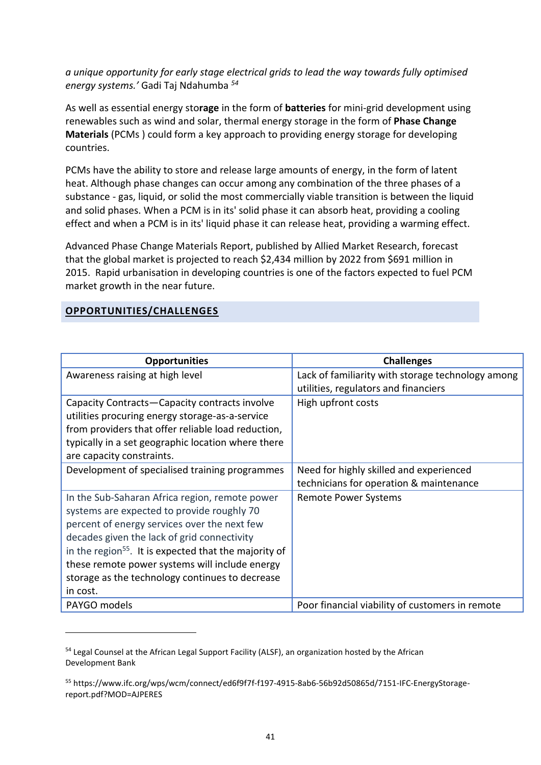*a unique opportunity for early stage electrical grids to lead the way towards fully optimised energy systems.'* Gadi Taj Ndahumba *<sup>54</sup>*

As well as essential energy sto**rage** in the form of **batteries** for mini-grid development using renewables such as wind and solar, thermal energy storage in the form of **Phase Change Materials** (PCMs ) could form a key approach to providing energy storage for developing countries.

PCMs have the ability to store and release large amounts of energy, in the form of latent heat. Although phase changes can occur among any combination of the three phases of a substance - gas, liquid, or solid the most commercially viable transition is between the liquid and solid phases. When a PCM is in its' solid phase it can absorb heat, providing a cooling effect and when a PCM is in its' liquid phase it can release heat, providing a warming effect.

Advanced Phase Change Materials Report, published by Allied Market Research, forecast that the global market is projected to reach \$2,434 million by 2022 from \$691 million in 2015. Rapid urbanisation in developing countries is one of the factors expected to fuel PCM market growth in the near future.

#### **OPPORTUNITIES/CHALLENGES**

**-**

| <b>Opportunities</b>                                                                                                                                                                                                                                                                                                                                                              | <b>Challenges</b>                                                                         |
|-----------------------------------------------------------------------------------------------------------------------------------------------------------------------------------------------------------------------------------------------------------------------------------------------------------------------------------------------------------------------------------|-------------------------------------------------------------------------------------------|
| Awareness raising at high level                                                                                                                                                                                                                                                                                                                                                   | Lack of familiarity with storage technology among<br>utilities, regulators and financiers |
| Capacity Contracts-Capacity contracts involve<br>utilities procuring energy storage-as-a-service<br>from providers that offer reliable load reduction,<br>typically in a set geographic location where there<br>are capacity constraints.                                                                                                                                         | High upfront costs                                                                        |
| Development of specialised training programmes                                                                                                                                                                                                                                                                                                                                    | Need for highly skilled and experienced<br>technicians for operation & maintenance        |
| In the Sub-Saharan Africa region, remote power<br>systems are expected to provide roughly 70<br>percent of energy services over the next few<br>decades given the lack of grid connectivity<br>in the region <sup>55</sup> . It is expected that the majority of<br>these remote power systems will include energy<br>storage as the technology continues to decrease<br>in cost. | <b>Remote Power Systems</b>                                                               |
| PAYGO models                                                                                                                                                                                                                                                                                                                                                                      | Poor financial viability of customers in remote                                           |

<sup>&</sup>lt;sup>54</sup> Legal Counsel at the African Legal Support Facility (ALSF), an organization hosted by the African Development Bank

<sup>55</sup> https://www.ifc.org/wps/wcm/connect/ed6f9f7f-f197-4915-8ab6-56b92d50865d/7151-IFC-EnergyStoragereport.pdf?MOD=AJPERES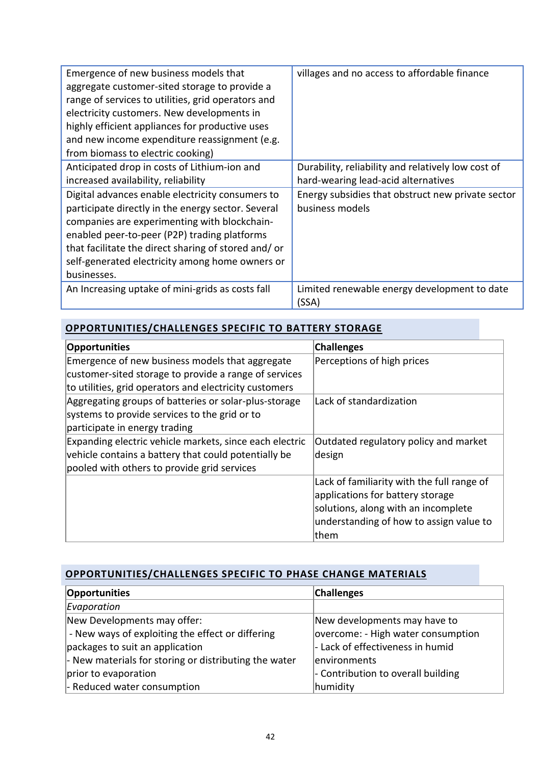| Emergence of new business models that<br>aggregate customer-sited storage to provide a<br>range of services to utilities, grid operators and<br>electricity customers. New developments in<br>highly efficient appliances for productive uses<br>and new income expenditure reassignment (e.g.<br>from biomass to electric cooking) | villages and no access to affordable finance       |
|-------------------------------------------------------------------------------------------------------------------------------------------------------------------------------------------------------------------------------------------------------------------------------------------------------------------------------------|----------------------------------------------------|
| Anticipated drop in costs of Lithium-ion and                                                                                                                                                                                                                                                                                        | Durability, reliability and relatively low cost of |
| increased availability, reliability                                                                                                                                                                                                                                                                                                 | hard-wearing lead-acid alternatives                |
|                                                                                                                                                                                                                                                                                                                                     |                                                    |
| Digital advances enable electricity consumers to                                                                                                                                                                                                                                                                                    | Energy subsidies that obstruct new private sector  |
| participate directly in the energy sector. Several                                                                                                                                                                                                                                                                                  | business models                                    |
| companies are experimenting with blockchain-                                                                                                                                                                                                                                                                                        |                                                    |
| enabled peer-to-peer (P2P) trading platforms                                                                                                                                                                                                                                                                                        |                                                    |
| that facilitate the direct sharing of stored and/ or                                                                                                                                                                                                                                                                                |                                                    |
| self-generated electricity among home owners or                                                                                                                                                                                                                                                                                     |                                                    |
| businesses.                                                                                                                                                                                                                                                                                                                         |                                                    |
| An Increasing uptake of mini-grids as costs fall                                                                                                                                                                                                                                                                                    | Limited renewable energy development to date       |
|                                                                                                                                                                                                                                                                                                                                     | (SSA)                                              |

## **OPPORTUNITIES/CHALLENGES SPECIFIC TO BATTERY STORAGE**

| Opportunities                                           | <b>Challenges</b>                          |
|---------------------------------------------------------|--------------------------------------------|
| Emergence of new business models that aggregate         | Perceptions of high prices                 |
| customer-sited storage to provide a range of services   |                                            |
| to utilities, grid operators and electricity customers  |                                            |
| Aggregating groups of batteries or solar-plus-storage   | Lack of standardization                    |
| systems to provide services to the grid or to           |                                            |
| participate in energy trading                           |                                            |
| Expanding electric vehicle markets, since each electric | Outdated regulatory policy and market      |
| vehicle contains a battery that could potentially be    | design                                     |
| pooled with others to provide grid services             |                                            |
|                                                         | Lack of familiarity with the full range of |
|                                                         | applications for battery storage           |
|                                                         | solutions, along with an incomplete        |
|                                                         | understanding of how to assign value to    |
|                                                         | ∣them                                      |

# **OPPORTUNITIES/CHALLENGES SPECIFIC TO PHASE CHANGE MATERIALS**

| Opportunities                                                 | <b>Challenges</b>                  |
|---------------------------------------------------------------|------------------------------------|
| Evaporation                                                   |                                    |
| New Developments may offer:                                   | New developments may have to       |
| - New ways of exploiting the effect or differing              | overcome: - High water consumption |
| packages to suit an application                               | - Lack of effectiveness in humid   |
| $\vert$ - New materials for storing or distributing the water | lenvironments                      |
| prior to evaporation                                          | - Contribution to overall building |
| - Reduced water consumption                                   | humidity                           |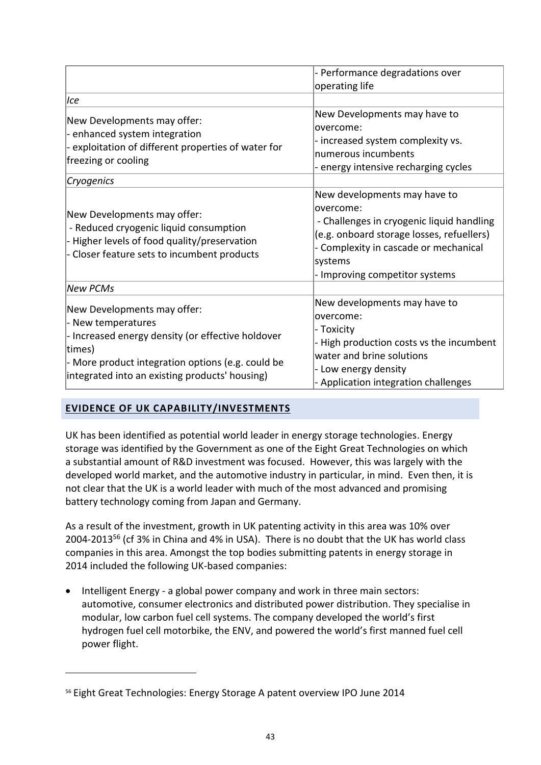|                                                                                                                                                                                                                         | - Performance degradations over<br>operating life                                                                                                                                                                         |
|-------------------------------------------------------------------------------------------------------------------------------------------------------------------------------------------------------------------------|---------------------------------------------------------------------------------------------------------------------------------------------------------------------------------------------------------------------------|
| Ice                                                                                                                                                                                                                     |                                                                                                                                                                                                                           |
| New Developments may offer:<br>- enhanced system integration<br>- exploitation of different properties of water for<br>freezing or cooling                                                                              | New Developments may have to<br>lovercome:<br>- increased system complexity vs.<br>Inumerous incumbents<br>- energy intensive recharging cycles                                                                           |
| Cryogenics                                                                                                                                                                                                              |                                                                                                                                                                                                                           |
| New Developments may offer:<br>- Reduced cryogenic liquid consumption<br>- Higher levels of food quality/preservation<br>- Closer feature sets to incumbent products                                                    | New developments may have to<br>overcome:<br>- Challenges in cryogenic liquid handling<br>(e.g. onboard storage losses, refuellers)<br>- Complexity in cascade or mechanical<br>systems<br>- Improving competitor systems |
| <b>New PCMs</b>                                                                                                                                                                                                         |                                                                                                                                                                                                                           |
| New Developments may offer:<br>- New temperatures<br>- Increased energy density (or effective holdover<br>times)<br>- More product integration options (e.g. could be<br>integrated into an existing products' housing) | New developments may have to<br>lovercome:<br>- Toxicity<br>- High production costs vs the incumbent<br>water and brine solutions<br>- Low energy density<br>- Application integration challenges                         |

#### **EVIDENCE OF UK CAPABILITY/INVESTMENTS**

1

UK has been identified as potential world leader in energy storage technologies. Energy storage was identified by the Government as one of the Eight Great Technologies on which a substantial amount of R&D investment was focused. However, this was largely with the developed world market, and the automotive industry in particular, in mind. Even then, it is not clear that the UK is a world leader with much of the most advanced and promising battery technology coming from Japan and Germany.

As a result of the investment, growth in UK patenting activity in this area was 10% over 2004-2013<sup>56</sup> (cf 3% in China and 4% in USA). There is no doubt that the UK has world class companies in this area. Amongst the top bodies submitting patents in energy storage in 2014 included the following UK-based companies:

• Intelligent Energy - a global power company and work in three main sectors: automotive, consumer electronics and distributed power distribution. They specialise in modular, low carbon fuel cell systems. The company developed the world's first hydrogen fuel cell motorbike, the ENV, and powered the world's first manned fuel cell power flight.

<sup>56</sup> Eight Great Technologies: Energy Storage A patent overview IPO June 2014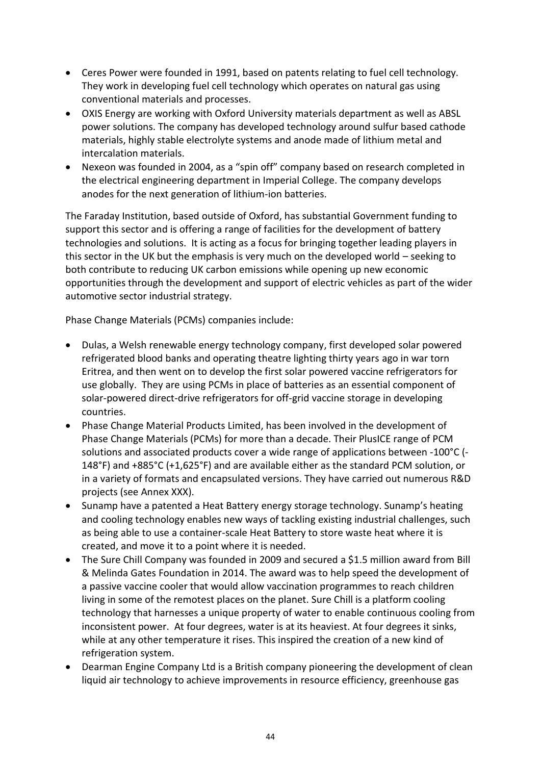- Ceres Power were founded in 1991, based on patents relating to fuel cell technology. They work in developing fuel cell technology which operates on natural gas using conventional materials and processes.
- OXIS Energy are working with Oxford University materials department as well as ABSL power solutions. The company has developed technology around sulfur based cathode materials, highly stable electrolyte systems and anode made of lithium metal and intercalation materials.
- Nexeon was founded in 2004, as a "spin off" company based on research completed in the electrical engineering department in Imperial College. The company develops anodes for the next generation of lithium-ion batteries.

The Faraday Institution, based outside of Oxford, has substantial Government funding to support this sector and is offering a range of facilities for the development of battery technologies and solutions. It is acting as a focus for bringing together leading players in this sector in the UK but the emphasis is very much on the developed world – seeking to both contribute to reducing UK carbon emissions while opening up new economic opportunities through the development and support of electric vehicles as part of the wider automotive sector industrial strategy.

Phase Change Materials (PCMs) companies include:

- Dulas, a Welsh renewable energy technology company, first developed solar powered refrigerated blood banks and operating theatre lighting thirty years ago in war torn Eritrea, and then went on to develop the first solar powered vaccine refrigerators for use globally. They are using PCMs in place of batteries as an essential component of solar-powered direct-drive refrigerators for off-grid vaccine storage in developing countries.
- Phase Change Material Products Limited, has been involved in the development of Phase Change Materials (PCMs) for more than a decade. Their PlusICE range of PCM solutions and associated products cover a wide range of applications between -100°C (- 148°F) and +885°C (+1,625°F) and are available either as the standard PCM solution, or in a variety of formats and encapsulated versions. They have carried out numerous R&D projects (see Annex XXX).
- Sunamp have a patented a Heat Battery energy storage technology. Sunamp's heating and cooling technology enables new ways of tackling existing industrial challenges, such as being able to use a container-scale Heat Battery to store waste heat where it is created, and move it to a point where it is needed.
- The Sure Chill Company was founded in 2009 and secured a \$1.5 million award from Bill & Melinda Gates Foundation in 2014. The award was to help speed the development of a passive vaccine cooler that would allow vaccination programmes to reach children living in some of the remotest places on the planet. Sure Chill is a platform cooling technology that harnesses a unique property of water to enable continuous cooling from inconsistent power. At four degrees, water is at its heaviest. At four degrees it sinks, while at any other temperature it rises. This inspired the creation of a new kind of refrigeration system.
- Dearman Engine Company Ltd is a British company pioneering the development of clean liquid air technology to achieve improvements in resource efficiency, greenhouse gas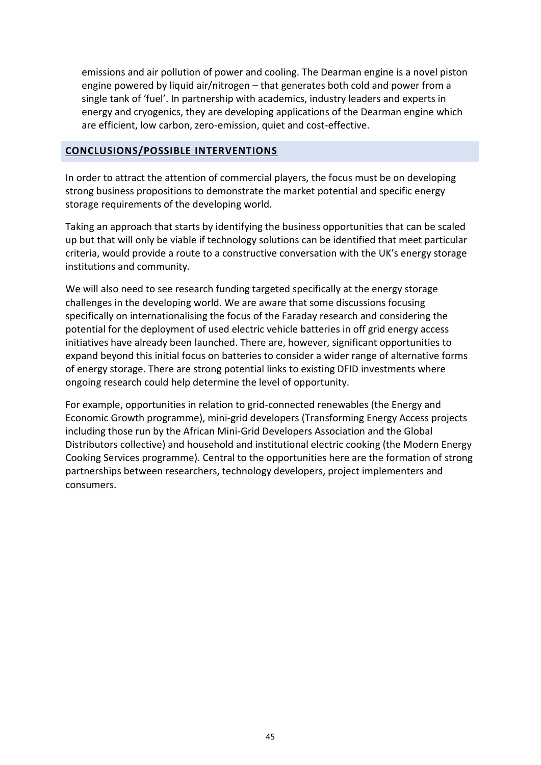emissions and air pollution of power and cooling. The Dearman engine is a novel piston engine powered by liquid air/nitrogen – that generates both cold and power from a single tank of 'fuel'. In partnership with academics, industry leaders and experts in energy and cryogenics, they are developing applications of the Dearman engine which are efficient, low carbon, zero-emission, quiet and cost-effective.

#### **CONCLUSIONS/POSSIBLE INTERVENTIONS**

In order to attract the attention of commercial players, the focus must be on developing strong business propositions to demonstrate the market potential and specific energy storage requirements of the developing world.

Taking an approach that starts by identifying the business opportunities that can be scaled up but that will only be viable if technology solutions can be identified that meet particular criteria, would provide a route to a constructive conversation with the UK's energy storage institutions and community.

We will also need to see research funding targeted specifically at the energy storage challenges in the developing world. We are aware that some discussions focusing specifically on internationalising the focus of the Faraday research and considering the potential for the deployment of used electric vehicle batteries in off grid energy access initiatives have already been launched. There are, however, significant opportunities to expand beyond this initial focus on batteries to consider a wider range of alternative forms of energy storage. There are strong potential links to existing DFID investments where ongoing research could help determine the level of opportunity.

For example, opportunities in relation to grid-connected renewables (the Energy and Economic Growth programme), mini-grid developers (Transforming Energy Access projects including those run by the African Mini-Grid Developers Association and the Global Distributors collective) and household and institutional electric cooking (the Modern Energy Cooking Services programme). Central to the opportunities here are the formation of strong partnerships between researchers, technology developers, project implementers and consumers.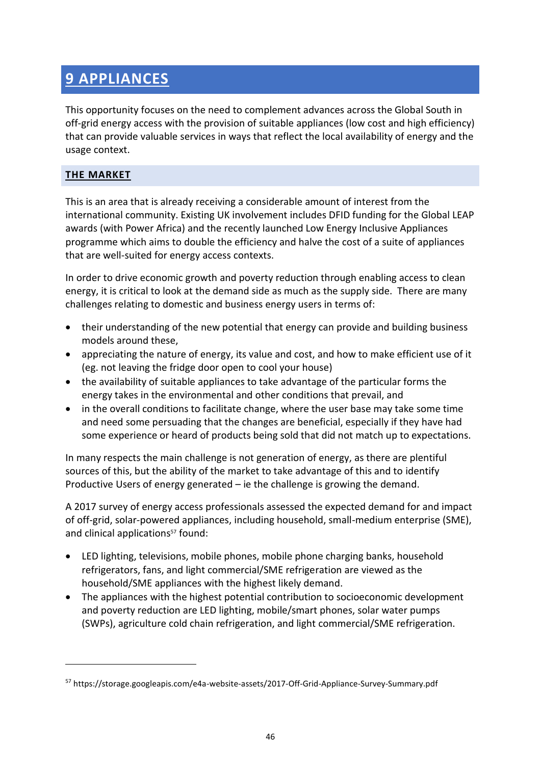# **9 APPLIANCES**

This opportunity focuses on the need to complement advances across the Global South in off-grid energy access with the provision of suitable appliances (low cost and high efficiency) that can provide valuable services in ways that reflect the local availability of energy and the usage context.

#### **THE MARKET**

1

This is an area that is already receiving a considerable amount of interest from the international community. Existing UK involvement includes DFID funding for the Global LEAP awards (with Power Africa) and the recently launched Low Energy Inclusive Appliances programme which aims to double the efficiency and halve the cost of a suite of appliances that are well-suited for energy access contexts.

In order to drive economic growth and poverty reduction through enabling access to clean energy, it is critical to look at the demand side as much as the supply side. There are many challenges relating to domestic and business energy users in terms of:

- their understanding of the new potential that energy can provide and building business models around these,
- appreciating the nature of energy, its value and cost, and how to make efficient use of it (eg. not leaving the fridge door open to cool your house)
- the availability of suitable appliances to take advantage of the particular forms the energy takes in the environmental and other conditions that prevail, and
- in the overall conditions to facilitate change, where the user base may take some time and need some persuading that the changes are beneficial, especially if they have had some experience or heard of products being sold that did not match up to expectations.

In many respects the main challenge is not generation of energy, as there are plentiful sources of this, but the ability of the market to take advantage of this and to identify Productive Users of energy generated – ie the challenge is growing the demand.

A 2017 survey of energy access professionals assessed the expected demand for and impact of off-grid, solar-powered appliances, including household, small-medium enterprise (SME), and clinical applications<sup>57</sup> found:

- LED lighting, televisions, mobile phones, mobile phone charging banks, household refrigerators, fans, and light commercial/SME refrigeration are viewed as the household/SME appliances with the highest likely demand.
- The appliances with the highest potential contribution to socioeconomic development and poverty reduction are LED lighting, mobile/smart phones, solar water pumps (SWPs), agriculture cold chain refrigeration, and light commercial/SME refrigeration.

<sup>57</sup> https://storage.googleapis.com/e4a-website-assets/2017-Off-Grid-Appliance-Survey-Summary.pdf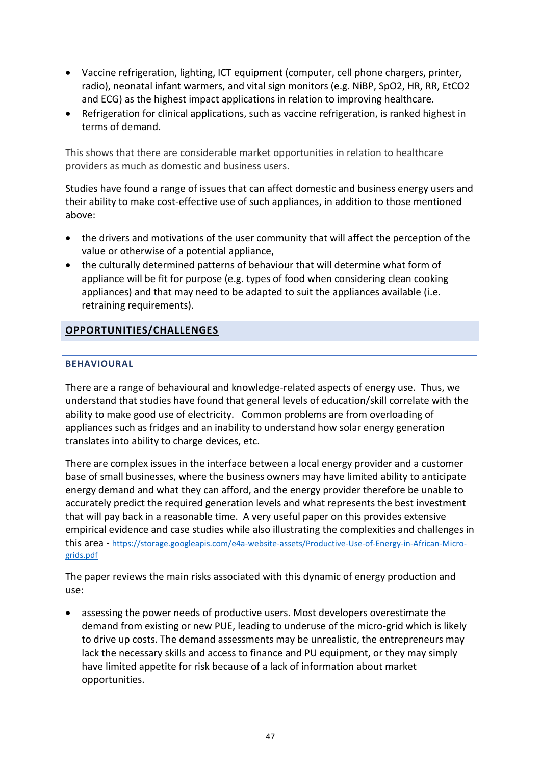- Vaccine refrigeration, lighting, ICT equipment (computer, cell phone chargers, printer, radio), neonatal infant warmers, and vital sign monitors (e.g. NiBP, SpO2, HR, RR, EtCO2 and ECG) as the highest impact applications in relation to improving healthcare.
- Refrigeration for clinical applications, such as vaccine refrigeration, is ranked highest in terms of demand.

This shows that there are considerable market opportunities in relation to healthcare providers as much as domestic and business users.

Studies have found a range of issues that can affect domestic and business energy users and their ability to make cost-effective use of such appliances, in addition to those mentioned above:

- the drivers and motivations of the user community that will affect the perception of the value or otherwise of a potential appliance,
- the culturally determined patterns of behaviour that will determine what form of appliance will be fit for purpose (e.g. types of food when considering clean cooking appliances) and that may need to be adapted to suit the appliances available (i.e. retraining requirements).

## **OPPORTUNITIES/CHALLENGES**

#### **BEHAVIOURAL**

There are a range of behavioural and knowledge-related aspects of energy use. Thus, we understand that studies have found that general levels of education/skill correlate with the ability to make good use of electricity. Common problems are from overloading of appliances such as fridges and an inability to understand how solar energy generation translates into ability to charge devices, etc.

There are complex issues in the interface between a local energy provider and a customer base of small businesses, where the business owners may have limited ability to anticipate energy demand and what they can afford, and the energy provider therefore be unable to accurately predict the required generation levels and what represents the best investment that will pay back in a reasonable time. A very useful paper on this provides extensive empirical evidence and case studies while also illustrating the complexities and challenges in this area - [https://storage.googleapis.com/e4a-website-assets/Productive-Use-of-Energy-in-African-Micro](https://storage.googleapis.com/e4a-website-assets/Productive-Use-of-Energy-in-African-Micro-grids.pdf)[grids.pdf](https://storage.googleapis.com/e4a-website-assets/Productive-Use-of-Energy-in-African-Micro-grids.pdf)

The paper reviews the main risks associated with this dynamic of energy production and use:

• assessing the power needs of productive users. Most developers overestimate the demand from existing or new PUE, leading to underuse of the micro-grid which is likely to drive up costs. The demand assessments may be unrealistic, the entrepreneurs may lack the necessary skills and access to finance and PU equipment, or they may simply have limited appetite for risk because of a lack of information about market opportunities.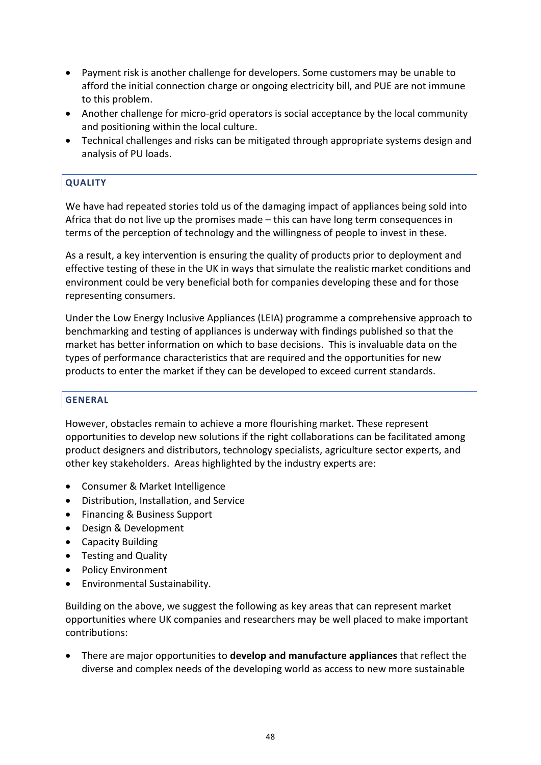- Payment risk is another challenge for developers. Some customers may be unable to afford the initial connection charge or ongoing electricity bill, and PUE are not immune to this problem.
- Another challenge for micro-grid operators is social acceptance by the local community and positioning within the local culture.
- Technical challenges and risks can be mitigated through appropriate systems design and analysis of PU loads.

#### **QUALITY**

We have had repeated stories told us of the damaging impact of appliances being sold into Africa that do not live up the promises made – this can have long term consequences in terms of the perception of technology and the willingness of people to invest in these.

As a result, a key intervention is ensuring the quality of products prior to deployment and effective testing of these in the UK in ways that simulate the realistic market conditions and environment could be very beneficial both for companies developing these and for those representing consumers.

Under the Low Energy Inclusive Appliances (LEIA) programme a comprehensive approach to benchmarking and testing of appliances is underway with findings published so that the market has better information on which to base decisions. This is invaluable data on the types of performance characteristics that are required and the opportunities for new products to enter the market if they can be developed to exceed current standards.

#### **GENERAL**

However, obstacles remain to achieve a more flourishing market. These represent opportunities to develop new solutions if the right collaborations can be facilitated among product designers and distributors, technology specialists, agriculture sector experts, and other key stakeholders. Areas highlighted by the industry experts are:

- Consumer & Market Intelligence
- Distribution, Installation, and Service
- Financing & Business Support
- Design & Development
- Capacity Building
- Testing and Quality
- Policy Environment
- Environmental Sustainability.

Building on the above, we suggest the following as key areas that can represent market opportunities where UK companies and researchers may be well placed to make important contributions:

• There are major opportunities to **develop and manufacture appliances** that reflect the diverse and complex needs of the developing world as access to new more sustainable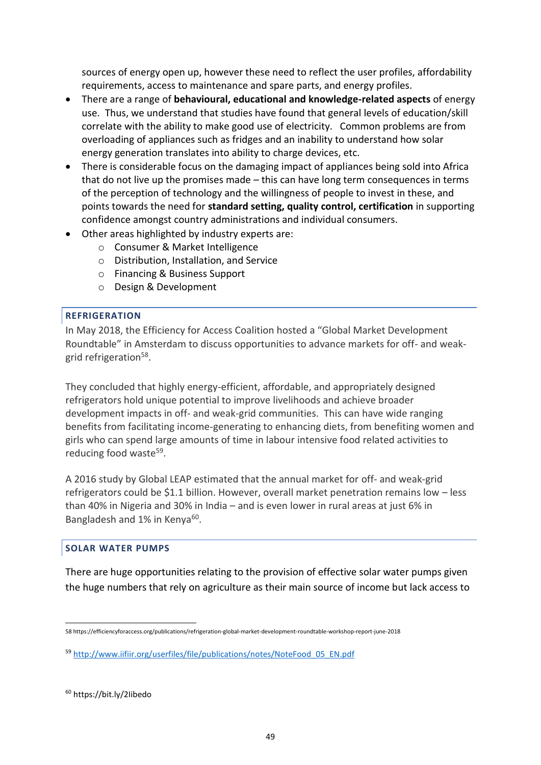sources of energy open up, however these need to reflect the user profiles, affordability requirements, access to maintenance and spare parts, and energy profiles.

- There are a range of **behavioural, educational and knowledge-related aspects** of energy use. Thus, we understand that studies have found that general levels of education/skill correlate with the ability to make good use of electricity. Common problems are from overloading of appliances such as fridges and an inability to understand how solar energy generation translates into ability to charge devices, etc.
- There is considerable focus on the damaging impact of appliances being sold into Africa that do not live up the promises made – this can have long term consequences in terms of the perception of technology and the willingness of people to invest in these, and points towards the need for **standard setting, quality control, certification** in supporting confidence amongst country administrations and individual consumers.
- Other areas highlighted by industry experts are:
	- o Consumer & Market Intelligence
	- o Distribution, Installation, and Service
	- o Financing & Business Support
	- o Design & Development

#### **REFRIGERATION**

In May 2018, the Efficiency for Access Coalition hosted a "Global Market Development Roundtable" in Amsterdam to discuss opportunities to advance markets for off- and weakgrid refrigeration<sup>58</sup>.

They concluded that highly energy-efficient, affordable, and appropriately designed refrigerators hold unique potential to improve livelihoods and achieve broader development impacts in off- and weak-grid communities. This can have wide ranging benefits from facilitating income-generating to enhancing diets, from benefiting women and girls who can spend large amounts of time in labour intensive food related activities to reducing food waste<sup>59</sup>.

A 2016 study by Global LEAP estimated that the annual market for off- and weak-grid refrigerators could be \$1.1 billion. However, overall market penetration remains low – less than 40% in Nigeria and 30% in India – and is even lower in rural areas at just 6% in Bangladesh and 1% in Kenya<sup>60</sup>.

#### **SOLAR WATER PUMPS**

There are huge opportunities relating to the provision of effective solar water pumps given the huge numbers that rely on agriculture as their main source of income but lack access to

<sup>1</sup> 58 https://efficiencyforaccess.org/publications/refrigeration-global-market-development-roundtable-workshop-report-june-2018

<sup>59</sup> [http://www.iifiir.org/userfiles/file/publications/notes/NoteFood\\_05\\_EN.pdf](http://www.iifiir.org/userfiles/file/publications/notes/NoteFood_05_EN.pdf)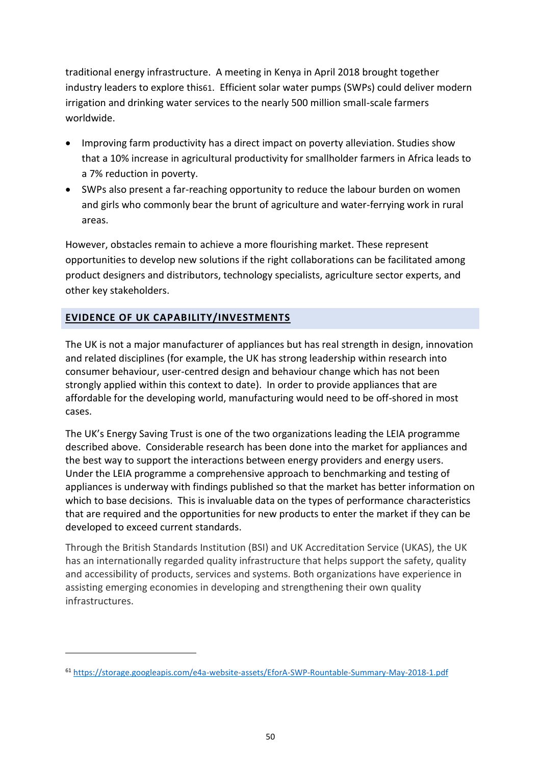traditional energy infrastructure. A meeting in Kenya in April 2018 brought together industry leaders to explore this61. Efficient solar water pumps (SWPs) could deliver modern irrigation and drinking water services to the nearly 500 million small-scale farmers worldwide.

- Improving farm productivity has a direct impact on poverty alleviation. Studies show that a 10% increase in agricultural productivity for smallholder farmers in Africa leads to a 7% reduction in poverty.
- SWPs also present a far-reaching opportunity to reduce the labour burden on women and girls who commonly bear the brunt of agriculture and water-ferrying work in rural areas.

However, obstacles remain to achieve a more flourishing market. These represent opportunities to develop new solutions if the right collaborations can be facilitated among product designers and distributors, technology specialists, agriculture sector experts, and other key stakeholders.

## **EVIDENCE OF UK CAPABILITY/INVESTMENTS**

**.** 

The UK is not a major manufacturer of appliances but has real strength in design, innovation and related disciplines (for example, the UK has strong leadership within research into consumer behaviour, user-centred design and behaviour change which has not been strongly applied within this context to date). In order to provide appliances that are affordable for the developing world, manufacturing would need to be off-shored in most cases.

The UK's Energy Saving Trust is one of the two organizations leading the LEIA programme described above. Considerable research has been done into the market for appliances and the best way to support the interactions between energy providers and energy users. Under the LEIA programme a comprehensive approach to benchmarking and testing of appliances is underway with findings published so that the market has better information on which to base decisions. This is invaluable data on the types of performance characteristics that are required and the opportunities for new products to enter the market if they can be developed to exceed current standards.

Through the British Standards Institution (BSI) and UK Accreditation Service (UKAS), the UK has an internationally regarded quality infrastructure that helps support the safety, quality and accessibility of products, services and systems. Both organizations have experience in assisting emerging economies in developing and strengthening their own quality infrastructures.

<sup>61</sup> <https://storage.googleapis.com/e4a-website-assets/EforA-SWP-Rountable-Summary-May-2018-1.pdf>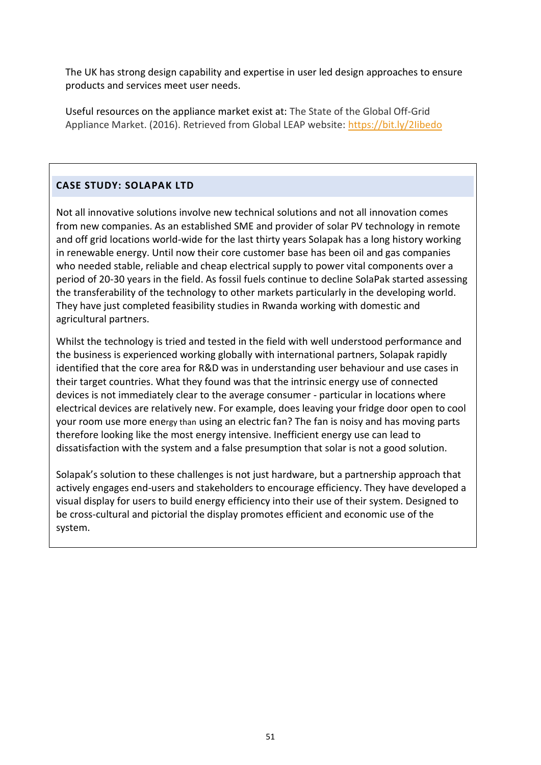The UK has strong design capability and expertise in user led design approaches to ensure products and services meet user needs.

Useful resources on the appliance market exist at: The State of the Global Off-Grid Appliance Market. (2016). Retrieved from Global LEAP website: <https://bit.ly/2Iibedo>

# **CASE STUDY: SOLAPAK LTD**

Not all innovative solutions involve new technical solutions and not all innovation comes from new companies. As an established SME and provider of solar PV technology in remote and off grid locations world-wide for the last thirty years Solapak has a long history working in renewable energy. Until now their core customer base has been oil and gas companies who needed stable, reliable and cheap electrical supply to power vital components over a period of 20-30 years in the field. As fossil fuels continue to decline SolaPak started assessing the transferability of the technology to other markets particularly in the developing world. They have just completed feasibility studies in Rwanda working with domestic and agricultural partners.

Whilst the technology is tried and tested in the field with well understood performance and the business is experienced working globally with international partners, Solapak rapidly identified that the core area for R&D was in understanding user behaviour and use cases in their target countries. What they found was that the intrinsic energy use of connected devices is not immediately clear to the average consumer - particular in locations where electrical devices are relatively new. For example, does leaving your fridge door open to cool your room use more energy than using an electric fan? The fan is noisy and has moving parts therefore looking like the most energy intensive. Inefficient energy use can lead to dissatisfaction with the system and a false presumption that solar is not a good solution.

Solapak's solution to these challenges is not just hardware, but a partnership approach that actively engages end-users and stakeholders to encourage efficiency. They have developed a visual display for users to build energy efficiency into their use of their system. Designed to be cross-cultural and pictorial the display promotes efficient and economic use of the system.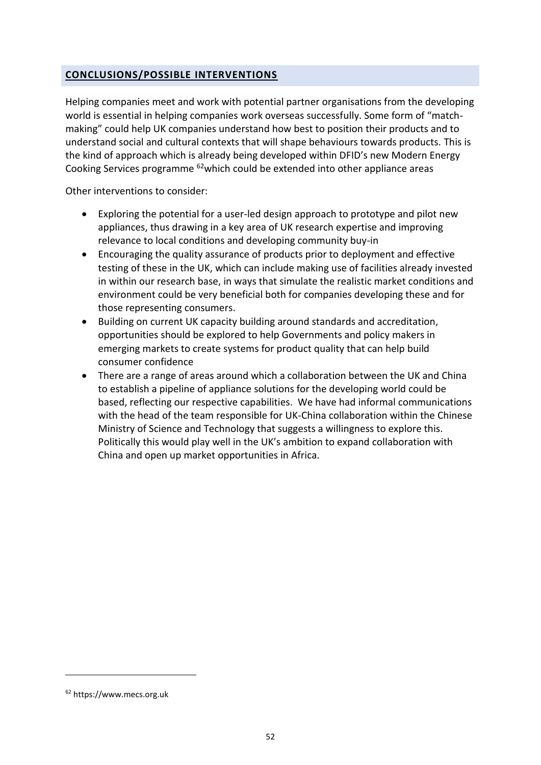#### **CONCLUSIONS/POSSIBLE INTERVENTIONS**

Helping companies meet and work with potential partner organisations from the developing world is essential in helping companies work overseas successfully. Some form of "matchmaking" could help UK companies understand how best to position their products and to understand social and cultural contexts that will shape behaviours towards products. This is the kind of approach which is already being developed within DFID's new Modern Energy Cooking Services programme <sup>62</sup>which could be extended into other appliance areas

Other interventions to consider:

- Exploring the potential for a user-led design approach to prototype and pilot new appliances, thus drawing in a key area of UK research expertise and improving relevance to local conditions and developing community buy-in
- Encouraging the quality assurance of products prior to deployment and effective testing of these in the UK, which can include making use of facilities already invested in within our research base, in ways that simulate the realistic market conditions and environment could be very beneficial both for companies developing these and for those representing consumers.
- Building on current UK capacity building around standards and accreditation, opportunities should be explored to help Governments and policy makers in emerging markets to create systems for product quality that can help build consumer confidence
- There are a range of areas around which a collaboration between the UK and China to establish a pipeline of appliance solutions for the developing world could be based, reflecting our respective capabilities. We have had informal communications with the head of the team responsible for UK-China collaboration within the Chinese Ministry of Science and Technology that suggests a willingness to explore this. Politically this would play well in the UK's ambition to expand collaboration with China and open up market opportunities in Africa.

1

<sup>62</sup> https://www.mecs.org.uk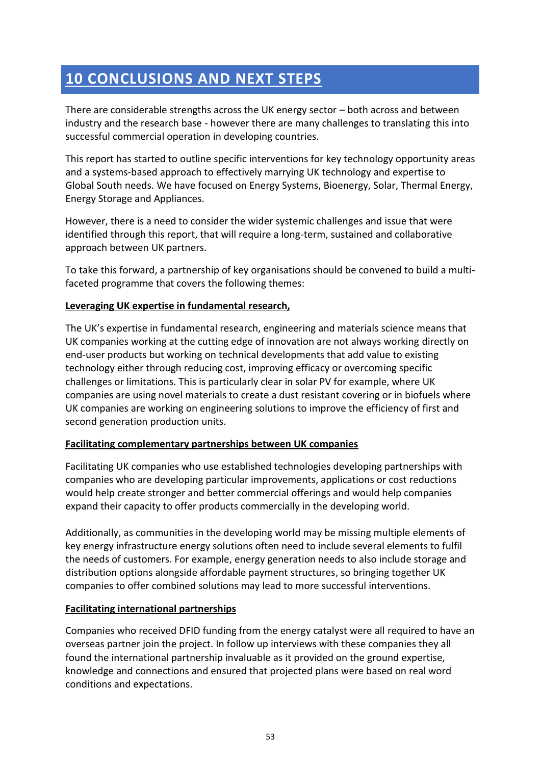# **10 CONCLUSIONS AND NEXT STEPS**

There are considerable strengths across the UK energy sector – both across and between industry and the research base - however there are many challenges to translating this into successful commercial operation in developing countries.

This report has started to outline specific interventions for key technology opportunity areas and a systems-based approach to effectively marrying UK technology and expertise to Global South needs. We have focused on Energy Systems, Bioenergy, Solar, Thermal Energy, Energy Storage and Appliances.

However, there is a need to consider the wider systemic challenges and issue that were identified through this report, that will require a long-term, sustained and collaborative approach between UK partners.

To take this forward, a partnership of key organisations should be convened to build a multifaceted programme that covers the following themes:

## **Leveraging UK expertise in fundamental research,**

The UK's expertise in fundamental research, engineering and materials science means that UK companies working at the cutting edge of innovation are not always working directly on end-user products but working on technical developments that add value to existing technology either through reducing cost, improving efficacy or overcoming specific challenges or limitations. This is particularly clear in solar PV for example, where UK companies are using novel materials to create a dust resistant covering or in biofuels where UK companies are working on engineering solutions to improve the efficiency of first and second generation production units.

#### **Facilitating complementary partnerships between UK companies**

Facilitating UK companies who use established technologies developing partnerships with companies who are developing particular improvements, applications or cost reductions would help create stronger and better commercial offerings and would help companies expand their capacity to offer products commercially in the developing world.

Additionally, as communities in the developing world may be missing multiple elements of key energy infrastructure energy solutions often need to include several elements to fulfil the needs of customers. For example, energy generation needs to also include storage and distribution options alongside affordable payment structures, so bringing together UK companies to offer combined solutions may lead to more successful interventions.

#### **Facilitating international partnerships**

Companies who received DFID funding from the energy catalyst were all required to have an overseas partner join the project. In follow up interviews with these companies they all found the international partnership invaluable as it provided on the ground expertise, knowledge and connections and ensured that projected plans were based on real word conditions and expectations.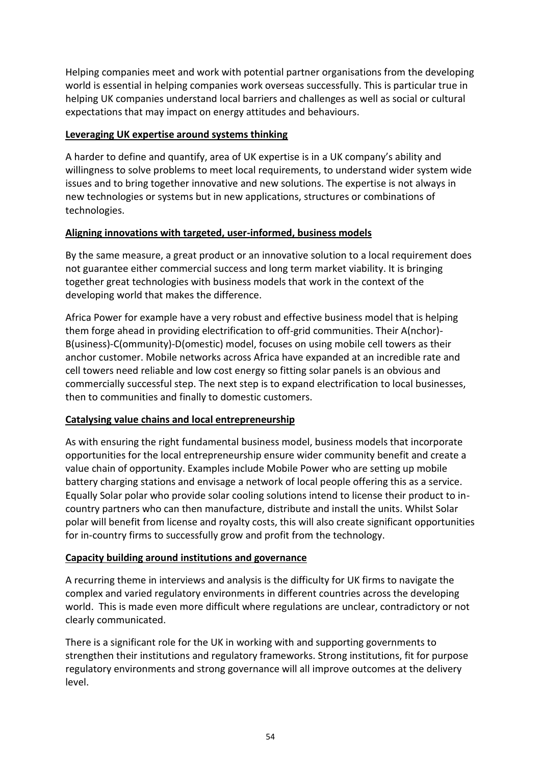Helping companies meet and work with potential partner organisations from the developing world is essential in helping companies work overseas successfully. This is particular true in helping UK companies understand local barriers and challenges as well as social or cultural expectations that may impact on energy attitudes and behaviours.

#### **Leveraging UK expertise around systems thinking**

A harder to define and quantify, area of UK expertise is in a UK company's ability and willingness to solve problems to meet local requirements, to understand wider system wide issues and to bring together innovative and new solutions. The expertise is not always in new technologies or systems but in new applications, structures or combinations of technologies.

## **Aligning innovations with targeted, user-informed, business models**

By the same measure, a great product or an innovative solution to a local requirement does not guarantee either commercial success and long term market viability. It is bringing together great technologies with business models that work in the context of the developing world that makes the difference.

Africa Power for example have a very robust and effective business model that is helping them forge ahead in providing electrification to off-grid communities. Their A(nchor)- B(usiness)-C(ommunity)-D(omestic) model, focuses on using mobile cell towers as their anchor customer. Mobile networks across Africa have expanded at an incredible rate and cell towers need reliable and low cost energy so fitting solar panels is an obvious and commercially successful step. The next step is to expand electrification to local businesses, then to communities and finally to domestic customers.

## **Catalysing value chains and local entrepreneurship**

As with ensuring the right fundamental business model, business models that incorporate opportunities for the local entrepreneurship ensure wider community benefit and create a value chain of opportunity. Examples include Mobile Power who are setting up mobile battery charging stations and envisage a network of local people offering this as a service. Equally Solar polar who provide solar cooling solutions intend to license their product to incountry partners who can then manufacture, distribute and install the units. Whilst Solar polar will benefit from license and royalty costs, this will also create significant opportunities for in-country firms to successfully grow and profit from the technology.

## **Capacity building around institutions and governance**

A recurring theme in interviews and analysis is the difficulty for UK firms to navigate the complex and varied regulatory environments in different countries across the developing world. This is made even more difficult where regulations are unclear, contradictory or not clearly communicated.

There is a significant role for the UK in working with and supporting governments to strengthen their institutions and regulatory frameworks. Strong institutions, fit for purpose regulatory environments and strong governance will all improve outcomes at the delivery level.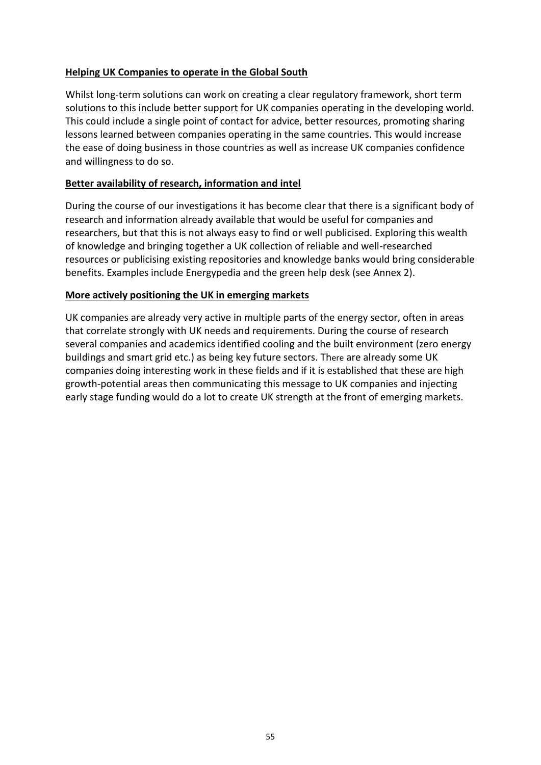#### **Helping UK Companies to operate in the Global South**

Whilst long-term solutions can work on creating a clear regulatory framework, short term solutions to this include better support for UK companies operating in the developing world. This could include a single point of contact for advice, better resources, promoting sharing lessons learned between companies operating in the same countries. This would increase the ease of doing business in those countries as well as increase UK companies confidence and willingness to do so.

#### **Better availability of research, information and intel**

During the course of our investigations it has become clear that there is a significant body of research and information already available that would be useful for companies and researchers, but that this is not always easy to find or well publicised. Exploring this wealth of knowledge and bringing together a UK collection of reliable and well-researched resources or publicising existing repositories and knowledge banks would bring considerable benefits. Examples include Energypedia and the green help desk (see Annex 2).

#### **More actively positioning the UK in emerging markets**

UK companies are already very active in multiple parts of the energy sector, often in areas that correlate strongly with UK needs and requirements. During the course of research several companies and academics identified cooling and the built environment (zero energy buildings and smart grid etc.) as being key future sectors. There are already some UK companies doing interesting work in these fields and if it is established that these are high growth-potential areas then communicating this message to UK companies and injecting early stage funding would do a lot to create UK strength at the front of emerging markets.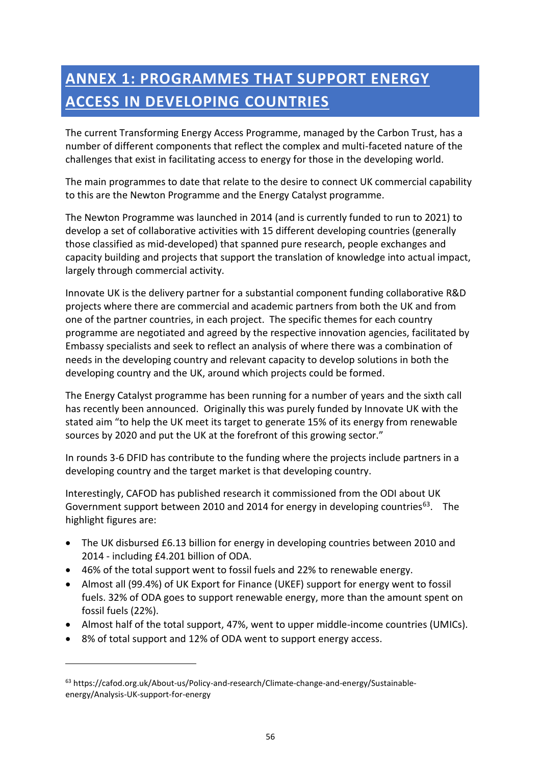# **ANNEX 1: PROGRAMMES THAT SUPPORT ENERGY ACCESS IN DEVELOPING COUNTRIES**

The current Transforming Energy Access Programme, managed by the Carbon Trust, has a number of different components that reflect the complex and multi-faceted nature of the challenges that exist in facilitating access to energy for those in the developing world.

The main programmes to date that relate to the desire to connect UK commercial capability to this are the Newton Programme and the Energy Catalyst programme.

The Newton Programme was launched in 2014 (and is currently funded to run to 2021) to develop a set of collaborative activities with 15 different developing countries (generally those classified as mid-developed) that spanned pure research, people exchanges and capacity building and projects that support the translation of knowledge into actual impact, largely through commercial activity.

Innovate UK is the delivery partner for a substantial component funding collaborative R&D projects where there are commercial and academic partners from both the UK and from one of the partner countries, in each project. The specific themes for each country programme are negotiated and agreed by the respective innovation agencies, facilitated by Embassy specialists and seek to reflect an analysis of where there was a combination of needs in the developing country and relevant capacity to develop solutions in both the developing country and the UK, around which projects could be formed.

The Energy Catalyst programme has been running for a number of years and the sixth call has recently been announced. Originally this was purely funded by Innovate UK with the stated aim "to help the UK meet its target to [generate 15% of its energy from renewable](https://publications.parliament.uk/pa/cm201617/cmselect/cmenergy/173/17305.htm#_idTextAnchor008)  [sources by 2020](https://publications.parliament.uk/pa/cm201617/cmselect/cmenergy/173/17305.htm#_idTextAnchor008) and put the UK at the forefront of this growing sector."

In rounds 3-6 DFID has contribute to the funding where the projects include partners in a developing country and the target market is that developing country.

Interestingly, CAFOD has published research it commissioned from the ODI about UK Government support between 2010 and 2014 for energy in developing countries<sup>63</sup>. The highlight figures are:

- The UK disbursed £6.13 billion for energy in developing countries between 2010 and 2014 - including £4.201 billion of ODA.
- 46% of the total support went to fossil fuels and 22% to renewable energy.
- Almost all (99.4%) of UK Export for Finance (UKEF) support for energy went to fossil fuels. 32% of ODA goes to support renewable energy, more than the amount spent on fossil fuels (22%).
- Almost half of the total support, 47%, went to upper middle-income countries (UMICs).
- 8% of total support and 12% of ODA went to support energy access.

1

<sup>63</sup> https://cafod.org.uk/About-us/Policy-and-research/Climate-change-and-energy/Sustainableenergy/Analysis-UK-support-for-energy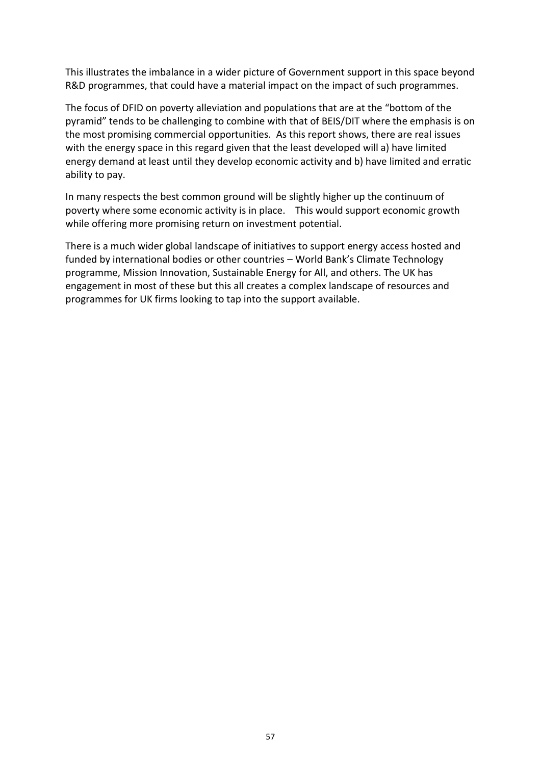This illustrates the imbalance in a wider picture of Government support in this space beyond R&D programmes, that could have a material impact on the impact of such programmes.

The focus of DFID on poverty alleviation and populations that are at the "bottom of the pyramid" tends to be challenging to combine with that of BEIS/DIT where the emphasis is on the most promising commercial opportunities. As this report shows, there are real issues with the energy space in this regard given that the least developed will a) have limited energy demand at least until they develop economic activity and b) have limited and erratic ability to pay.

In many respects the best common ground will be slightly higher up the continuum of poverty where some economic activity is in place. This would support economic growth while offering more promising return on investment potential.

There is a much wider global landscape of initiatives to support energy access hosted and funded by international bodies or other countries – World Bank's Climate Technology programme, Mission Innovation, Sustainable Energy for All, and others. The UK has engagement in most of these but this all creates a complex landscape of resources and programmes for UK firms looking to tap into the support available.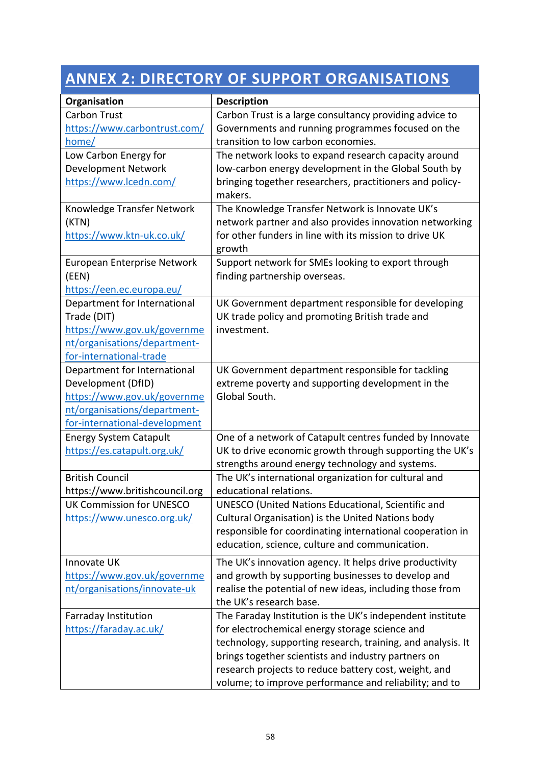# **ANNEX 2: DIRECTORY OF SUPPORT ORGANISATIONS**

| Organisation                    | <b>Description</b>                                          |
|---------------------------------|-------------------------------------------------------------|
| <b>Carbon Trust</b>             | Carbon Trust is a large consultancy providing advice to     |
| https://www.carbontrust.com/    | Governments and running programmes focused on the           |
| <u>home/</u>                    | transition to low carbon economies.                         |
| Low Carbon Energy for           | The network looks to expand research capacity around        |
| <b>Development Network</b>      | low-carbon energy development in the Global South by        |
| https://www.lcedn.com/          | bringing together researchers, practitioners and policy-    |
|                                 | makers.                                                     |
| Knowledge Transfer Network      | The Knowledge Transfer Network is Innovate UK's             |
| (KTN)                           | network partner and also provides innovation networking     |
| https://www.ktn-uk.co.uk/       | for other funders in line with its mission to drive UK      |
|                                 | growth                                                      |
| European Enterprise Network     | Support network for SMEs looking to export through          |
| (EEN)                           | finding partnership overseas.                               |
| https://een.ec.europa.eu/       |                                                             |
| Department for International    | UK Government department responsible for developing         |
| Trade (DIT)                     | UK trade policy and promoting British trade and             |
| https://www.gov.uk/governme     | investment.                                                 |
| nt/organisations/department-    |                                                             |
| for-international-trade         |                                                             |
| Department for International    | UK Government department responsible for tackling           |
| Development (DfID)              | extreme poverty and supporting development in the           |
| https://www.gov.uk/governme     | Global South.                                               |
| nt/organisations/department-    |                                                             |
| for-international-development   |                                                             |
| <b>Energy System Catapult</b>   | One of a network of Catapult centres funded by Innovate     |
| https://es.catapult.org.uk/     | UK to drive economic growth through supporting the UK's     |
|                                 | strengths around energy technology and systems.             |
| <b>British Council</b>          | The UK's international organization for cultural and        |
| https://www.britishcouncil.org  | educational relations.                                      |
| <b>UK Commission for UNESCO</b> | UNESCO (United Nations Educational, Scientific and          |
| https://www.unesco.org.uk/      | Cultural Organisation) is the United Nations body           |
|                                 | responsible for coordinating international cooperation in   |
|                                 | education, science, culture and communication.              |
| Innovate UK                     | The UK's innovation agency. It helps drive productivity     |
| https://www.gov.uk/governme     | and growth by supporting businesses to develop and          |
| nt/organisations/innovate-uk    | realise the potential of new ideas, including those from    |
|                                 | the UK's research base.                                     |
| Farraday Institution            | The Faraday Institution is the UK's independent institute   |
| https://faraday.ac.uk/          | for electrochemical energy storage science and              |
|                                 | technology, supporting research, training, and analysis. It |
|                                 | brings together scientists and industry partners on         |
|                                 | research projects to reduce battery cost, weight, and       |
|                                 | volume; to improve performance and reliability; and to      |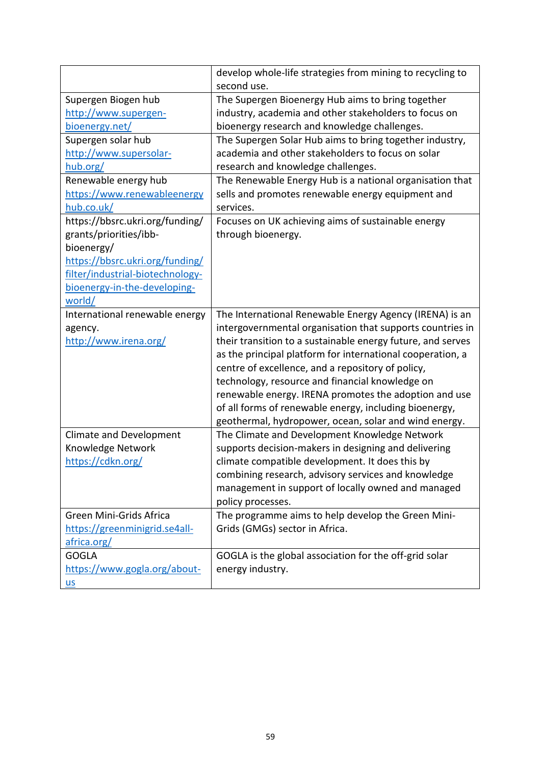|                                  | develop whole-life strategies from mining to recycling to   |
|----------------------------------|-------------------------------------------------------------|
|                                  | second use.                                                 |
| Supergen Biogen hub              | The Supergen Bioenergy Hub aims to bring together           |
| http://www.supergen-             | industry, academia and other stakeholders to focus on       |
| bioenergy.net/                   | bioenergy research and knowledge challenges.                |
| Supergen solar hub               | The Supergen Solar Hub aims to bring together industry,     |
| http://www.supersolar-           | academia and other stakeholders to focus on solar           |
| hub.org/                         | research and knowledge challenges.                          |
| Renewable energy hub             | The Renewable Energy Hub is a national organisation that    |
| https://www.renewableenergy      | sells and promotes renewable energy equipment and           |
| hub.co.uk/                       | services.                                                   |
| https://bbsrc.ukri.org/funding/  | Focuses on UK achieving aims of sustainable energy          |
| grants/priorities/ibb-           | through bioenergy.                                          |
| bioenergy/                       |                                                             |
| https://bbsrc.ukri.org/funding/  |                                                             |
| filter/industrial-biotechnology- |                                                             |
| bioenergy-in-the-developing-     |                                                             |
| world/                           |                                                             |
| International renewable energy   | The International Renewable Energy Agency (IRENA) is an     |
| agency.                          | intergovernmental organisation that supports countries in   |
| http://www.irena.org/            | their transition to a sustainable energy future, and serves |
|                                  | as the principal platform for international cooperation, a  |
|                                  |                                                             |
|                                  | centre of excellence, and a repository of policy,           |
|                                  | technology, resource and financial knowledge on             |
|                                  | renewable energy. IRENA promotes the adoption and use       |
|                                  | of all forms of renewable energy, including bioenergy,      |
|                                  | geothermal, hydropower, ocean, solar and wind energy.       |
| <b>Climate and Development</b>   | The Climate and Development Knowledge Network               |
| Knowledge Network                | supports decision-makers in designing and delivering        |
| https://cdkn.org/                | climate compatible development. It does this by             |
|                                  | combining research, advisory services and knowledge         |
|                                  | management in support of locally owned and managed          |
|                                  | policy processes.                                           |
| Green Mini-Grids Africa          | The programme aims to help develop the Green Mini-          |
| https://greenminigrid.se4all-    | Grids (GMGs) sector in Africa.                              |
| africa.org/                      |                                                             |
| <b>GOGLA</b>                     | GOGLA is the global association for the off-grid solar      |
| https://www.gogla.org/about-     | energy industry.                                            |
| $us$                             |                                                             |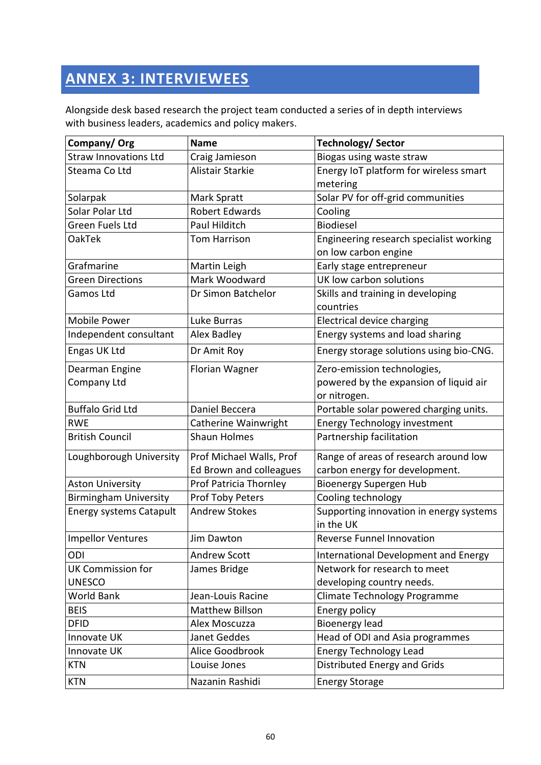# **ANNEX 3: INTERVIEWEES**

Alongside desk based research the project team conducted a series of in depth interviews with business leaders, academics and policy makers.

| Company/Org                    | <b>Name</b>              | <b>Technology/ Sector</b>               |
|--------------------------------|--------------------------|-----------------------------------------|
| <b>Straw Innovations Ltd</b>   | Craig Jamieson           | Biogas using waste straw                |
| Steama Co Ltd                  | <b>Alistair Starkie</b>  | Energy IoT platform for wireless smart  |
|                                |                          | metering                                |
| Solarpak                       | Mark Spratt              | Solar PV for off-grid communities       |
| Solar Polar Ltd                | <b>Robert Edwards</b>    | Cooling                                 |
| Green Fuels Ltd                | Paul Hilditch            | Biodiesel                               |
| OakTek                         | <b>Tom Harrison</b>      | Engineering research specialist working |
|                                |                          | on low carbon engine                    |
| Grafmarine                     | Martin Leigh             | Early stage entrepreneur                |
| <b>Green Directions</b>        | Mark Woodward            | UK low carbon solutions                 |
| Gamos Ltd                      | Dr Simon Batchelor       | Skills and training in developing       |
|                                |                          | countries                               |
| Mobile Power                   | Luke Burras              | Electrical device charging              |
| Independent consultant         | Alex Badley              | Energy systems and load sharing         |
| Engas UK Ltd                   | Dr Amit Roy              | Energy storage solutions using bio-CNG. |
| Dearman Engine                 | Florian Wagner           | Zero-emission technologies,             |
| Company Ltd                    |                          | powered by the expansion of liquid air  |
|                                |                          | or nitrogen.                            |
| <b>Buffalo Grid Ltd</b>        | Daniel Beccera           | Portable solar powered charging units.  |
| <b>RWE</b>                     | Catherine Wainwright     | <b>Energy Technology investment</b>     |
| <b>British Council</b>         | <b>Shaun Holmes</b>      | Partnership facilitation                |
| Loughborough University        | Prof Michael Walls, Prof | Range of areas of research around low   |
|                                | Ed Brown and colleagues  | carbon energy for development.          |
| <b>Aston University</b>        | Prof Patricia Thornley   | <b>Bioenergy Supergen Hub</b>           |
| <b>Birmingham University</b>   | Prof Toby Peters         | Cooling technology                      |
| <b>Energy systems Catapult</b> | <b>Andrew Stokes</b>     | Supporting innovation in energy systems |
|                                |                          | in the UK                               |
| <b>Impellor Ventures</b>       | Jim Dawton               | <b>Reverse Funnel Innovation</b>        |
| ODI                            | Andrew Scott             | International Development and Energy    |
| <b>UK Commission for</b>       | James Bridge             | Network for research to meet            |
| <b>UNESCO</b>                  |                          | developing country needs.               |
| World Bank                     | Jean-Louis Racine        | Climate Technology Programme            |
| <b>BEIS</b>                    | <b>Matthew Billson</b>   | Energy policy                           |
| <b>DFID</b>                    | Alex Moscuzza            | <b>Bioenergy lead</b>                   |
| Innovate UK                    | Janet Geddes             | Head of ODI and Asia programmes         |
| Innovate UK                    | Alice Goodbrook          | <b>Energy Technology Lead</b>           |
| <b>KTN</b>                     | Louise Jones             | Distributed Energy and Grids            |
| <b>KTN</b>                     | Nazanin Rashidi          | <b>Energy Storage</b>                   |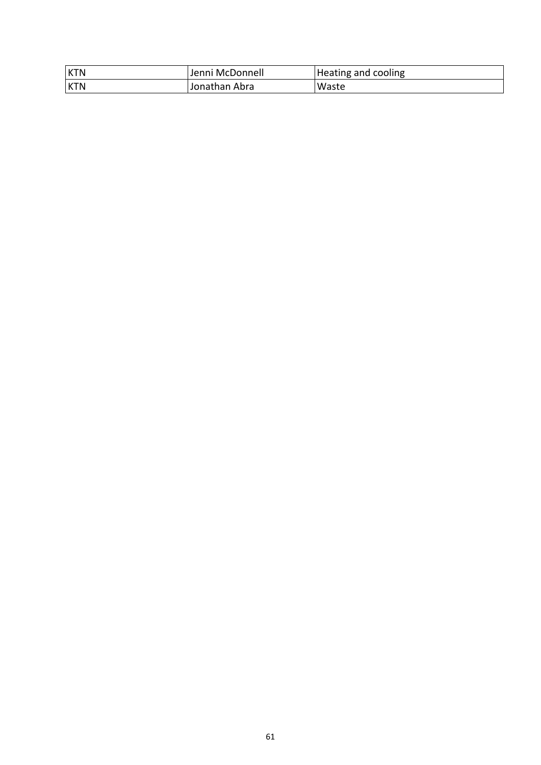| <b>KTN</b> | Jenni McDonnell | Heating and cooling |
|------------|-----------------|---------------------|
| <b>KTN</b> | Jonathan Abra   | Waste               |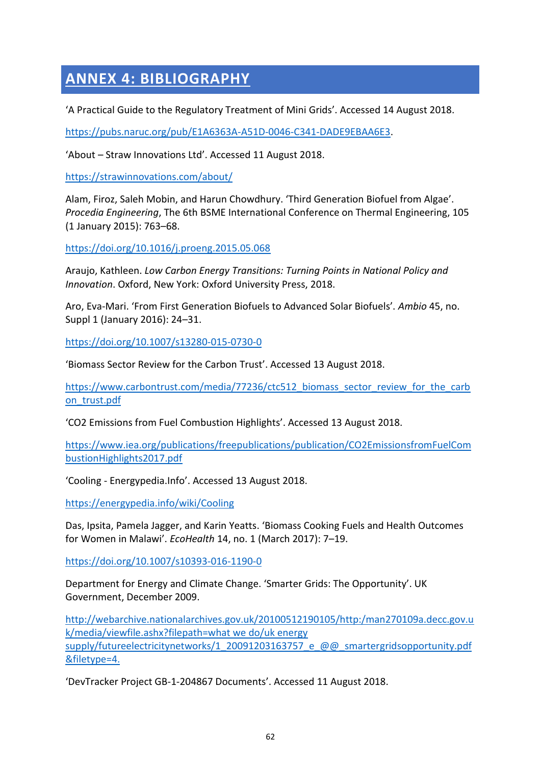# **ANNEX 4: BIBLIOGRAPHY**

'A Practical Guide to the Regulatory Treatment of Mini Grids'. Accessed 14 August 2018.

[https://pubs.naruc.org/pub/E1A6363A-A51D-0046-C341-DADE9EBAA6E3.](https://pubs.naruc.org/pub/E1A6363A-A51D-0046-C341-DADE9EBAA6E3)

'About – Straw Innovations Ltd'. Accessed 11 August 2018.

<https://strawinnovations.com/about/>

Alam, Firoz, Saleh Mobin, and Harun Chowdhury. 'Third Generation Biofuel from Algae'. *Procedia Engineering*, The 6th BSME International Conference on Thermal Engineering, 105 (1 January 2015): 763–68.

<https://doi.org/10.1016/j.proeng.2015.05.068>

Araujo, Kathleen. *Low Carbon Energy Transitions: Turning Points in National Policy and Innovation*. Oxford, New York: Oxford University Press, 2018.

Aro, Eva-Mari. 'From First Generation Biofuels to Advanced Solar Biofuels'. *Ambio* 45, no. Suppl 1 (January 2016): 24–31.

<https://doi.org/10.1007/s13280-015-0730-0>

'Biomass Sector Review for the Carbon Trust'. Accessed 13 August 2018.

[https://www.carbontrust.com/media/77236/ctc512\\_biomass\\_sector\\_review\\_for\\_the\\_carb](https://www.carbontrust.com/media/77236/ctc512_biomass_sector_review_for_the_carbon_trust.pdf) [on\\_trust.pdf](https://www.carbontrust.com/media/77236/ctc512_biomass_sector_review_for_the_carbon_trust.pdf)

'CO2 Emissions from Fuel Combustion Highlights'. Accessed 13 August 2018.

[https://www.iea.org/publications/freepublications/publication/CO2EmissionsfromFuelCom](https://www.iea.org/publications/freepublications/publication/CO2EmissionsfromFuelCombustionHighlights2017.pdf) [bustionHighlights2017.pdf](https://www.iea.org/publications/freepublications/publication/CO2EmissionsfromFuelCombustionHighlights2017.pdf)

'Cooling - Energypedia.Info'. Accessed 13 August 2018.

<https://energypedia.info/wiki/Cooling>

Das, Ipsita, Pamela Jagger, and Karin Yeatts. 'Biomass Cooking Fuels and Health Outcomes for Women in Malawi'. *EcoHealth* 14, no. 1 (March 2017): 7–19.

<https://doi.org/10.1007/s10393-016-1190-0>

Department for Energy and Climate Change. 'Smarter Grids: The Opportunity'. UK Government, December 2009.

[http://webarchive.nationalarchives.gov.uk/20100512190105/http:/man270109a.decc.gov.u](http://webarchive.nationalarchives.gov.uk/20100512190105/http:/man270109a.decc.gov.uk/media/viewfile.ashx?filepath=what%20we%20do/uk%20energy%20supply/futureelectricitynetworks/1_20091203163757_e_@@_smartergridsopportunity.pdf&filetype=4.) [k/media/viewfile.ashx?filepath=what we do/uk energy](http://webarchive.nationalarchives.gov.uk/20100512190105/http:/man270109a.decc.gov.uk/media/viewfile.ashx?filepath=what%20we%20do/uk%20energy%20supply/futureelectricitynetworks/1_20091203163757_e_@@_smartergridsopportunity.pdf&filetype=4.)  [supply/futureelectricitynetworks/1\\_20091203163757\\_e\\_@@\\_smartergridsopportunity.pdf](http://webarchive.nationalarchives.gov.uk/20100512190105/http:/man270109a.decc.gov.uk/media/viewfile.ashx?filepath=what%20we%20do/uk%20energy%20supply/futureelectricitynetworks/1_20091203163757_e_@@_smartergridsopportunity.pdf&filetype=4.) [&filetype=4.](http://webarchive.nationalarchives.gov.uk/20100512190105/http:/man270109a.decc.gov.uk/media/viewfile.ashx?filepath=what%20we%20do/uk%20energy%20supply/futureelectricitynetworks/1_20091203163757_e_@@_smartergridsopportunity.pdf&filetype=4.)

'DevTracker Project GB-1-204867 Documents'. Accessed 11 August 2018.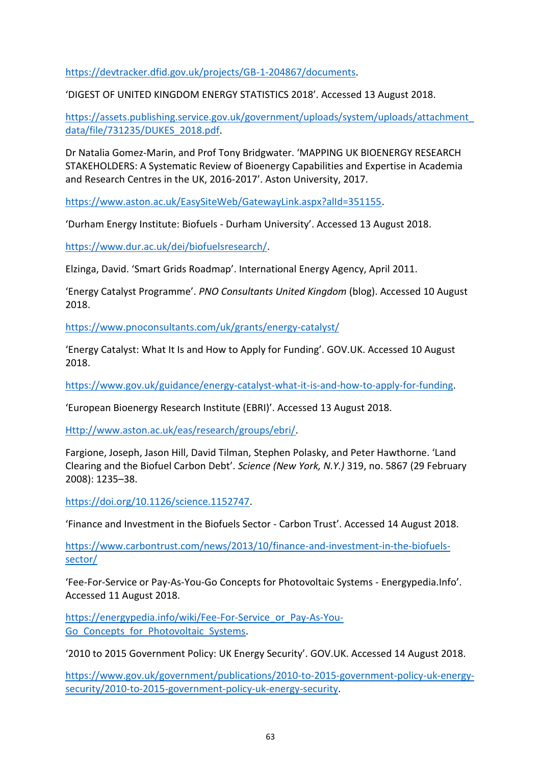[https://devtracker.dfid.gov.uk/projects/GB-1-204867/documents.](https://devtracker.dfid.gov.uk/projects/GB-1-204867/documents)

'DIGEST OF UNITED KINGDOM ENERGY STATISTICS 2018'. Accessed 13 August 2018.

[https://assets.publishing.service.gov.uk/government/uploads/system/uploads/attachment\\_](https://assets.publishing.service.gov.uk/government/uploads/system/uploads/attachment_data/file/731235/DUKES_2018.pdf) [data/file/731235/DUKES\\_2018.pdf.](https://assets.publishing.service.gov.uk/government/uploads/system/uploads/attachment_data/file/731235/DUKES_2018.pdf)

Dr Natalia Gomez-Marin, and Prof Tony Bridgwater. 'MAPPING UK BIOENERGY RESEARCH STAKEHOLDERS: A Systematic Review of Bioenergy Capabilities and Expertise in Academia and Research Centres in the UK, 2016-2017'. Aston University, 2017.

[https://www.aston.ac.uk/EasySiteWeb/GatewayLink.aspx?alId=351155.](https://www.aston.ac.uk/EasySiteWeb/GatewayLink.aspx?alId=351155)

'Durham Energy Institute: Biofuels - Durham University'. Accessed 13 August 2018.

[https://www.dur.ac.uk/dei/biofuelsresearch/.](https://www.dur.ac.uk/dei/biofuelsresearch/)

Elzinga, David. 'Smart Grids Roadmap'. International Energy Agency, April 2011.

'Energy Catalyst Programme'. *PNO Consultants United Kingdom* (blog). Accessed 10 August 2018.

<https://www.pnoconsultants.com/uk/grants/energy-catalyst/>

'Energy Catalyst: What It Is and How to Apply for Funding'. GOV.UK. Accessed 10 August 2018.

[https://www.gov.uk/guidance/energy-catalyst-what-it-is-and-how-to-apply-for-funding.](https://www.gov.uk/guidance/energy-catalyst-what-it-is-and-how-to-apply-for-funding)

'European Bioenergy Research Institute (EBRI)'. Accessed 13 August 2018.

[Http://www.aston.ac.uk/eas/research/groups/ebri/.](http://www.aston.ac.uk/eas/research/groups/ebri/)

Fargione, Joseph, Jason Hill, David Tilman, Stephen Polasky, and Peter Hawthorne. 'Land Clearing and the Biofuel Carbon Debt'. *Science (New York, N.Y.)* 319, no. 5867 (29 February 2008): 1235–38.

[https://doi.org/10.1126/science.1152747.](https://doi.org/10.1126/science.1152747)

'Finance and Investment in the Biofuels Sector - Carbon Trust'. Accessed 14 August 2018.

[https://www.carbontrust.com/news/2013/10/finance-and-investment-in-the-biofuels](https://www.carbontrust.com/news/2013/10/finance-and-investment-in-the-biofuels-sector/)[sector/](https://www.carbontrust.com/news/2013/10/finance-and-investment-in-the-biofuels-sector/)

'Fee-For-Service or Pay-As-You-Go Concepts for Photovoltaic Systems - Energypedia.Info'. Accessed 11 August 2018.

[https://energypedia.info/wiki/Fee-For-Service\\_or\\_Pay-As-You-](https://energypedia.info/wiki/Fee-For-Service_or_Pay-As-You-Go_Concepts_for_Photovoltaic_Systems)Go Concepts for Photovoltaic Systems.

'2010 to 2015 Government Policy: UK Energy Security'. GOV.UK. Accessed 14 August 2018.

[https://www.gov.uk/government/publications/2010-to-2015-government-policy-uk-energy](https://www.gov.uk/government/publications/2010-to-2015-government-policy-uk-energy-security/2010-to-2015-government-policy-uk-energy-security)[security/2010-to-2015-government-policy-uk-energy-security.](https://www.gov.uk/government/publications/2010-to-2015-government-policy-uk-energy-security/2010-to-2015-government-policy-uk-energy-security)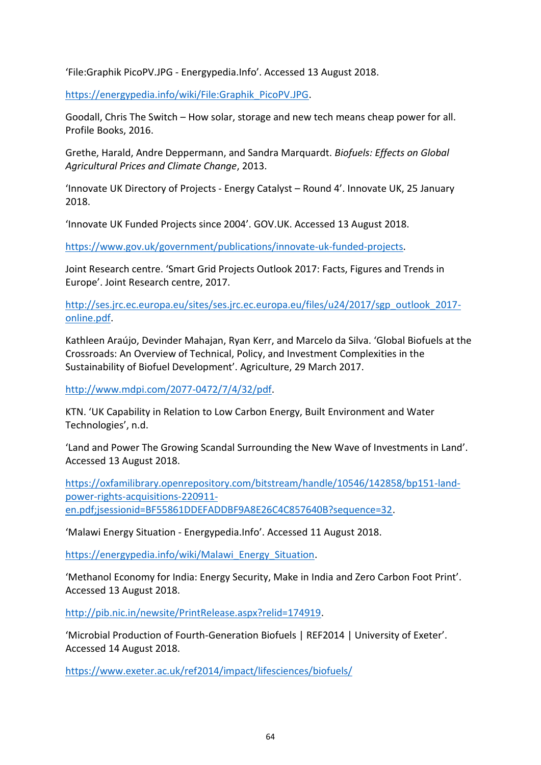'File:Graphik PicoPV.JPG - Energypedia.Info'. Accessed 13 August 2018.

[https://energypedia.info/wiki/File:Graphik\\_PicoPV.JPG.](https://energypedia.info/wiki/File:Graphik_PicoPV.JPG)

Goodall, Chris The Switch – How solar, storage and new tech means cheap power for all. Profile Books, 2016.

Grethe, Harald, Andre Deppermann, and Sandra Marquardt. *Biofuels: Effects on Global Agricultural Prices and Climate Change*, 2013.

'Innovate UK Directory of Projects - Energy Catalyst – Round 4'. Innovate UK, 25 January 2018.

'Innovate UK Funded Projects since 2004'. GOV.UK. Accessed 13 August 2018.

[https://www.gov.uk/government/publications/innovate-uk-funded-projects.](https://www.gov.uk/government/publications/innovate-uk-funded-projects)

Joint Research centre. 'Smart Grid Projects Outlook 2017: Facts, Figures and Trends in Europe'. Joint Research centre, 2017.

[http://ses.jrc.ec.europa.eu/sites/ses.jrc.ec.europa.eu/files/u24/2017/sgp\\_outlook\\_2017](http://ses.jrc.ec.europa.eu/sites/ses.jrc.ec.europa.eu/files/u24/2017/sgp_outlook_2017-online.pdf) [online.pdf.](http://ses.jrc.ec.europa.eu/sites/ses.jrc.ec.europa.eu/files/u24/2017/sgp_outlook_2017-online.pdf)

Kathleen Araújo, Devinder Mahajan, Ryan Kerr, and Marcelo da Silva. 'Global Biofuels at the Crossroads: An Overview of Technical, Policy, and Investment Complexities in the Sustainability of Biofuel Development'. Agriculture, 29 March 2017.

[http://www.mdpi.com/2077-0472/7/4/32/pdf.](http://www.mdpi.com/2077-0472/7/4/32/pdf)

KTN. 'UK Capability in Relation to Low Carbon Energy, Built Environment and Water Technologies', n.d.

'Land and Power The Growing Scandal Surrounding the New Wave of Investments in Land'. Accessed 13 August 2018.

[https://oxfamilibrary.openrepository.com/bitstream/handle/10546/142858/bp151-land](https://oxfamilibrary.openrepository.com/bitstream/handle/10546/142858/bp151-land-power-rights-acquisitions-220911-en.pdf;jsessionid=BF55861DDEFADDBF9A8E26C4C857640B?sequence=32)[power-rights-acquisitions-220911-](https://oxfamilibrary.openrepository.com/bitstream/handle/10546/142858/bp151-land-power-rights-acquisitions-220911-en.pdf;jsessionid=BF55861DDEFADDBF9A8E26C4C857640B?sequence=32)

[en.pdf;jsessionid=BF55861DDEFADDBF9A8E26C4C857640B?sequence=32.](https://oxfamilibrary.openrepository.com/bitstream/handle/10546/142858/bp151-land-power-rights-acquisitions-220911-en.pdf;jsessionid=BF55861DDEFADDBF9A8E26C4C857640B?sequence=32)

'Malawi Energy Situation - Energypedia.Info'. Accessed 11 August 2018.

[https://energypedia.info/wiki/Malawi\\_Energy\\_Situation.](https://energypedia.info/wiki/Malawi_Energy_Situation)

'Methanol Economy for India: Energy Security, Make in India and Zero Carbon Foot Print'. Accessed 13 August 2018.

[http://pib.nic.in/newsite/PrintRelease.aspx?relid=174919.](http://pib.nic.in/newsite/PrintRelease.aspx?relid=174919)

'Microbial Production of Fourth-Generation Biofuels | REF2014 | University of Exeter'. Accessed 14 August 2018.

<https://www.exeter.ac.uk/ref2014/impact/lifesciences/biofuels/>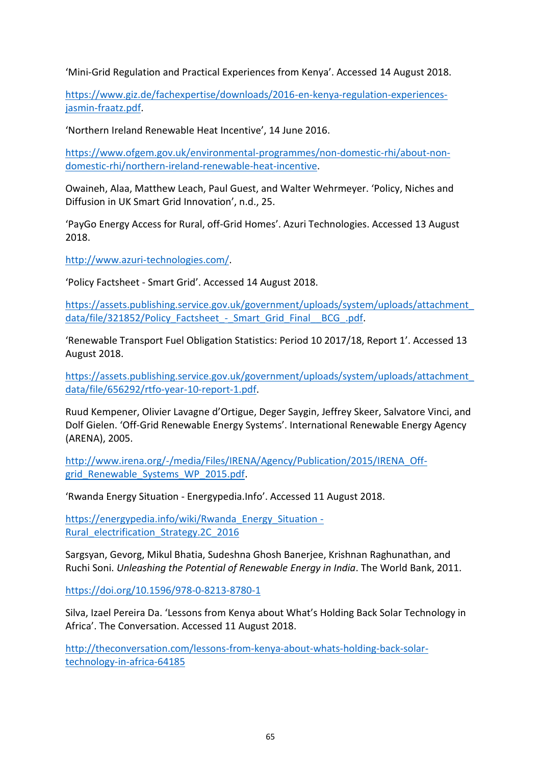'Mini-Grid Regulation and Practical Experiences from Kenya'. Accessed 14 August 2018.

[https://www.giz.de/fachexpertise/downloads/2016-en-kenya-regulation-experiences](https://www.giz.de/fachexpertise/downloads/2016-en-kenya-regulation-experiences-jasmin-fraatz.pdf)[jasmin-fraatz.pdf.](https://www.giz.de/fachexpertise/downloads/2016-en-kenya-regulation-experiences-jasmin-fraatz.pdf)

'Northern Ireland Renewable Heat Incentive', 14 June 2016.

[https://www.ofgem.gov.uk/environmental-programmes/non-domestic-rhi/about-non](https://www.ofgem.gov.uk/environmental-programmes/non-domestic-rhi/about-non-domestic-rhi/northern-ireland-renewable-heat-incentive)[domestic-rhi/northern-ireland-renewable-heat-incentive.](https://www.ofgem.gov.uk/environmental-programmes/non-domestic-rhi/about-non-domestic-rhi/northern-ireland-renewable-heat-incentive)

Owaineh, Alaa, Matthew Leach, Paul Guest, and Walter Wehrmeyer. 'Policy, Niches and Diffusion in UK Smart Grid Innovation', n.d., 25.

'PayGo Energy Access for Rural, off-Grid Homes'. Azuri Technologies. Accessed 13 August 2018.

[http://www.azuri-technologies.com/.](http://www.azuri-technologies.com/)

'Policy Factsheet - Smart Grid'. Accessed 14 August 2018.

[https://assets.publishing.service.gov.uk/government/uploads/system/uploads/attachment\\_](https://assets.publishing.service.gov.uk/government/uploads/system/uploads/attachment_data/file/321852/Policy_Factsheet_-_Smart_Grid_Final__BCG_.pdf) data/file/321852/Policy\_Factsheet - Smart\_Grid\_Final\_\_BCG\_.pdf.

'Renewable Transport Fuel Obligation Statistics: Period 10 2017/18, Report 1'. Accessed 13 August 2018.

[https://assets.publishing.service.gov.uk/government/uploads/system/uploads/attachment\\_](https://assets.publishing.service.gov.uk/government/uploads/system/uploads/attachment_data/file/656292/rtfo-year-10-report-1.pdf) [data/file/656292/rtfo-year-10-report-1.pdf.](https://assets.publishing.service.gov.uk/government/uploads/system/uploads/attachment_data/file/656292/rtfo-year-10-report-1.pdf)

Ruud Kempener, Olivier Lavagne d'Ortigue, Deger Saygin, Jeffrey Skeer, Salvatore Vinci, and Dolf Gielen. 'Off-Grid Renewable Energy Systems'. International Renewable Energy Agency (ARENA), 2005.

[http://www.irena.org/-/media/Files/IRENA/Agency/Publication/2015/IRENA\\_Off](http://www.irena.org/-/media/Files/IRENA/Agency/Publication/2015/IRENA_Off-grid_Renewable_Systems_WP_2015.pdf)grid Renewable Systems WP 2015.pdf.

'Rwanda Energy Situation - Energypedia.Info'. Accessed 11 August 2018.

[https://energypedia.info/wiki/Rwanda\\_Energy\\_Situation -](https://energypedia.info/wiki/Rwanda_Energy_Situation#Rural_electrification_Strategy.2C_2016) [Rural\\_electrification\\_Strategy.2C\\_2016](https://energypedia.info/wiki/Rwanda_Energy_Situation#Rural_electrification_Strategy.2C_2016)

Sargsyan, Gevorg, Mikul Bhatia, Sudeshna Ghosh Banerjee, Krishnan Raghunathan, and Ruchi Soni. *Unleashing the Potential of Renewable Energy in India*. The World Bank, 2011.

<https://doi.org/10.1596/978-0-8213-8780-1>

Silva, Izael Pereira Da. 'Lessons from Kenya about What's Holding Back Solar Technology in Africa'. The Conversation. Accessed 11 August 2018.

[http://theconversation.com/lessons-from-kenya-about-whats-holding-back-solar](http://theconversation.com/lessons-from-kenya-about-whats-holding-back-solar-technology-in-africa-64185)[technology-in-africa-64185](http://theconversation.com/lessons-from-kenya-about-whats-holding-back-solar-technology-in-africa-64185)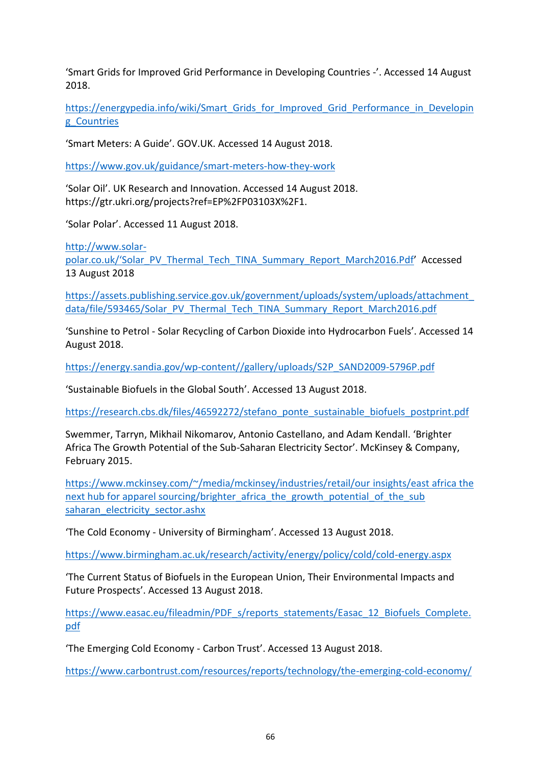'Smart Grids for Improved Grid Performance in Developing Countries -'. Accessed 14 August 2018.

[https://energypedia.info/wiki/Smart\\_Grids\\_for\\_Improved\\_Grid\\_Performance\\_in\\_Developin](https://energypedia.info/wiki/Smart_Grids_for_Improved_Grid_Performance_in_Developing_Countries) [g\\_Countries](https://energypedia.info/wiki/Smart_Grids_for_Improved_Grid_Performance_in_Developing_Countries)

'Smart Meters: A Guide'. GOV.UK. Accessed 14 August 2018.

<https://www.gov.uk/guidance/smart-meters-how-they-work>

'Solar Oil'. UK Research and Innovation. Accessed 14 August 2018. https://gtr.ukri.org/projects?ref=EP%2FP03103X%2F1.

'Solar Polar'. Accessed 11 August 2018.

[http://www.solar](http://www.solar-polar.co.uk/)polar.co.uk/'Solar\_PV\_Thermal\_Tech[\\_TINA\\_Summary\\_Report\\_March2016.Pdf](http://www.solar-polar.co.uk/)' Accessed

13 August 2018

[https://assets.publishing.service.gov.uk/government/uploads/system/uploads/attachment\\_](https://assets.publishing.service.gov.uk/government/uploads/system/uploads/attachment_data/file/593465/Solar_PV_Thermal_Tech_TINA_Summary_Report_March2016.pdf) [data/file/593465/Solar\\_PV\\_Thermal\\_Tech\\_TINA\\_Summary\\_Report\\_March2016.pdf](https://assets.publishing.service.gov.uk/government/uploads/system/uploads/attachment_data/file/593465/Solar_PV_Thermal_Tech_TINA_Summary_Report_March2016.pdf)

'Sunshine to Petrol - Solar Recycling of Carbon Dioxide into Hydrocarbon Fuels'. Accessed 14 August 2018.

[https://energy.sandia.gov/wp-content//gallery/uploads/S2P\\_SAND2009-5796P.pdf](https://energy.sandia.gov/wp-content/gallery/uploads/S2P_SAND2009-5796P.pdf)

'Sustainable Biofuels in the Global South'. Accessed 13 August 2018.

[https://research.cbs.dk/files/46592272/stefano\\_ponte\\_sustainable\\_biofuels\\_postprint.pdf](https://research.cbs.dk/files/46592272/stefano_ponte_sustainable_biofuels_postprint.pdf)

Swemmer, Tarryn, Mikhail Nikomarov, Antonio Castellano, and Adam Kendall. 'Brighter Africa The Growth Potential of the Sub-Saharan Electricity Sector'. McKinsey & Company, February 2015.

[https://www.mckinsey.com/~/media/mckinsey/industries/retail/our insights/east africa the](https://www.mckinsey.com/~/media/mckinsey/industries/retail/our%20insights/east%20africa%20the%20next%20hub%20for%20apparel%20sourcing/brighter_africa_the_growth_potential_of_the_sub%20saharan_electricity_sector.ashx)  next hub for apparel sourcing/brighter\_africa\_the\_growth\_potential\_of\_the\_sub [saharan\\_electricity\\_sector.ashx](https://www.mckinsey.com/~/media/mckinsey/industries/retail/our%20insights/east%20africa%20the%20next%20hub%20for%20apparel%20sourcing/brighter_africa_the_growth_potential_of_the_sub%20saharan_electricity_sector.ashx)

'The Cold Economy - University of Birmingham'. Accessed 13 August 2018.

<https://www.birmingham.ac.uk/research/activity/energy/policy/cold/cold-energy.aspx>

'The Current Status of Biofuels in the European Union, Their Environmental Impacts and Future Prospects'. Accessed 13 August 2018.

[https://www.easac.eu/fileadmin/PDF\\_s/reports\\_statements/Easac\\_12\\_Biofuels\\_Complete.](https://www.easac.eu/fileadmin/PDF_s/reports_statements/Easac_12_Biofuels_Complete.pdf) [pdf](https://www.easac.eu/fileadmin/PDF_s/reports_statements/Easac_12_Biofuels_Complete.pdf)

'The Emerging Cold Economy - Carbon Trust'. Accessed 13 August 2018.

<https://www.carbontrust.com/resources/reports/technology/the-emerging-cold-economy/>